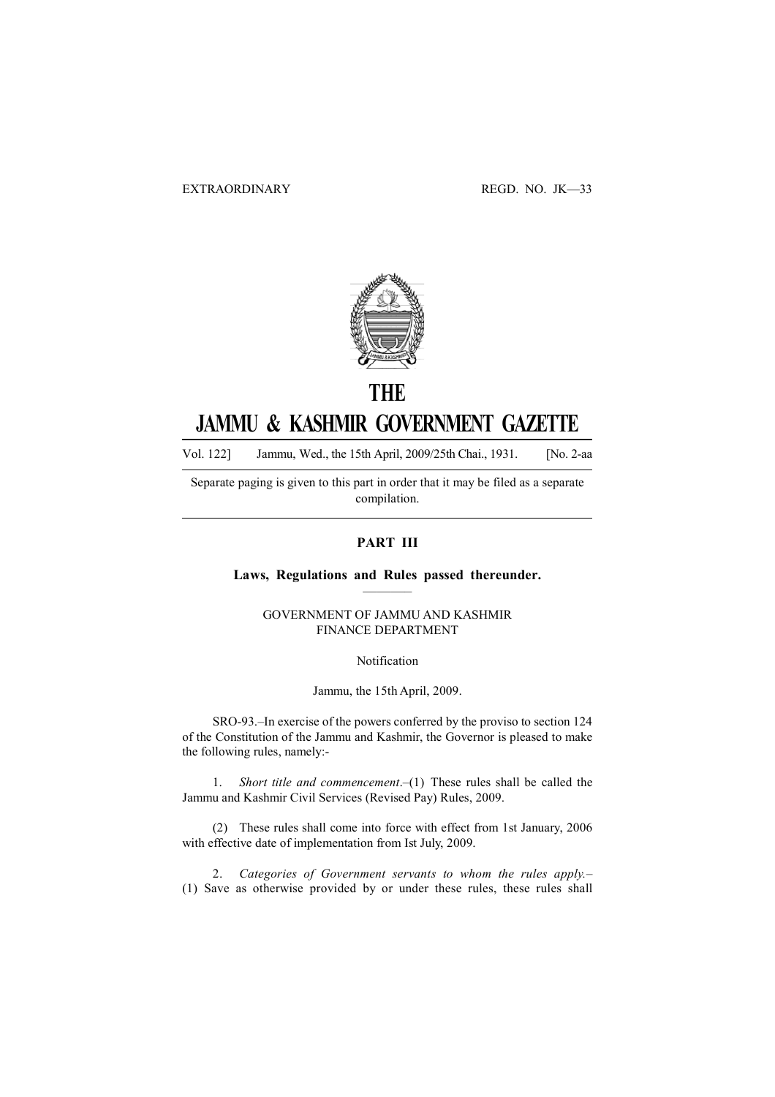

## **THE** JAMMU & KASHMIR GOVERNMENT GAZETTE

Vol. 122] Jammu, Wed., the 15th April, 2009/25th Chai., 1931. [No. 2-aa

Separate paging is given to this part in order that it may be filed as a separate compilation.

## PART III

### Laws, Regulations and Rules passed thereunder. ———–

### GOVERNMENT OF JAMMU AND KASHMIR FINANCE DEPARTMENT

Notification

Jammu, the 15th April, 2009.

SRO-93.–In exercise of the powers conferred by the proviso to section 124 of the Constitution of the Jammu and Kashmir, the Governor is pleased to make the following rules, namely:-

1. Short title and commencement.–(1) These rules shall be called the Jammu and Kashmir Civil Services (Revised Pay) Rules, 2009.

(2) These rules shall come into force with effect from 1st January, 2006 with effective date of implementation from Ist July, 2009.

2. Categories of Government servants to whom the rules apply.– (1) Save as otherwise provided by or under these rules, these rules shall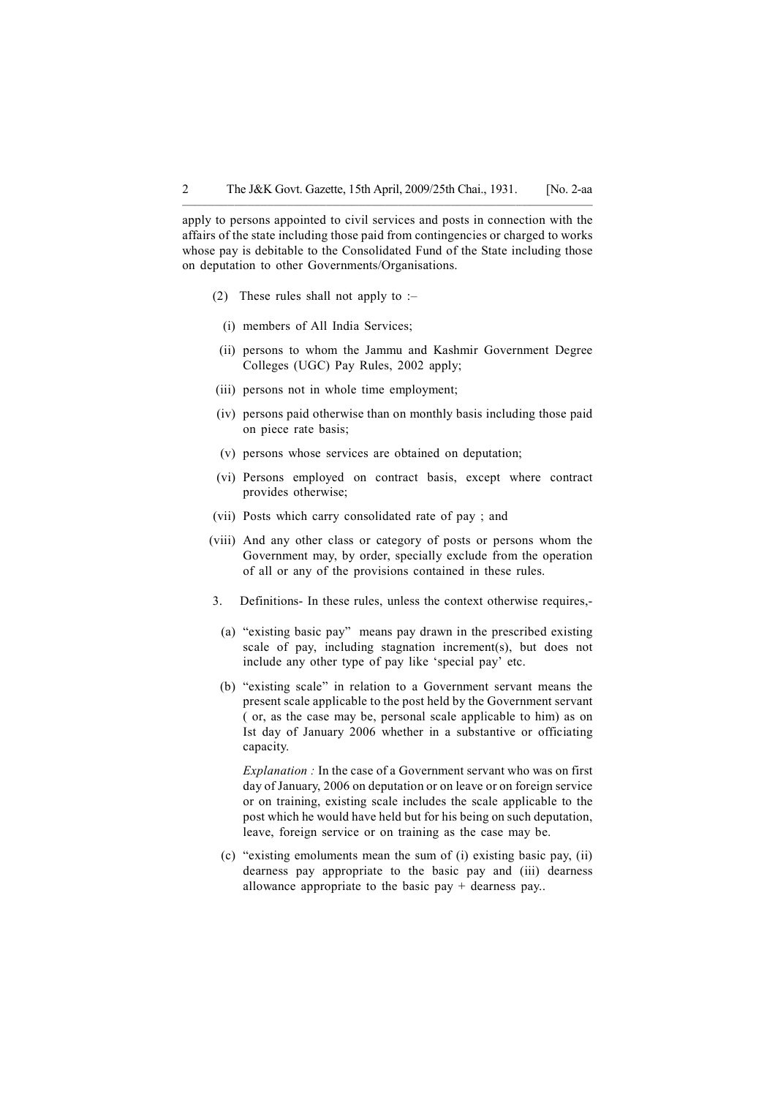apply to persons appointed to civil services and posts in connection with the affairs of the state including those paid from contingencies or charged to works whose pay is debitable to the Consolidated Fund of the State including those on deputation to other Governments/Organisations.

––––––––––––––––––––––––––––––––––––––––––––––––—–––—————

- (2) These rules shall not apply to  $-$ 
	- (i) members of All India Services;
- (ii) persons to whom the Jammu and Kashmir Government Degree Colleges (UGC) Pay Rules, 2002 apply;
- (iii) persons not in whole time employment;
- (iv) persons paid otherwise than on monthly basis including those paid on piece rate basis;
- (v) persons whose services are obtained on deputation;
- (vi) Persons employed on contract basis, except where contract provides otherwise;
- (vii) Posts which carry consolidated rate of pay ; and
- (viii) And any other class or category of posts or persons whom the Government may, by order, specially exclude from the operation of all or any of the provisions contained in these rules.
- 3. Definitions- In these rules, unless the context otherwise requires,-
- (a) "existing basic pay" means pay drawn in the prescribed existing scale of pay, including stagnation increment(s), but does not include any other type of pay like 'special pay' etc.
- (b) "existing scale" in relation to a Government servant means the present scale applicable to the post held by the Government servant ( or, as the case may be, personal scale applicable to him) as on Ist day of January 2006 whether in a substantive or officiating capacity.

Explanation : In the case of a Government servant who was on first day of January, 2006 on deputation or on leave or on foreign service or on training, existing scale includes the scale applicable to the post which he would have held but for his being on such deputation, leave, foreign service or on training as the case may be.

(c) "existing emoluments mean the sum of (i) existing basic pay, (ii) dearness pay appropriate to the basic pay and (iii) dearness allowance appropriate to the basic pay  $+$  dearness pay...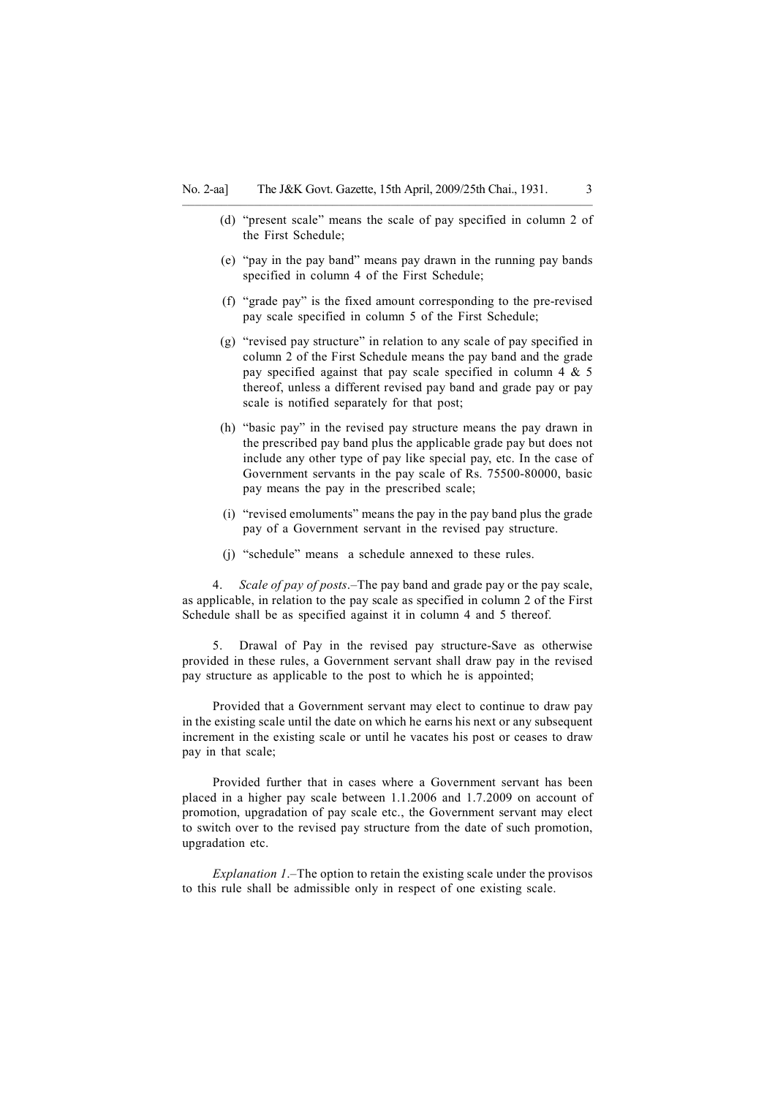–––––––—––––––––––––––––––––––––––––––––––––––––––––––––———

- (d) "present scale" means the scale of pay specified in column 2 of the First Schedule;
- (e) "pay in the pay band" means pay drawn in the running pay bands specified in column 4 of the First Schedule;
- (f) "grade pay" is the fixed amount corresponding to the pre-revised pay scale specified in column 5 of the First Schedule;
- (g) "revised pay structure" in relation to any scale of pay specified in column 2 of the First Schedule means the pay band and the grade pay specified against that pay scale specified in column 4 & 5 thereof, unless a different revised pay band and grade pay or pay scale is notified separately for that post;
- (h) "basic pay" in the revised pay structure means the pay drawn in the prescribed pay band plus the applicable grade pay but does not include any other type of pay like special pay, etc. In the case of Government servants in the pay scale of Rs. 75500-80000, basic pay means the pay in the prescribed scale;
- (i) "revised emoluments" means the pay in the pay band plus the grade pay of a Government servant in the revised pay structure.
- (j) "schedule" means a schedule annexed to these rules.

4. Scale of pay of posts.–The pay band and grade pay or the pay scale, as applicable, in relation to the pay scale as specified in column 2 of the First Schedule shall be as specified against it in column 4 and 5 thereof.

5. Drawal of Pay in the revised pay structure-Save as otherwise provided in these rules, a Government servant shall draw pay in the revised pay structure as applicable to the post to which he is appointed;

Provided that a Government servant may elect to continue to draw pay in the existing scale until the date on which he earns his next or any subsequent increment in the existing scale or until he vacates his post or ceases to draw pay in that scale;

Provided further that in cases where a Government servant has been placed in a higher pay scale between 1.1.2006 and 1.7.2009 on account of promotion, upgradation of pay scale etc., the Government servant may elect to switch over to the revised pay structure from the date of such promotion, upgradation etc.

Explanation 1.–The option to retain the existing scale under the provisos to this rule shall be admissible only in respect of one existing scale.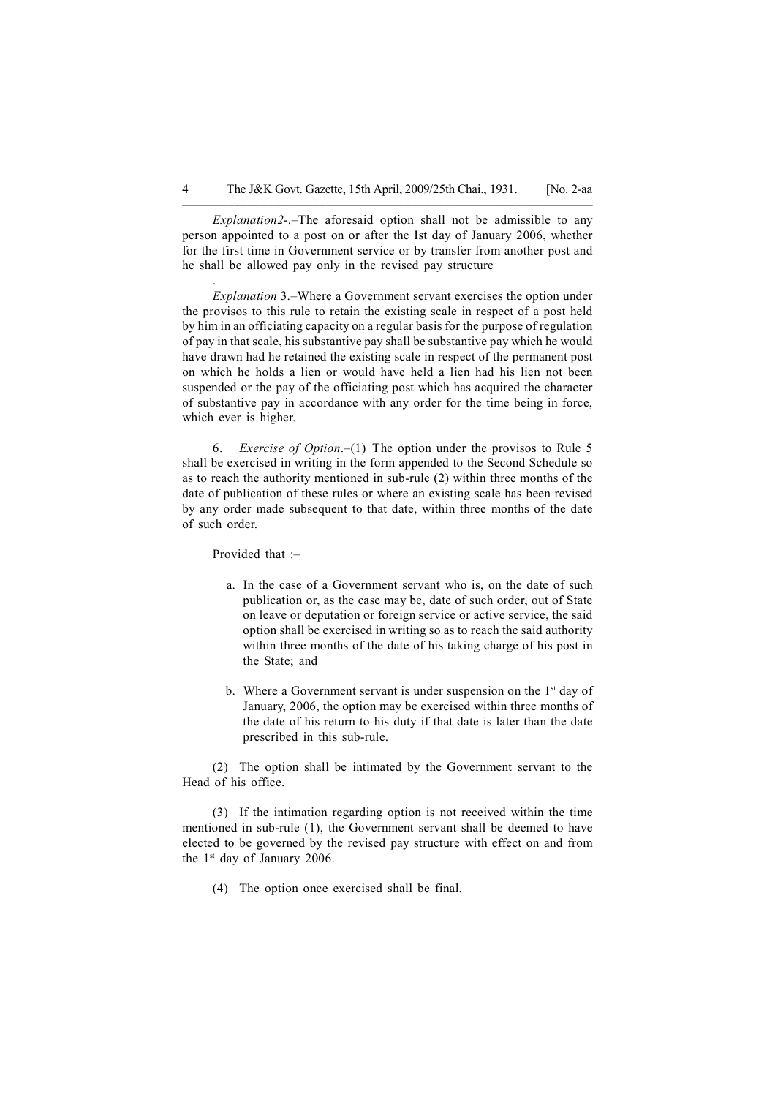Explanation2-.–The aforesaid option shall not be admissible to any person appointed to a post on or after the Ist day of January 2006, whether for the first time in Government service or by transfer from another post and he shall be allowed pay only in the revised pay structure

––––––––––––––––––––––––––––––––––––––––––––––––—–––—————

Explanation 3.–Where a Government servant exercises the option under the provisos to this rule to retain the existing scale in respect of a post held by him in an officiating capacity on a regular basis for the purpose of regulation of pay in that scale, his substantive pay shall be substantive pay which he would have drawn had he retained the existing scale in respect of the permanent post on which he holds a lien or would have held a lien had his lien not been suspended or the pay of the officiating post which has acquired the character of substantive pay in accordance with any order for the time being in force, which ever is higher.

6. Exercise of Option.–(1) The option under the provisos to Rule 5 shall be exercised in writing in the form appended to the Second Schedule so as to reach the authority mentioned in sub-rule (2) within three months of the date of publication of these rules or where an existing scale has been revised by any order made subsequent to that date, within three months of the date of such order.

Provided that :–

- a. In the case of a Government servant who is, on the date of such publication or, as the case may be, date of such order, out of State on leave or deputation or foreign service or active service, the said option shall be exercised in writing so as to reach the said authority within three months of the date of his taking charge of his post in the State; and
- b. Where a Government servant is under suspension on the  $1<sup>st</sup>$  day of January, 2006, the option may be exercised within three months of the date of his return to his duty if that date is later than the date prescribed in this sub-rule.

(2) The option shall be intimated by the Government servant to the Head of his office.

(3) If the intimation regarding option is not received within the time mentioned in sub-rule (1), the Government servant shall be deemed to have elected to be governed by the revised pay structure with effect on and from the  $1<sup>st</sup>$  day of January 2006.

(4) The option once exercised shall be final.

.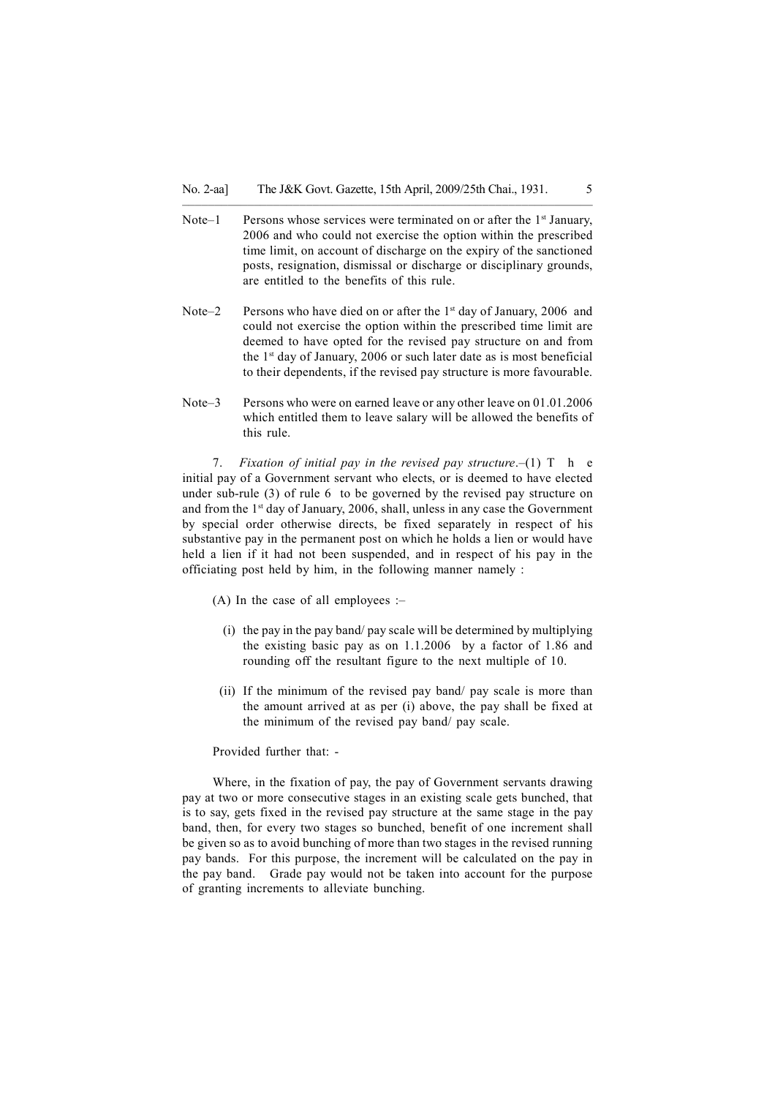Note–1 Persons whose services were terminated on or after the  $1<sup>st</sup>$  January, 2006 and who could not exercise the option within the prescribed time limit, on account of discharge on the expiry of the sanctioned posts, resignation, dismissal or discharge or disciplinary grounds, are entitled to the benefits of this rule.

–––––––—––––––––––––––––––––––––––––––––––––––––––––––––———

- Note–2 Persons who have died on or after the 1<sup>st</sup> day of January, 2006 and could not exercise the option within the prescribed time limit are deemed to have opted for the revised pay structure on and from the  $1<sup>st</sup>$  day of January, 2006 or such later date as is most beneficial to their dependents, if the revised pay structure is more favourable.
- Note–3 Persons who were on earned leave or any other leave on 01.01.2006 which entitled them to leave salary will be allowed the benefits of this rule.

7. Fixation of initial pay in the revised pay structure.  $(1)$  T h e initial pay of a Government servant who elects, or is deemed to have elected under sub-rule (3) of rule 6 to be governed by the revised pay structure on and from the 1st day of January, 2006, shall, unless in any case the Government by special order otherwise directs, be fixed separately in respect of his substantive pay in the permanent post on which he holds a lien or would have held a lien if it had not been suspended, and in respect of his pay in the officiating post held by him, in the following manner namely :

- (A) In the case of all employees :-
	- (i) the pay in the pay band/ pay scale will be determined by multiplying the existing basic pay as on 1.1.2006 by a factor of 1.86 and rounding off the resultant figure to the next multiple of 10.
- (ii) If the minimum of the revised pay band/ pay scale is more than the amount arrived at as per (i) above, the pay shall be fixed at the minimum of the revised pay band/ pay scale.

#### Provided further that: -

Where, in the fixation of pay, the pay of Government servants drawing pay at two or more consecutive stages in an existing scale gets bunched, that is to say, gets fixed in the revised pay structure at the same stage in the pay band, then, for every two stages so bunched, benefit of one increment shall be given so as to avoid bunching of more than two stages in the revised running pay bands. For this purpose, the increment will be calculated on the pay in the pay band. Grade pay would not be taken into account for the purpose of granting increments to alleviate bunching.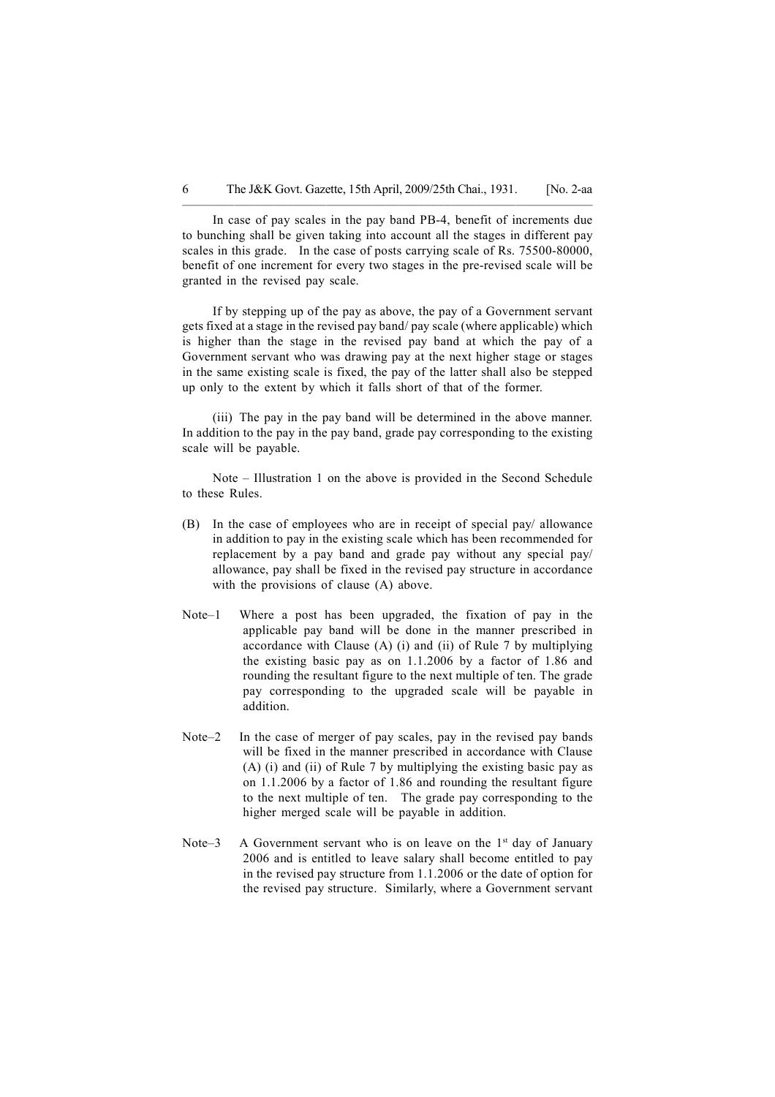In case of pay scales in the pay band PB-4, benefit of increments due to bunching shall be given taking into account all the stages in different pay scales in this grade. In the case of posts carrying scale of Rs. 75500-80000, benefit of one increment for every two stages in the pre-revised scale will be granted in the revised pay scale.

––––––––––––––––––––––––––––––––––––––––––––––––—–––—————

If by stepping up of the pay as above, the pay of a Government servant gets fixed at a stage in the revised pay band/ pay scale (where applicable) which is higher than the stage in the revised pay band at which the pay of a Government servant who was drawing pay at the next higher stage or stages in the same existing scale is fixed, the pay of the latter shall also be stepped up only to the extent by which it falls short of that of the former.

(iii) The pay in the pay band will be determined in the above manner. In addition to the pay in the pay band, grade pay corresponding to the existing scale will be payable.

Note – Illustration 1 on the above is provided in the Second Schedule to these Rules.

- (B) In the case of employees who are in receipt of special pay/ allowance in addition to pay in the existing scale which has been recommended for replacement by a pay band and grade pay without any special pay/ allowance, pay shall be fixed in the revised pay structure in accordance with the provisions of clause (A) above.
- Note–1 Where a post has been upgraded, the fixation of pay in the applicable pay band will be done in the manner prescribed in accordance with Clause (A) (i) and (ii) of Rule 7 by multiplying the existing basic pay as on 1.1.2006 by a factor of 1.86 and rounding the resultant figure to the next multiple of ten. The grade pay corresponding to the upgraded scale will be payable in addition.
- Note–2 In the case of merger of pay scales, pay in the revised pay bands will be fixed in the manner prescribed in accordance with Clause (A) (i) and (ii) of Rule 7 by multiplying the existing basic pay as on 1.1.2006 by a factor of 1.86 and rounding the resultant figure to the next multiple of ten. The grade pay corresponding to the higher merged scale will be payable in addition.
- Note–3 A Government servant who is on leave on the  $1<sup>st</sup>$  day of January 2006 and is entitled to leave salary shall become entitled to pay in the revised pay structure from 1.1.2006 or the date of option for the revised pay structure. Similarly, where a Government servant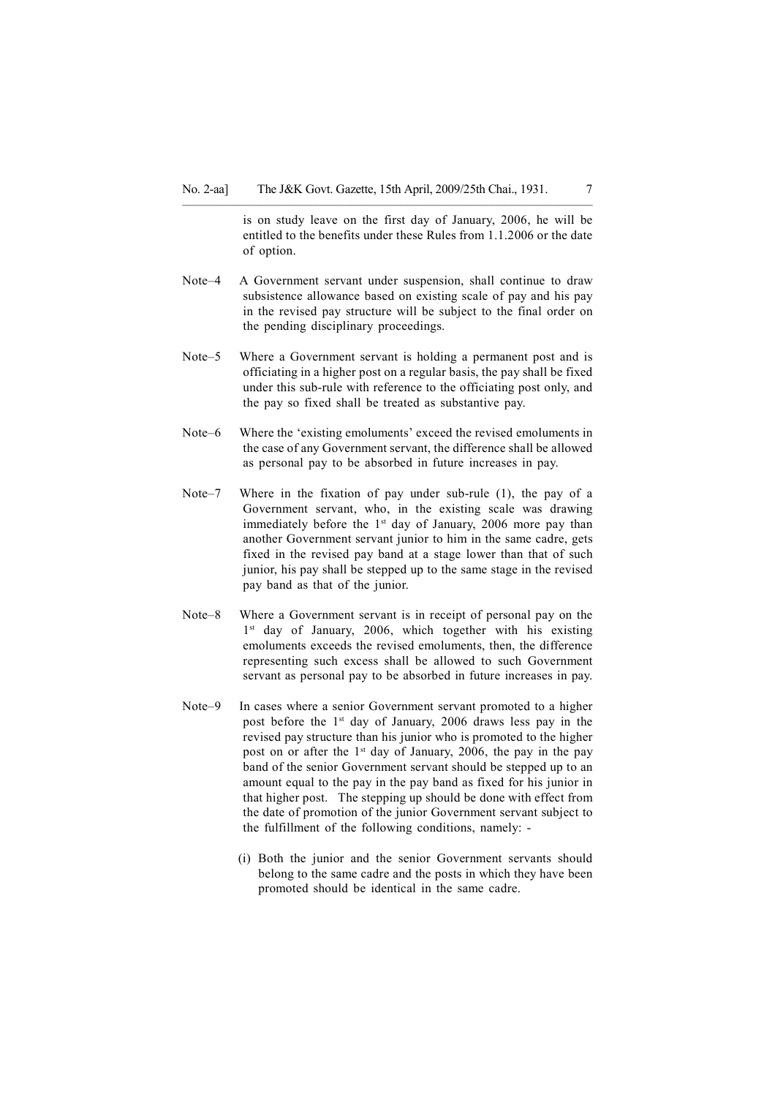is on study leave on the first day of January, 2006, he will be entitled to the benefits under these Rules from 1.1.2006 or the date of option.

Note–4 A Government servant under suspension, shall continue to draw subsistence allowance based on existing scale of pay and his pay in the revised pay structure will be subject to the final order on the pending disciplinary proceedings.

–––––––—––––––––––––––––––––––––––––––––––––––––––––––––———

- Note–5 Where a Government servant is holding a permanent post and is officiating in a higher post on a regular basis, the pay shall be fixed under this sub-rule with reference to the officiating post only, and the pay so fixed shall be treated as substantive pay.
- Note–6 Where the 'existing emoluments' exceed the revised emoluments in the case of any Government servant, the difference shall be allowed as personal pay to be absorbed in future increases in pay.
- Note–7 Where in the fixation of pay under sub-rule (1), the pay of a Government servant, who, in the existing scale was drawing immediately before the 1<sup>st</sup> day of January, 2006 more pay than another Government servant junior to him in the same cadre, gets fixed in the revised pay band at a stage lower than that of such junior, his pay shall be stepped up to the same stage in the revised pay band as that of the junior.
- Note–8 Where a Government servant is in receipt of personal pay on the 1<sup>st</sup> day of January, 2006, which together with his existing emoluments exceeds the revised emoluments, then, the difference representing such excess shall be allowed to such Government servant as personal pay to be absorbed in future increases in pay.
- Note–9 In cases where a senior Government servant promoted to a higher post before the 1st day of January, 2006 draws less pay in the revised pay structure than his junior who is promoted to the higher post on or after the  $1<sup>st</sup>$  day of January, 2006, the pay in the pay band of the senior Government servant should be stepped up to an amount equal to the pay in the pay band as fixed for his junior in that higher post. The stepping up should be done with effect from the date of promotion of the junior Government servant subject to the fulfillment of the following conditions, namely: -
	- (i) Both the junior and the senior Government servants should belong to the same cadre and the posts in which they have been promoted should be identical in the same cadre.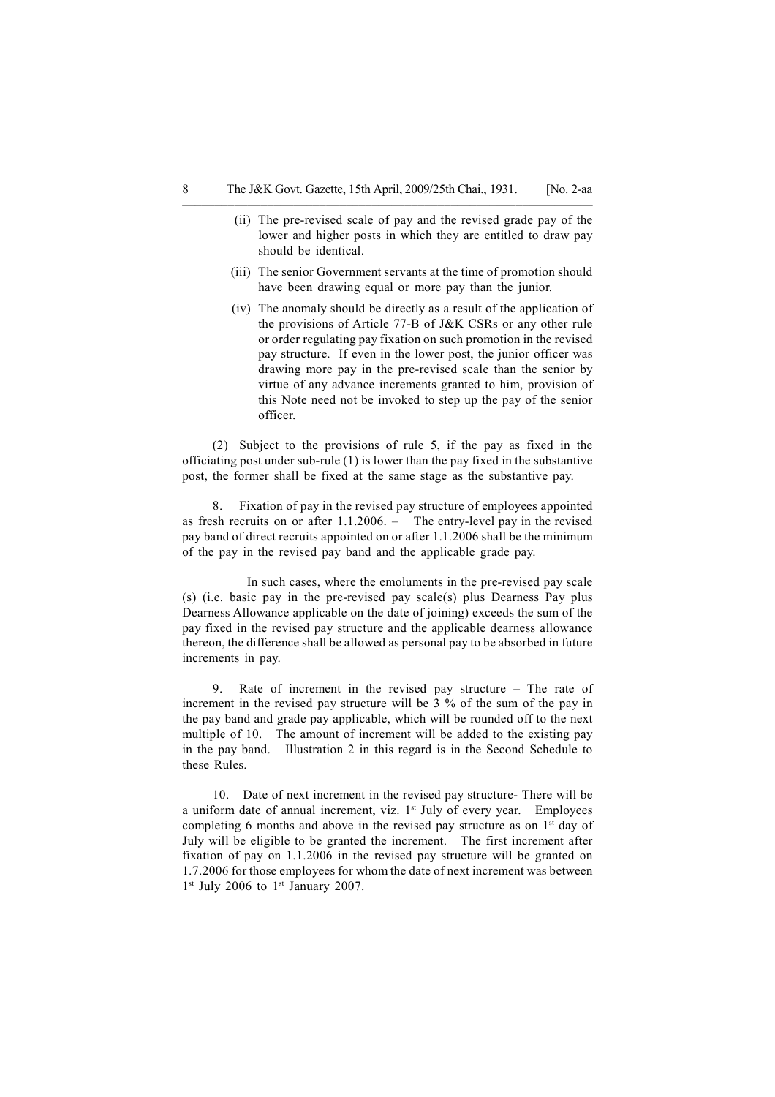––––––––––––––––––––––––––––––––––––––––––––––––—–––—————

- (ii) The pre-revised scale of pay and the revised grade pay of the lower and higher posts in which they are entitled to draw pay should be identical.
- (iii) The senior Government servants at the time of promotion should have been drawing equal or more pay than the junior.
- (iv) The anomaly should be directly as a result of the application of the provisions of Article 77-B of J&K CSRs or any other rule or order regulating pay fixation on such promotion in the revised pay structure. If even in the lower post, the junior officer was drawing more pay in the pre-revised scale than the senior by virtue of any advance increments granted to him, provision of this Note need not be invoked to step up the pay of the senior officer.

(2) Subject to the provisions of rule 5, if the pay as fixed in the officiating post under sub-rule (1) is lower than the pay fixed in the substantive post, the former shall be fixed at the same stage as the substantive pay.

8. Fixation of pay in the revised pay structure of employees appointed as fresh recruits on or after 1.1.2006. – The entry-level pay in the revised pay band of direct recruits appointed on or after 1.1.2006 shall be the minimum of the pay in the revised pay band and the applicable grade pay.

 In such cases, where the emoluments in the pre-revised pay scale (s) (i.e. basic pay in the pre-revised pay scale(s) plus Dearness Pay plus Dearness Allowance applicable on the date of joining) exceeds the sum of the pay fixed in the revised pay structure and the applicable dearness allowance thereon, the difference shall be allowed as personal pay to be absorbed in future increments in pay.

9. Rate of increment in the revised pay structure – The rate of increment in the revised pay structure will be 3 % of the sum of the pay in the pay band and grade pay applicable, which will be rounded off to the next multiple of 10. The amount of increment will be added to the existing pay in the pay band. Illustration 2 in this regard is in the Second Schedule to these Rules.

10. Date of next increment in the revised pay structure- There will be a uniform date of annual increment, viz.  $1<sup>st</sup>$  July of every year. Employees completing 6 months and above in the revised pay structure as on 1<sup>st</sup> day of July will be eligible to be granted the increment. The first increment after fixation of pay on 1.1.2006 in the revised pay structure will be granted on 1.7.2006 for those employees for whom the date of next increment was between 1<sup>st</sup> July 2006 to 1<sup>st</sup> January 2007.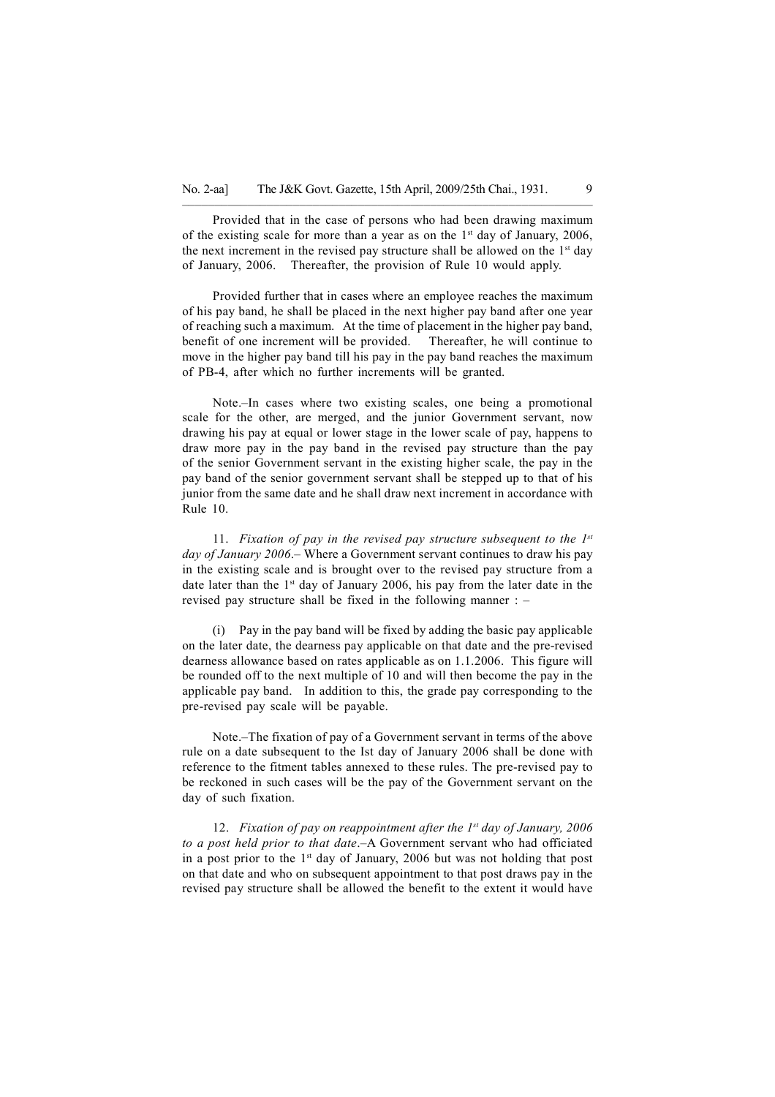Provided that in the case of persons who had been drawing maximum of the existing scale for more than a year as on the 1<sup>st</sup> day of January, 2006, the next increment in the revised pay structure shall be allowed on the  $1<sup>st</sup>$  day of January, 2006. Thereafter, the provision of Rule 10 would apply.

–––––––—––––––––––––––––––––––––––––––––––––––––––––––––———

Provided further that in cases where an employee reaches the maximum of his pay band, he shall be placed in the next higher pay band after one year of reaching such a maximum. At the time of placement in the higher pay band, benefit of one increment will be provided. Thereafter, he will continue to move in the higher pay band till his pay in the pay band reaches the maximum of PB-4, after which no further increments will be granted.

Note.–In cases where two existing scales, one being a promotional scale for the other, are merged, and the junior Government servant, now drawing his pay at equal or lower stage in the lower scale of pay, happens to draw more pay in the pay band in the revised pay structure than the pay of the senior Government servant in the existing higher scale, the pay in the pay band of the senior government servant shall be stepped up to that of his junior from the same date and he shall draw next increment in accordance with Rule 10.

11. Fixation of pay in the revised pay structure subsequent to the  $1^{st}$ day of January 2006.– Where a Government servant continues to draw his pay in the existing scale and is brought over to the revised pay structure from a date later than the  $1<sup>st</sup>$  day of January 2006, his pay from the later date in the revised pay structure shall be fixed in the following manner : –

(i) Pay in the pay band will be fixed by adding the basic pay applicable on the later date, the dearness pay applicable on that date and the pre-revised dearness allowance based on rates applicable as on 1.1.2006. This figure will be rounded off to the next multiple of 10 and will then become the pay in the applicable pay band. In addition to this, the grade pay corresponding to the pre-revised pay scale will be payable.

Note.–The fixation of pay of a Government servant in terms of the above rule on a date subsequent to the Ist day of January 2006 shall be done with reference to the fitment tables annexed to these rules. The pre-revised pay to be reckoned in such cases will be the pay of the Government servant on the day of such fixation.

12. Fixation of pay on reappointment after the  $1^{st}$  day of January, 2006 to a post held prior to that date.–A Government servant who had officiated in a post prior to the  $1<sup>st</sup>$  day of January, 2006 but was not holding that post on that date and who on subsequent appointment to that post draws pay in the revised pay structure shall be allowed the benefit to the extent it would have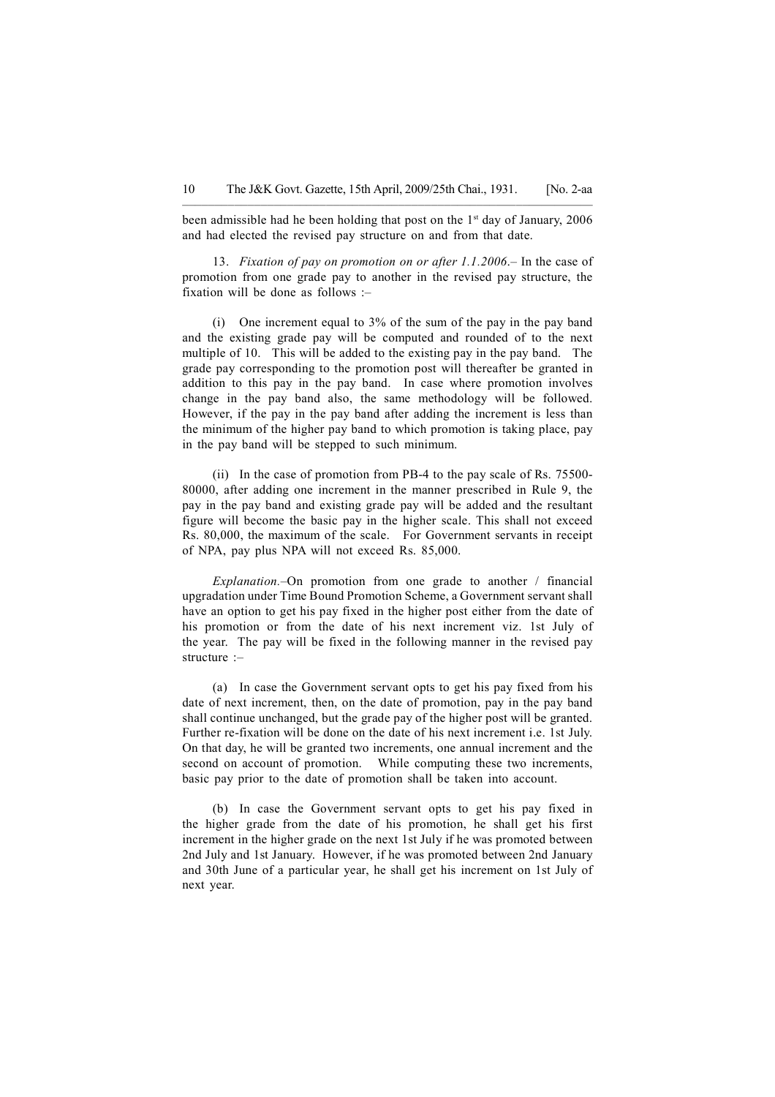been admissible had he been holding that post on the 1<sup>st</sup> day of January, 2006 and had elected the revised pay structure on and from that date.

13. Fixation of pay on promotion on or after 1.1.2006.– In the case of promotion from one grade pay to another in the revised pay structure, the fixation will be done as follows :–

(i) One increment equal to 3% of the sum of the pay in the pay band and the existing grade pay will be computed and rounded of to the next multiple of 10. This will be added to the existing pay in the pay band. The grade pay corresponding to the promotion post will thereafter be granted in addition to this pay in the pay band. In case where promotion involves change in the pay band also, the same methodology will be followed. However, if the pay in the pay band after adding the increment is less than the minimum of the higher pay band to which promotion is taking place, pay in the pay band will be stepped to such minimum.

(ii) In the case of promotion from PB-4 to the pay scale of Rs. 75500- 80000, after adding one increment in the manner prescribed in Rule 9, the pay in the pay band and existing grade pay will be added and the resultant figure will become the basic pay in the higher scale. This shall not exceed Rs. 80,000, the maximum of the scale. For Government servants in receipt of NPA, pay plus NPA will not exceed Rs. 85,000.

Explanation.–On promotion from one grade to another / financial upgradation under Time Bound Promotion Scheme, a Government servant shall have an option to get his pay fixed in the higher post either from the date of his promotion or from the date of his next increment viz. 1st July of the year. The pay will be fixed in the following manner in the revised pay structure :–

(a) In case the Government servant opts to get his pay fixed from his date of next increment, then, on the date of promotion, pay in the pay band shall continue unchanged, but the grade pay of the higher post will be granted. Further re-fixation will be done on the date of his next increment i.e. 1st July. On that day, he will be granted two increments, one annual increment and the second on account of promotion. While computing these two increments, basic pay prior to the date of promotion shall be taken into account.

(b) In case the Government servant opts to get his pay fixed in the higher grade from the date of his promotion, he shall get his first increment in the higher grade on the next 1st July if he was promoted between 2nd July and 1st January. However, if he was promoted between 2nd January and 30th June of a particular year, he shall get his increment on 1st July of next year.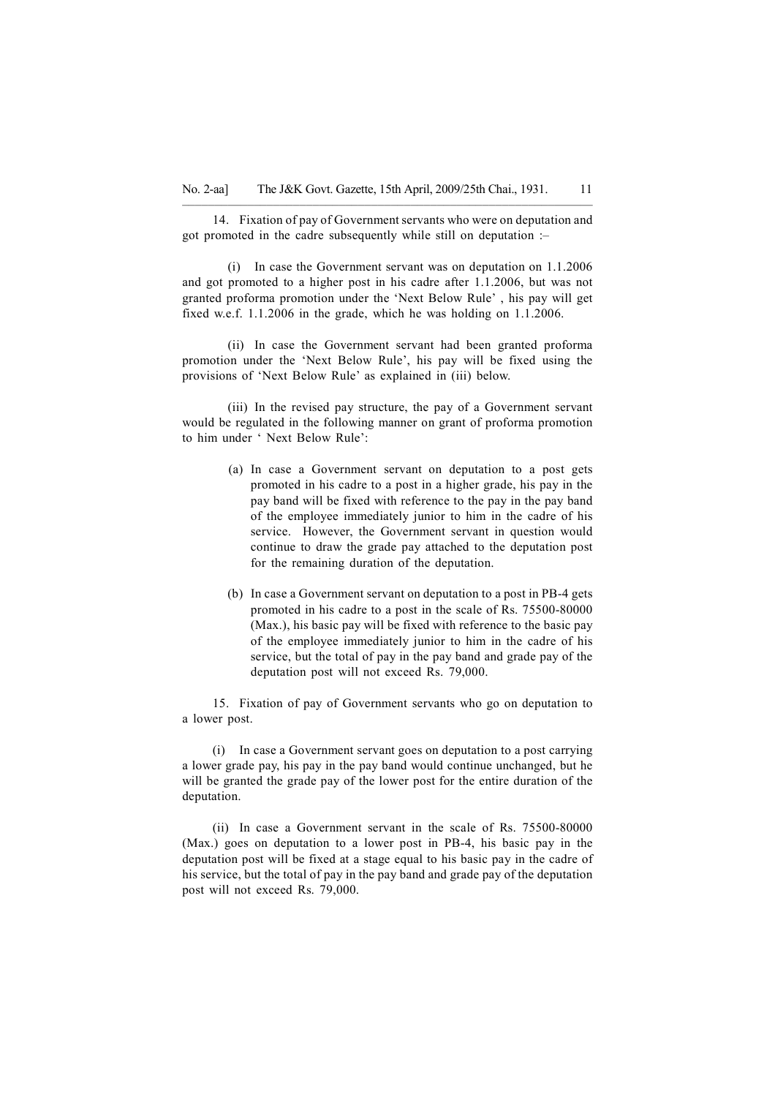–––––––—––––––––––––––––––––––––––––––––––––––––––––––––——— 14. Fixation of pay of Government servants who were on deputation and got promoted in the cadre subsequently while still on deputation :–

(i) In case the Government servant was on deputation on 1.1.2006 and got promoted to a higher post in his cadre after 1.1.2006, but was not granted proforma promotion under the 'Next Below Rule' , his pay will get fixed w.e.f. 1.1.2006 in the grade, which he was holding on 1.1.2006.

(ii) In case the Government servant had been granted proforma promotion under the 'Next Below Rule', his pay will be fixed using the provisions of 'Next Below Rule' as explained in (iii) below.

(iii) In the revised pay structure, the pay of a Government servant would be regulated in the following manner on grant of proforma promotion to him under ' Next Below Rule':

- (a) In case a Government servant on deputation to a post gets promoted in his cadre to a post in a higher grade, his pay in the pay band will be fixed with reference to the pay in the pay band of the employee immediately junior to him in the cadre of his service. However, the Government servant in question would continue to draw the grade pay attached to the deputation post for the remaining duration of the deputation.
- (b) In case a Government servant on deputation to a post in PB-4 gets promoted in his cadre to a post in the scale of Rs. 75500-80000 (Max.), his basic pay will be fixed with reference to the basic pay of the employee immediately junior to him in the cadre of his service, but the total of pay in the pay band and grade pay of the deputation post will not exceed Rs. 79,000.

15. Fixation of pay of Government servants who go on deputation to a lower post.

(i) In case a Government servant goes on deputation to a post carrying a lower grade pay, his pay in the pay band would continue unchanged, but he will be granted the grade pay of the lower post for the entire duration of the deputation.

(ii) In case a Government servant in the scale of Rs. 75500-80000 (Max.) goes on deputation to a lower post in PB-4, his basic pay in the deputation post will be fixed at a stage equal to his basic pay in the cadre of his service, but the total of pay in the pay band and grade pay of the deputation post will not exceed Rs. 79,000.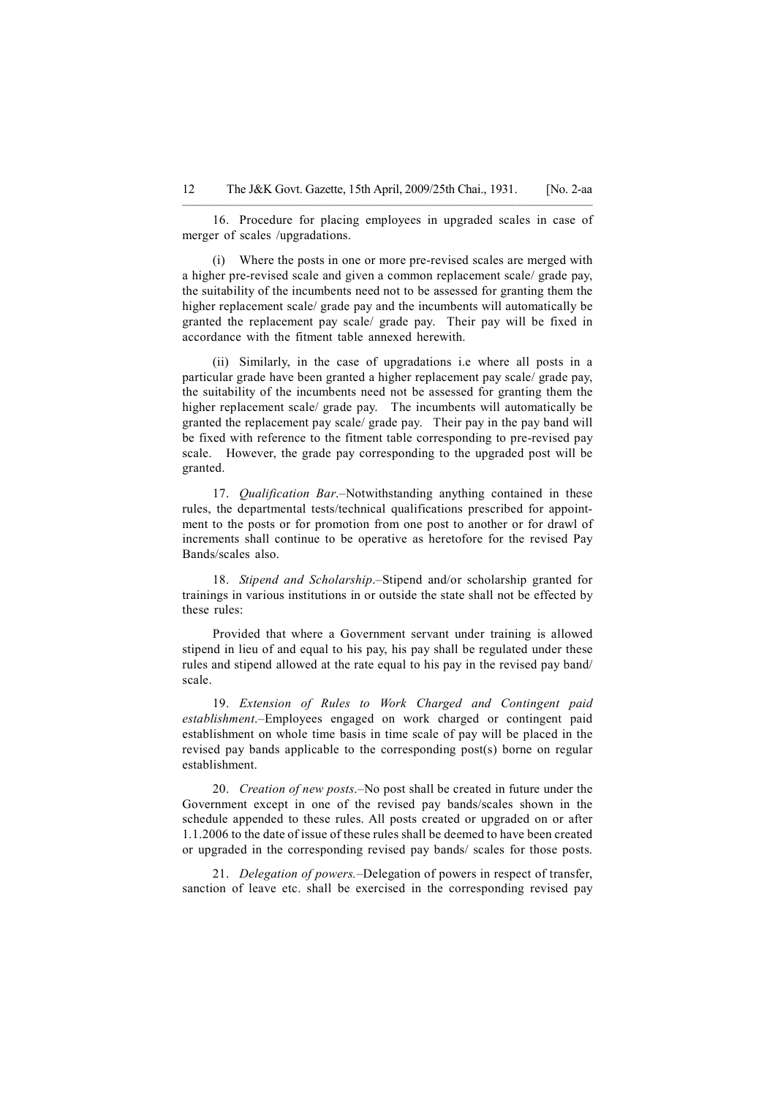16. Procedure for placing employees in upgraded scales in case of merger of scales /upgradations.

(i) Where the posts in one or more pre-revised scales are merged with a higher pre-revised scale and given a common replacement scale/ grade pay, the suitability of the incumbents need not to be assessed for granting them the higher replacement scale/ grade pay and the incumbents will automatically be granted the replacement pay scale/ grade pay. Their pay will be fixed in accordance with the fitment table annexed herewith.

(ii) Similarly, in the case of upgradations i.e where all posts in a particular grade have been granted a higher replacement pay scale/ grade pay, the suitability of the incumbents need not be assessed for granting them the higher replacement scale/ grade pay. The incumbents will automatically be granted the replacement pay scale/ grade pay. Their pay in the pay band will be fixed with reference to the fitment table corresponding to pre-revised pay scale. However, the grade pay corresponding to the upgraded post will be granted.

17. *Qualification Bar.*–Notwithstanding anything contained in these rules, the departmental tests/technical qualifications prescribed for appointment to the posts or for promotion from one post to another or for drawl of increments shall continue to be operative as heretofore for the revised Pay Bands/scales also.

18. Stipend and Scholarship.–Stipend and/or scholarship granted for trainings in various institutions in or outside the state shall not be effected by these rules:

Provided that where a Government servant under training is allowed stipend in lieu of and equal to his pay, his pay shall be regulated under these rules and stipend allowed at the rate equal to his pay in the revised pay band/ scale.

19. Extension of Rules to Work Charged and Contingent paid establishment.–Employees engaged on work charged or contingent paid establishment on whole time basis in time scale of pay will be placed in the revised pay bands applicable to the corresponding post(s) borne on regular establishment.

20. Creation of new posts.–No post shall be created in future under the Government except in one of the revised pay bands/scales shown in the schedule appended to these rules. All posts created or upgraded on or after 1.1.2006 to the date of issue of these rules shall be deemed to have been created or upgraded in the corresponding revised pay bands/ scales for those posts.

21. Delegation of powers.–Delegation of powers in respect of transfer, sanction of leave etc. shall be exercised in the corresponding revised pay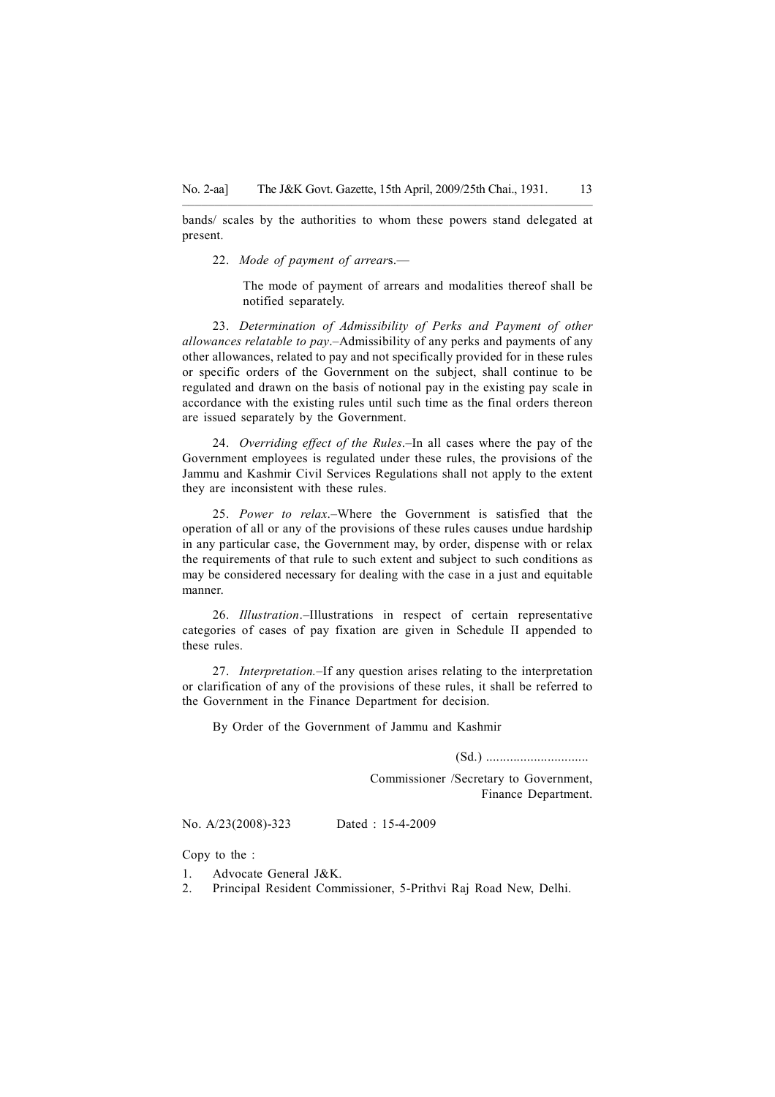–––––––—––––––––––––––––––––––––––––––––––––––––––––––––—— bands/ scales by the authorities to whom these powers stand delegated at present.

22. Mode of payment of arrears.—

The mode of payment of arrears and modalities thereof shall be notified separately.

23. Determination of Admissibility of Perks and Payment of other allowances relatable to pay.–Admissibility of any perks and payments of any other allowances, related to pay and not specifically provided for in these rules or specific orders of the Government on the subject, shall continue to be regulated and drawn on the basis of notional pay in the existing pay scale in accordance with the existing rules until such time as the final orders thereon are issued separately by the Government.

24. Overriding effect of the Rules.–In all cases where the pay of the Government employees is regulated under these rules, the provisions of the Jammu and Kashmir Civil Services Regulations shall not apply to the extent they are inconsistent with these rules.

25. Power to relax.–Where the Government is satisfied that the operation of all or any of the provisions of these rules causes undue hardship in any particular case, the Government may, by order, dispense with or relax the requirements of that rule to such extent and subject to such conditions as may be considered necessary for dealing with the case in a just and equitable manner.

26. Illustration.–Illustrations in respect of certain representative categories of cases of pay fixation are given in Schedule II appended to these rules.

27. Interpretation.–If any question arises relating to the interpretation or clarification of any of the provisions of these rules, it shall be referred to the Government in the Finance Department for decision.

By Order of the Government of Jammu and Kashmir

(Sd.) ..............................

Commissioner /Secretary to Government, Finance Department.

No. A/23(2008)-323 Dated : 15-4-2009

Copy to the :

- 1. Advocate General J&K.
- 2. Principal Resident Commissioner, 5-Prithvi Raj Road New, Delhi.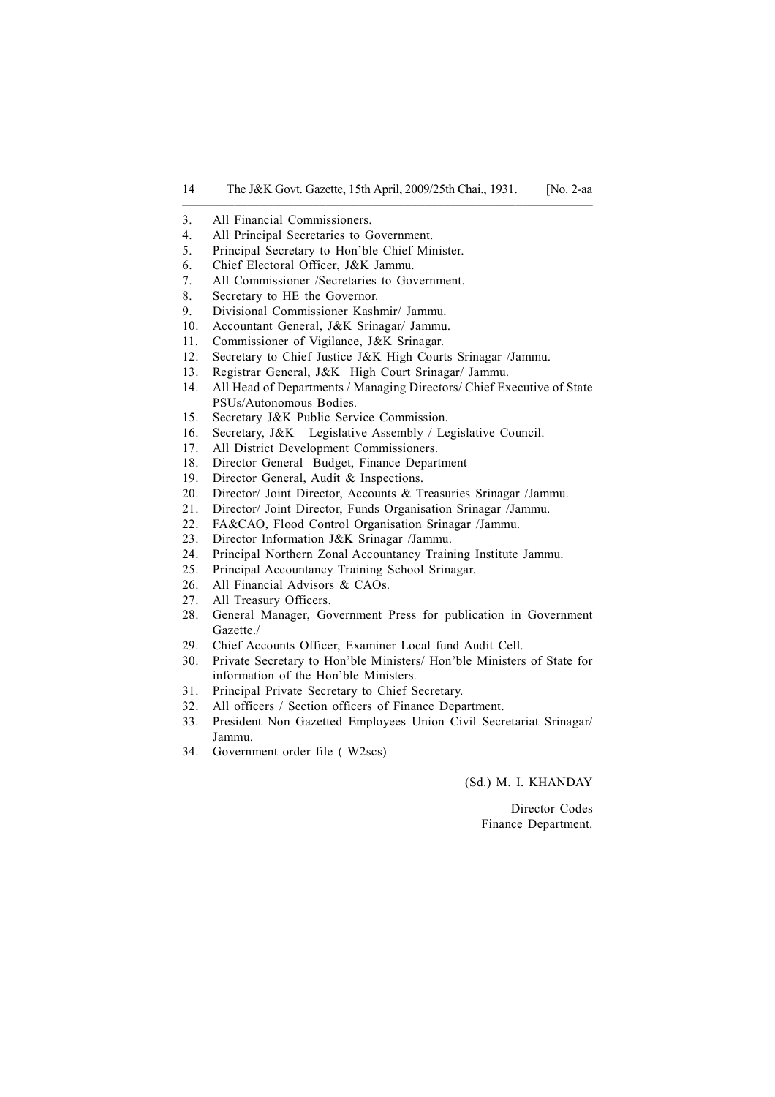- 3. All Financial Commissioners.
- 4. All Principal Secretaries to Government.
- 5. Principal Secretary to Hon'ble Chief Minister.
- 6. Chief Electoral Officer, J&K Jammu.
- 7. All Commissioner /Secretaries to Government.
- 8. Secretary to HE the Governor.
- 9. Divisional Commissioner Kashmir/ Jammu.
- 10. Accountant General, J&K Srinagar/ Jammu.
- 11. Commissioner of Vigilance, J&K Srinagar.
- 12. Secretary to Chief Justice J&K High Courts Srinagar /Jammu.
- 13. Registrar General, J&K High Court Srinagar/ Jammu.
- 14. All Head of Departments / Managing Directors/ Chief Executive of State PSUs/Autonomous Bodies.
- 15. Secretary J&K Public Service Commission.
- 16. Secretary, J&K Legislative Assembly / Legislative Council.
- 17. All District Development Commissioners.
- 18. Director General Budget, Finance Department
- 19. Director General, Audit & Inspections.
- 20. Director/ Joint Director, Accounts & Treasuries Srinagar /Jammu.
- 21. Director/ Joint Director, Funds Organisation Srinagar /Jammu.
- 22. FA&CAO, Flood Control Organisation Srinagar /Jammu.
- 23. Director Information J&K Srinagar /Jammu.
- 24. Principal Northern Zonal Accountancy Training Institute Jammu.
- 25. Principal Accountancy Training School Srinagar.
- 26. All Financial Advisors & CAOs.
- 27. All Treasury Officers.
- 28. General Manager, Government Press for publication in Government Gazette./
- 29. Chief Accounts Officer, Examiner Local fund Audit Cell.
- 30. Private Secretary to Hon'ble Ministers/ Hon'ble Ministers of State for information of the Hon'ble Ministers.
- 31. Principal Private Secretary to Chief Secretary.
- 32. All officers / Section officers of Finance Department.
- 33. President Non Gazetted Employees Union Civil Secretariat Srinagar/ Jammu.
- 34. Government order file ( W2scs)

(Sd.) M. I. KHANDAY

Director Codes Finance Department.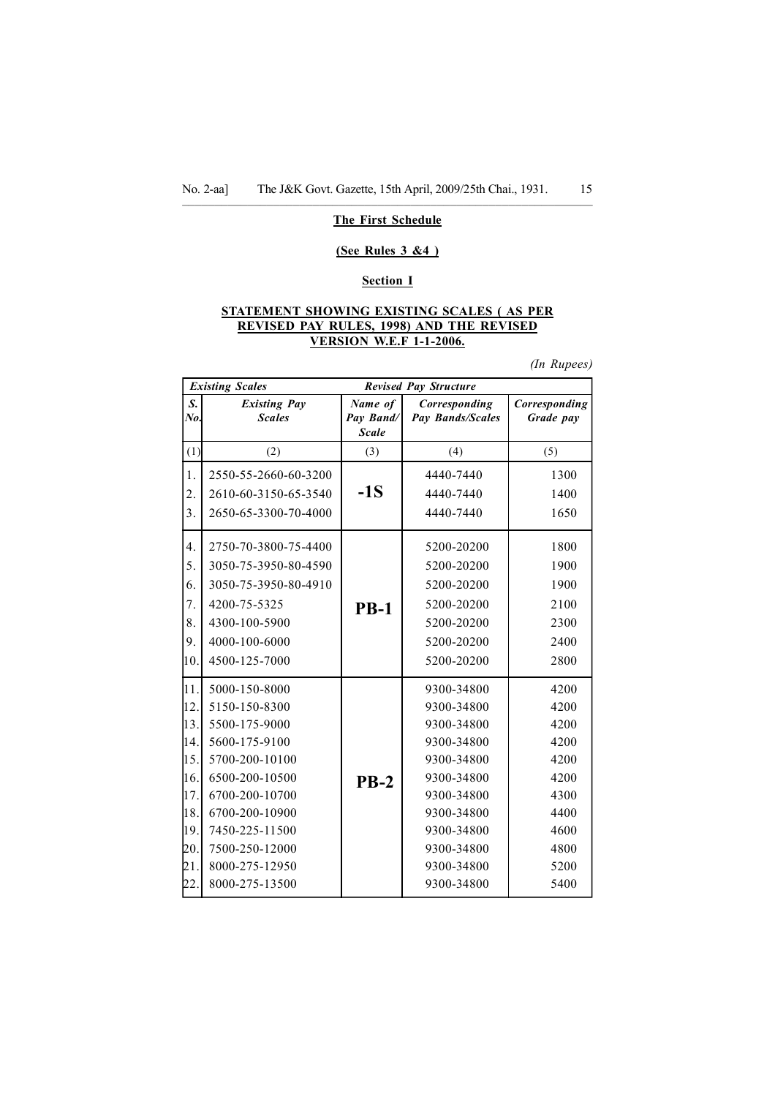#### –––––––—––––––––––––––––––––––––––––––––––––––––––––––––——— The First Schedule

#### (See Rules 3 &4 )

### Section I

### STATEMENT SHOWING EXISTING SCALES ( AS PER REVISED PAY RULES, 1998) AND THE REVISED VERSION W.E.F 1-1-2006.

(In Rupees)

|           | <b>Existing Scales</b>               |                                      | <b>Revised Pay Structure</b>      |                            |
|-----------|--------------------------------------|--------------------------------------|-----------------------------------|----------------------------|
| S.<br>No. | <b>Existing Pay</b><br><b>Scales</b> | Name of<br>Pay Band/<br><b>Scale</b> | Corresponding<br>Pay Bands/Scales | Corresponding<br>Grade pay |
| (1)       | (2)                                  | (3)                                  | (4)                               | (5)                        |
| 1.        | 2550-55-2660-60-3200                 |                                      | 4440-7440                         | 1300                       |
| 2.        | 2610-60-3150-65-3540                 | $-1S$                                | 4440-7440                         | 1400                       |
| 3.        | 2650-65-3300-70-4000                 |                                      | 4440-7440                         | 1650                       |
| 4.        | 2750-70-3800-75-4400                 |                                      | 5200-20200                        | 1800                       |
| 5.        | 3050-75-3950-80-4590                 |                                      | 5200-20200                        | 1900                       |
| 6.        | 3050-75-3950-80-4910                 |                                      | 5200-20200                        | 1900                       |
| 7.        | 4200-75-5325                         | $PB-1$                               | 5200-20200                        | 2100                       |
| 8.        | 4300-100-5900                        |                                      | 5200-20200                        | 2300                       |
| 9.        | 4000-100-6000                        |                                      | 5200-20200                        | 2400                       |
| 10.       | 4500-125-7000                        |                                      | 5200-20200                        | 2800                       |
| 11.       | 5000-150-8000                        |                                      | 9300-34800                        | 4200                       |
| 12.       | 5150-150-8300                        |                                      | 9300-34800                        | 4200                       |
| 13.       | 5500-175-9000                        |                                      | 9300-34800                        | 4200                       |
| 14.       | 5600-175-9100                        |                                      | 9300-34800                        | 4200                       |
| 15.       | 5700-200-10100                       |                                      | 9300-34800                        | 4200                       |
| 16.       | 6500-200-10500                       | $PB-2$                               | 9300-34800                        | 4200                       |
| 17.       | 6700-200-10700                       |                                      | 9300-34800                        | 4300                       |
| 18.       | 6700-200-10900                       |                                      | 9300-34800                        | 4400                       |
| 19.       | 7450-225-11500                       |                                      | 9300-34800                        | 4600                       |
| 20.       | 7500-250-12000                       |                                      | 9300-34800                        | 4800                       |
| 12.1      | 8000-275-12950                       |                                      | 9300-34800                        | 5200                       |
| 22.       | 8000-275-13500                       |                                      | 9300-34800                        | 5400                       |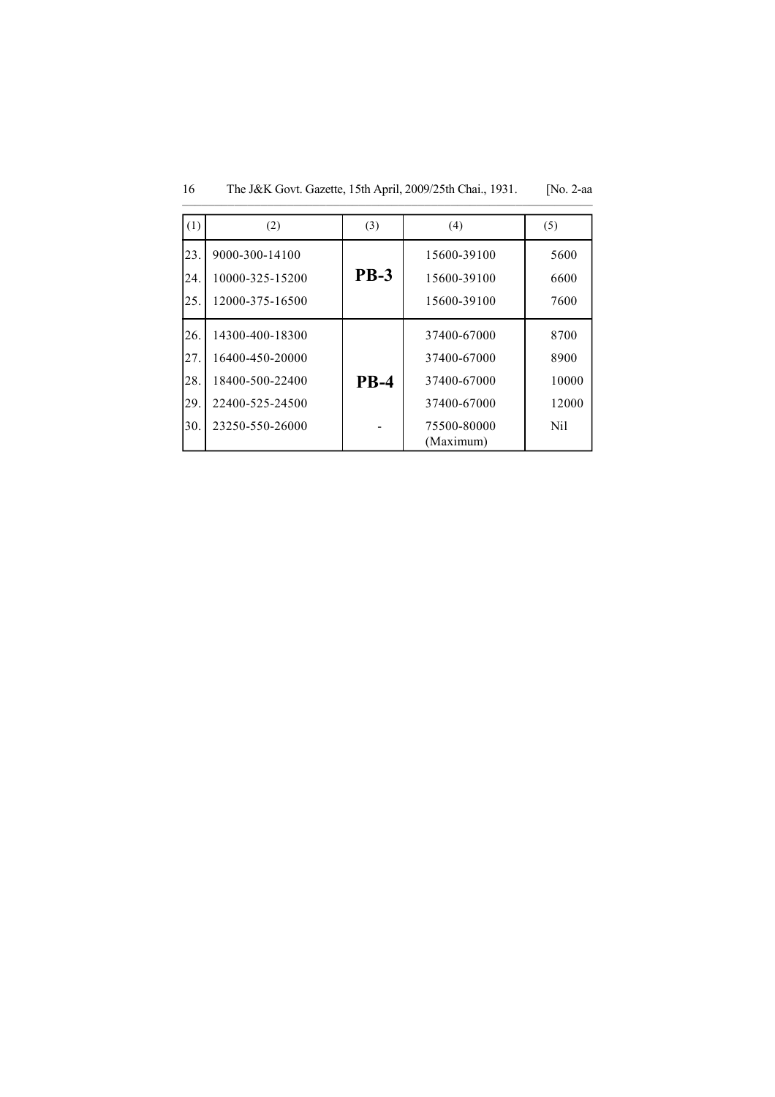| (1)                             | (2)                                                                                         | (3)         | (4)                                                                                  | (5)                                   |
|---------------------------------|---------------------------------------------------------------------------------------------|-------------|--------------------------------------------------------------------------------------|---------------------------------------|
| 23.<br>24.<br>25.               | 9000-300-14100<br>10000-325-15200<br>12000-375-16500                                        | <b>PB-3</b> | 15600-39100<br>15600-39100<br>15600-39100                                            | 5600<br>6600<br>7600                  |
| 26.<br>27.<br>28.<br>29.<br>30. | 14300-400-18300<br>16400-450-20000<br>18400-500-22400<br>22400-525-24500<br>23250-550-26000 | <b>PB-4</b> | 37400-67000<br>37400-67000<br>37400-67000<br>37400-67000<br>75500-80000<br>(Maximum) | 8700<br>8900<br>10000<br>12000<br>Nil |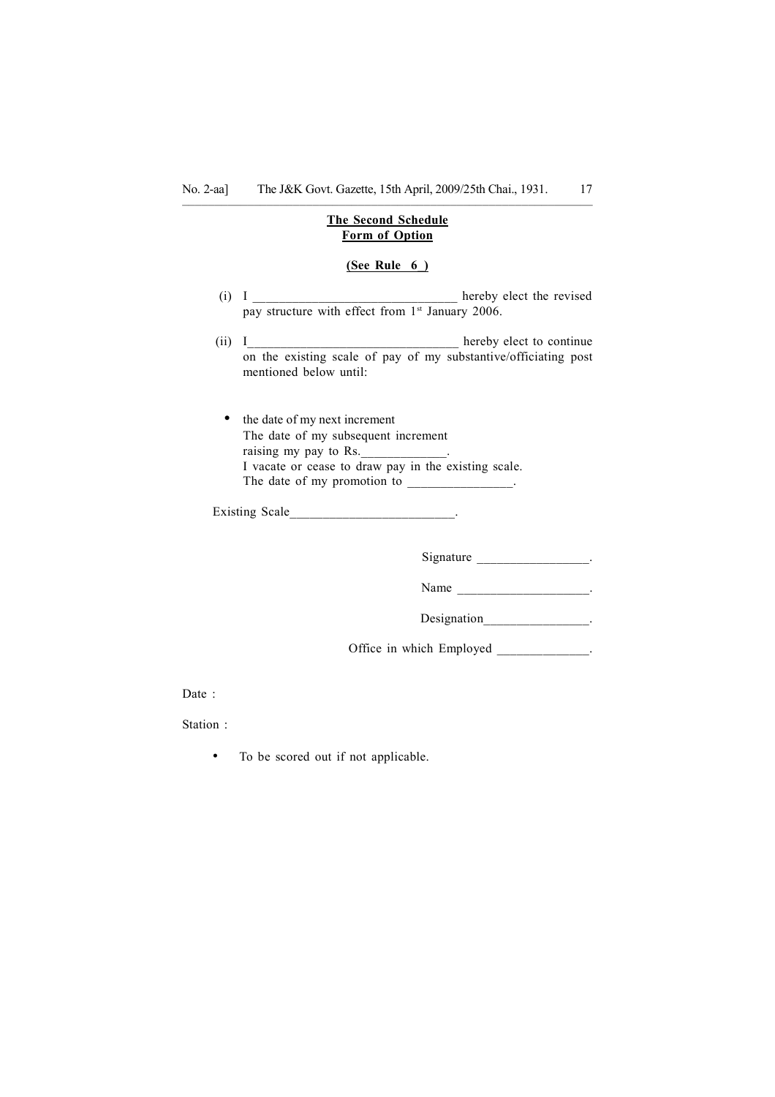### –––––––—––––––––––––––––––––––––––––––––––––––––––––––––——— The Second Schedule Form of Option

### (See Rule 6\_)

- $(i)$  I hereby elect the revised pay structure with effect from 1<sup>st</sup> January 2006.
- (ii) I\_\_\_\_\_\_\_\_\_\_\_\_\_\_\_\_\_\_\_\_\_\_\_\_\_\_\_\_\_\_\_\_ hereby elect to continue on the existing scale of pay of my substantive/officiating post mentioned below until:

• the date of my next increment The date of my subsequent increment raising my pay to Rs. I vacate or cease to draw pay in the existing scale. The date of my promotion to

Existing Scale that the set of the set of the set of the set of the set of the set of the set of the set of the set of the set of the set of the set of the set of the set of the set of the set of the set of the set of the

Signature \_\_\_\_\_\_\_\_\_\_\_\_\_\_\_\_\_\_\_\_.

Name \_\_\_\_\_\_\_\_\_\_\_\_\_\_\_\_\_\_\_\_\_\_\_\_\_\_\_.

Designation\_\_\_\_\_\_\_\_\_\_\_\_\_\_\_\_\_.

Office in which Employed .

Date :

Station :

• To be scored out if not applicable.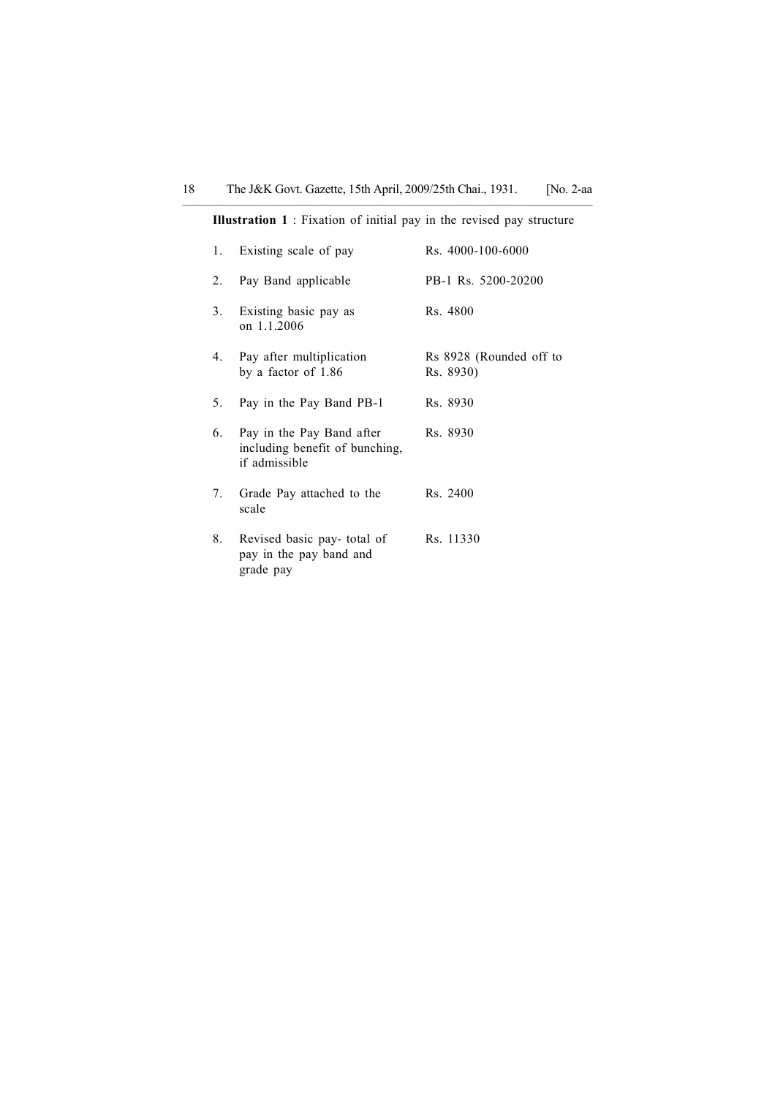Illustration 1 : Fixation of initial pay in the revised pay structure

| 1. | Existing scale of pay                                                        | Rs. 4000-100-6000                    |
|----|------------------------------------------------------------------------------|--------------------------------------|
| 2. | Pay Band applicable                                                          | PB-1 Rs. 5200-20200                  |
| 3. | Existing basic pay as<br>on 1.1.2006                                         | Rs. 4800                             |
| 4. | Pay after multiplication<br>by a factor of 1.86                              | Rs 8928 (Rounded off to<br>Rs. 8930) |
| 5. | Pay in the Pay Band PB-1                                                     | Rs. 8930                             |
| 6. | Pay in the Pay Band after<br>including benefit of bunching,<br>if admissible | Rs. 8930                             |
| 7. | Grade Pay attached to the<br>scale                                           | Rs. 2400                             |
| 8. | Revised basic pay-total of<br>pay in the pay band and<br>grade pay           | Rs. 11330                            |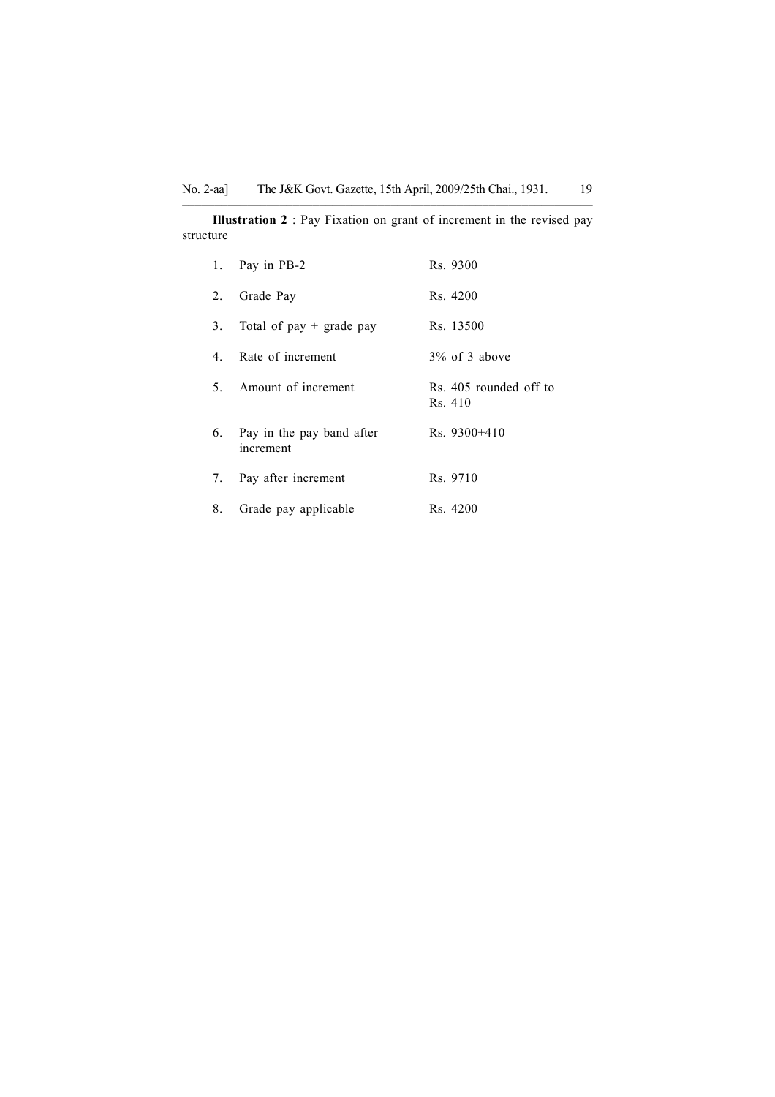–––––––—––––––––––––––––––––––––––––––––––––––––––––––––——— Illustration 2 : Pay Fixation on grant of increment in the revised pay structure

|    | 1. Pay in PB-2                         | Rs. 9300                          |
|----|----------------------------------------|-----------------------------------|
| 2. | Grade Pay                              | Rs. 4200                          |
| 3. | Total of $pay + grade pay$             | Rs. 13500                         |
|    | 4. Rate of increment                   | $3\%$ of 3 above                  |
|    | 5. Amount of increment                 | Rs. 405 rounded off to<br>Rs. 410 |
| 6. | Pay in the pay band after<br>increment | $Rs. 9300 + 410$                  |
|    | 7. Pay after increment                 | Rs. 9710                          |
| 8. | Grade pay applicable                   | Rs. 4200                          |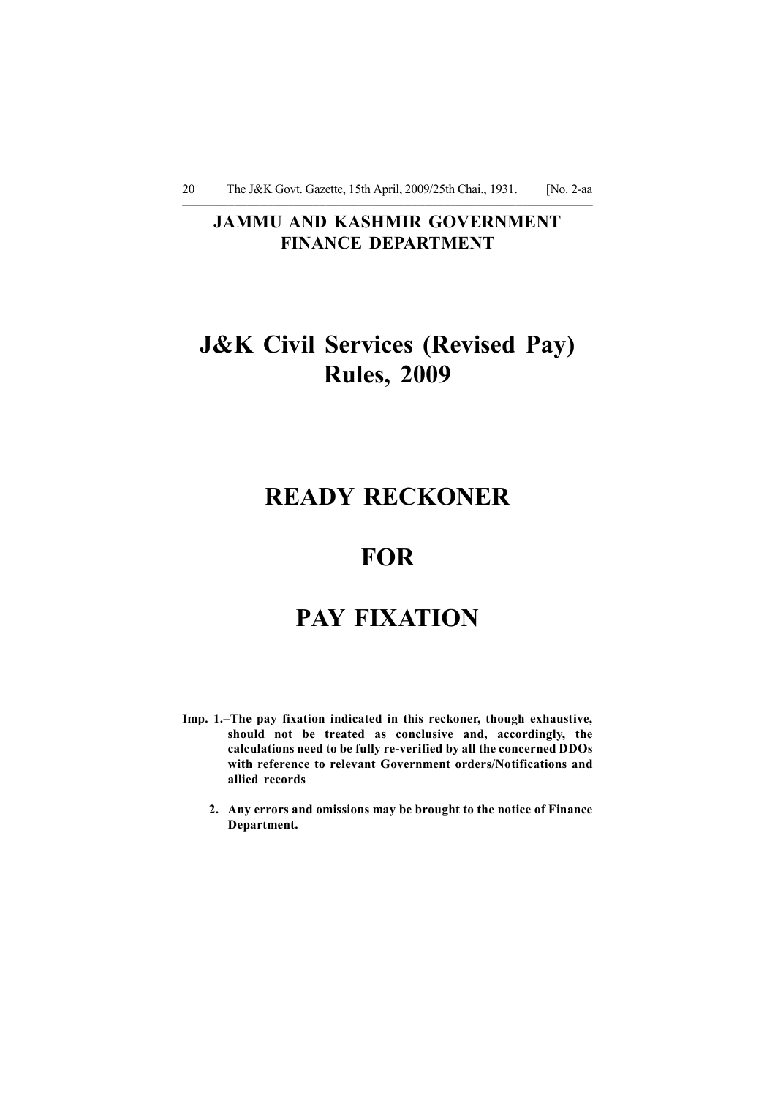## JAMMU AND KASHMIR GOVERNMENT FINANCE DEPARTMENT

# J&K Civil Services (Revised Pay) Rules, 2009

# READY RECKONER

## **FOR**

# PAY FIXATION

- Imp. 1.–The pay fixation indicated in this reckoner, though exhaustive, should not be treated as conclusive and, accordingly, the calculations need to be fully re-verified by all the concerned DDOs with reference to relevant Government orders/Notifications and allied records
	- 2. Any errors and omissions may be brought to the notice of Finance Department.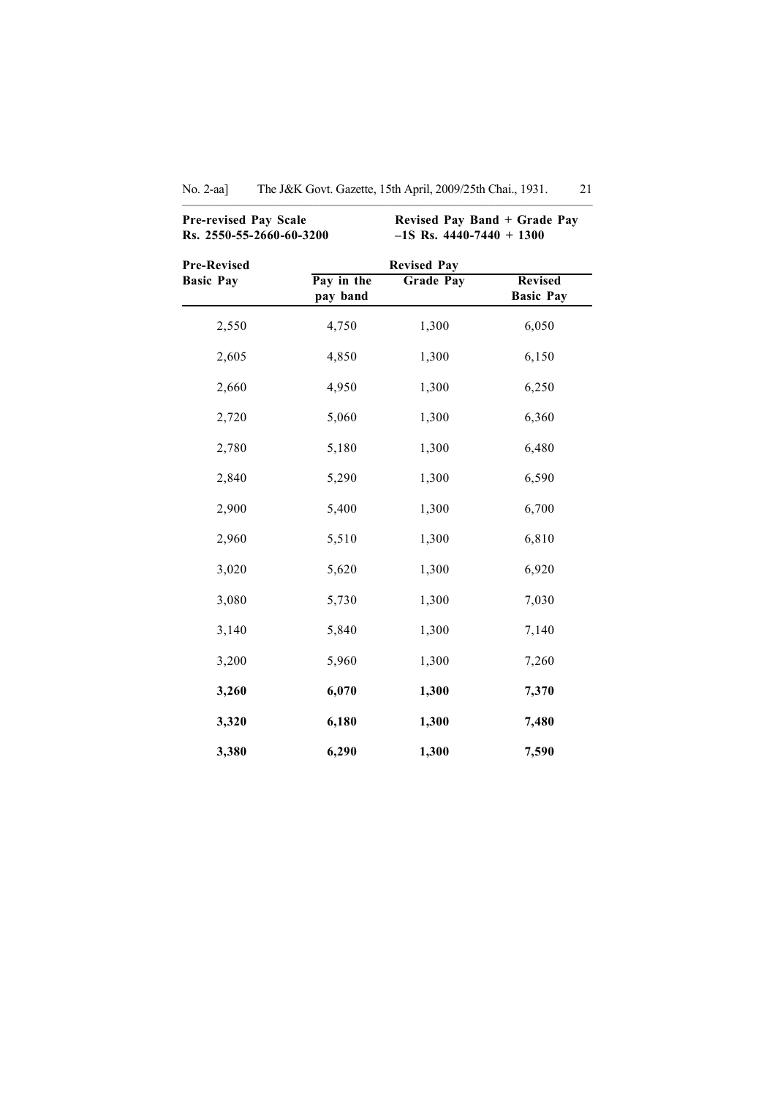|                                        | <b>Pre-revised Pay Scale</b><br>Revised Pay Band + Grade Pay<br>Rs. 2550-55-2660-60-3200<br>$-1S$ Rs. 4440-7440 + 1300 |                                        |                                    |
|----------------------------------------|------------------------------------------------------------------------------------------------------------------------|----------------------------------------|------------------------------------|
| <b>Pre-Revised</b><br><b>Basic Pay</b> | Pay in the<br>pay band                                                                                                 | <b>Revised Pay</b><br><b>Grade Pay</b> | <b>Revised</b><br><b>Basic Pay</b> |
| 2,550                                  | 4,750                                                                                                                  | 1,300                                  | 6,050                              |
| 2,605                                  | 4,850                                                                                                                  | 1,300                                  | 6,150                              |
| 2,660                                  | 4,950                                                                                                                  | 1,300                                  | 6,250                              |
| 2,720                                  | 5,060                                                                                                                  | 1,300                                  | 6,360                              |
| 2,780                                  | 5,180                                                                                                                  | 1,300                                  | 6,480                              |
| 2,840                                  | 5,290                                                                                                                  | 1,300                                  | 6,590                              |
| 2,900                                  | 5,400                                                                                                                  | 1,300                                  | 6,700                              |
| 2,960                                  | 5,510                                                                                                                  | 1,300                                  | 6,810                              |
| 3,020                                  | 5,620                                                                                                                  | 1,300                                  | 6,920                              |
| 3,080                                  | 5,730                                                                                                                  | 1,300                                  | 7,030                              |
| 3,140                                  | 5,840                                                                                                                  | 1,300                                  | 7,140                              |
| 3,200                                  | 5,960                                                                                                                  | 1,300                                  | 7,260                              |
| 3,260                                  | 6,070                                                                                                                  | 1,300                                  | 7,370                              |
| 3,320                                  | 6,180                                                                                                                  | 1,300                                  | 7,480                              |
| 3,380                                  | 6,290                                                                                                                  | 1,300                                  | 7,590                              |

No. 2-aa] The J&K Govt. Gazette, 15th April, 2009/25th Chai., 1931. 21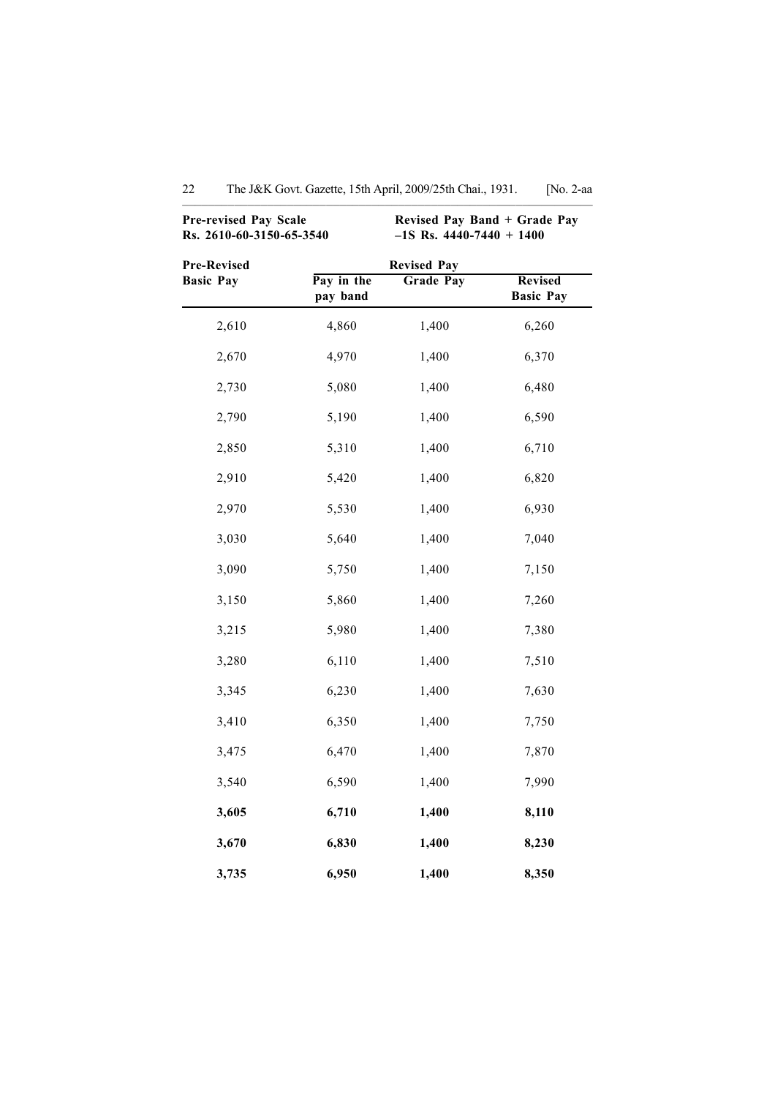|                                 | <b>Pre-revised Pay Scale</b><br>Rs. 2610-60-3150-65-3540 |                                        | Revised Pay Band + Grade Pay<br>$-1S$ Rs. 4440-7440 + 1400 |  |  |
|---------------------------------|----------------------------------------------------------|----------------------------------------|------------------------------------------------------------|--|--|
| Pre-Revised<br><b>Basic Pay</b> | Pay in the<br>pay band                                   | <b>Revised Pay</b><br><b>Grade Pay</b> | <b>Revised</b><br><b>Basic Pay</b>                         |  |  |
| 2,610                           | 4,860                                                    | 1,400                                  | 6,260                                                      |  |  |
| 2,670                           | 4,970                                                    | 1,400                                  | 6,370                                                      |  |  |
| 2,730                           | 5,080                                                    | 1,400                                  | 6,480                                                      |  |  |
| 2,790                           | 5,190                                                    | 1,400                                  | 6,590                                                      |  |  |
| 2,850                           | 5,310                                                    | 1,400                                  | 6,710                                                      |  |  |
| 2,910                           | 5,420                                                    | 1,400                                  | 6,820                                                      |  |  |
| 2,970                           | 5,530                                                    | 1,400                                  | 6,930                                                      |  |  |
| 3,030                           | 5,640                                                    | 1,400                                  | 7,040                                                      |  |  |
| 3,090                           | 5,750                                                    | 1,400                                  | 7,150                                                      |  |  |
| 3,150                           | 5,860                                                    | 1,400                                  | 7,260                                                      |  |  |
| 3,215                           | 5,980                                                    | 1,400                                  | 7,380                                                      |  |  |
| 3,280                           | 6,110                                                    | 1,400                                  | 7,510                                                      |  |  |
| 3,345                           | 6,230                                                    | 1,400                                  | 7,630                                                      |  |  |
| 3,410                           | 6,350                                                    | 1,400                                  | 7,750                                                      |  |  |
| 3,475                           | 6,470                                                    | 1,400                                  | 7,870                                                      |  |  |
| 3,540                           | 6,590                                                    | 1,400                                  | 7,990                                                      |  |  |
| 3,605                           | 6,710                                                    | 1,400                                  | 8,110                                                      |  |  |
| 3,670                           | 6,830                                                    | 1,400                                  | 8,230                                                      |  |  |
| 3,735                           | 6,950                                                    | 1,400                                  | 8,350                                                      |  |  |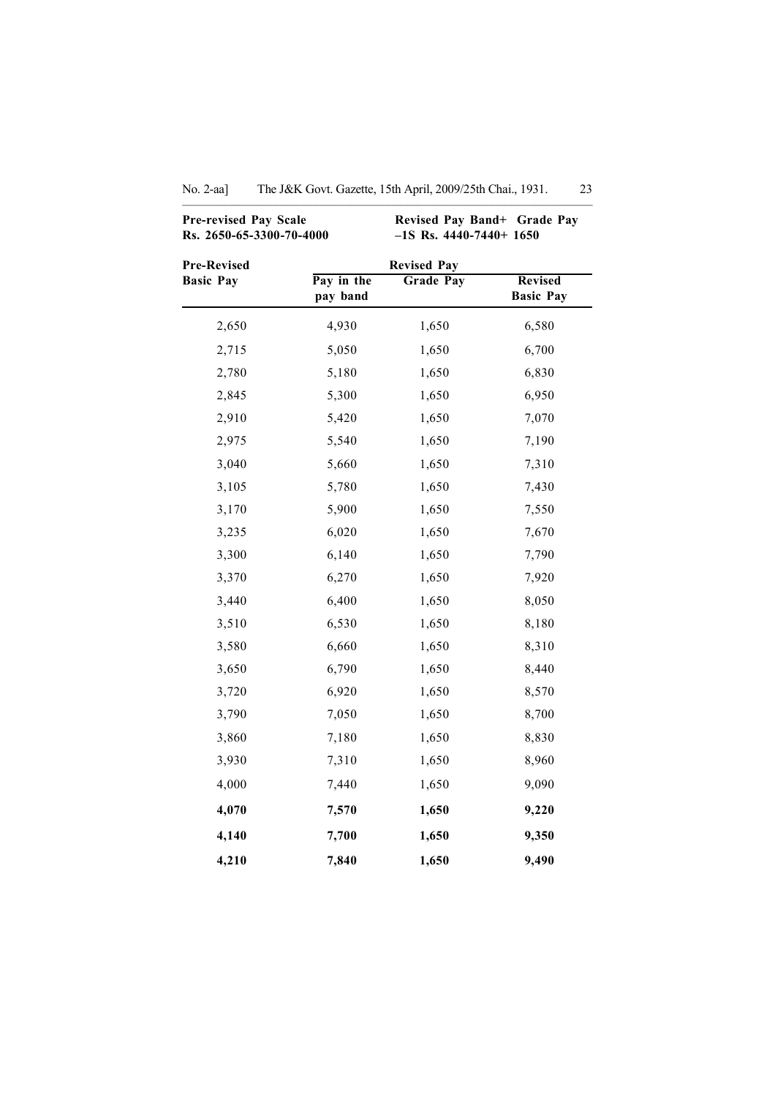| <b>Pre-revised Pay Scale</b><br>Rs. 2650-65-3300-70-4000 |                        | Revised Pay Band+ Grade Pay<br>$-1S$ Rs. 4440-7440+ 1650 |                                    |
|----------------------------------------------------------|------------------------|----------------------------------------------------------|------------------------------------|
| <b>Pre-Revised</b>                                       |                        | <b>Revised Pay</b>                                       |                                    |
| <b>Basic Pay</b>                                         | Pay in the<br>pay band | <b>Grade Pay</b>                                         | <b>Revised</b><br><b>Basic Pay</b> |
| 2,650                                                    | 4,930                  | 1,650                                                    | 6,580                              |
| 2,715                                                    | 5,050                  | 1,650                                                    | 6,700                              |
| 2,780                                                    | 5,180                  | 1,650                                                    | 6,830                              |
| 2,845                                                    | 5,300                  | 1,650                                                    | 6,950                              |
| 2,910                                                    | 5,420                  | 1,650                                                    | 7,070                              |
| 2,975                                                    | 5,540                  | 1,650                                                    | 7,190                              |
| 3,040                                                    | 5,660                  | 1,650                                                    | 7,310                              |
| 3,105                                                    | 5,780                  | 1,650                                                    | 7,430                              |
| 3,170                                                    | 5,900                  | 1,650                                                    | 7,550                              |
| 3,235                                                    | 6,020                  | 1,650                                                    | 7,670                              |
| 3,300                                                    | 6,140                  | 1,650                                                    | 7,790                              |
| 3,370                                                    | 6,270                  | 1,650                                                    | 7,920                              |
| 3,440                                                    | 6,400                  | 1,650                                                    | 8,050                              |
| 3,510                                                    | 6,530                  | 1,650                                                    | 8,180                              |
| 3,580                                                    | 6,660                  | 1,650                                                    | 8,310                              |
| 3,650                                                    | 6,790                  | 1,650                                                    | 8,440                              |
| 3,720                                                    | 6,920                  | 1,650                                                    | 8,570                              |
| 3,790                                                    | 7,050                  | 1,650                                                    | 8,700                              |
| 3,860                                                    | 7,180                  | 1,650                                                    | 8,830                              |
| 3,930                                                    | 7,310                  | 1,650                                                    | 8,960                              |
| 4,000                                                    | 7,440                  | 1,650                                                    | 9,090                              |
| 4,070                                                    | 7,570                  | 1,650                                                    | 9,220                              |
| 4,140                                                    | 7,700                  | 1,650                                                    | 9,350                              |
| 4,210                                                    | 7,840                  | 1,650                                                    | 9,490                              |

No. 2-aa] The J&K Govt. Gazette, 15th April, 2009/25th Chai., 1931. 23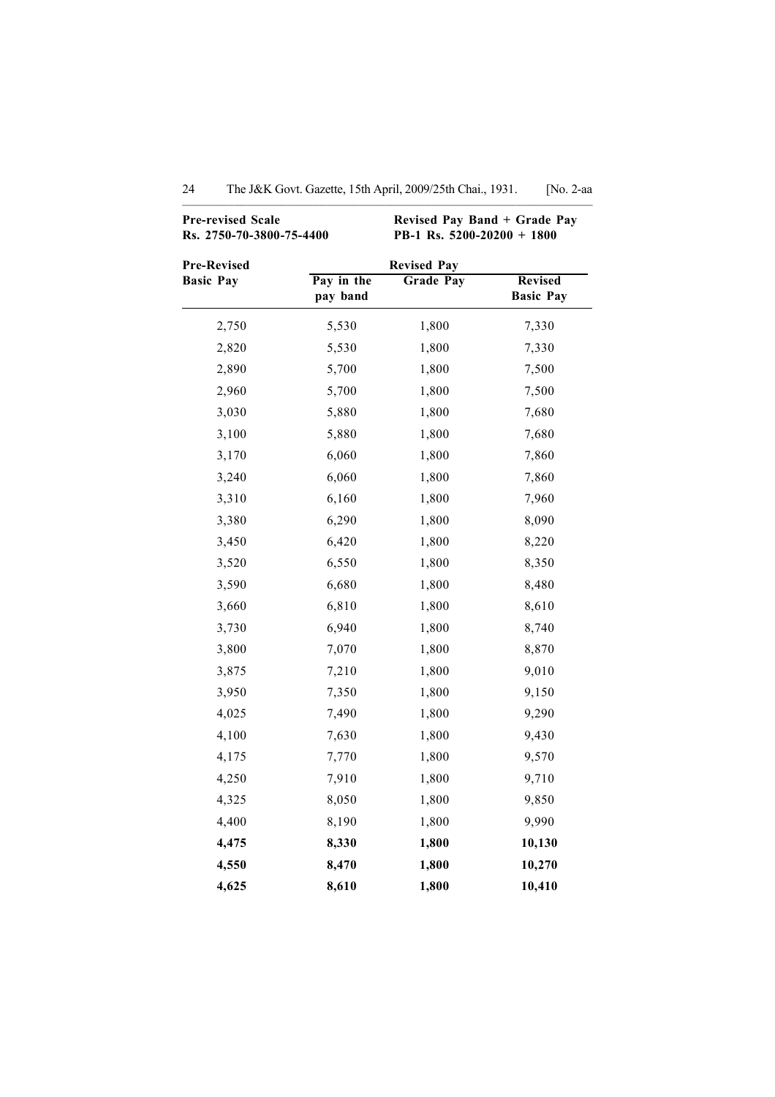| <b>Pre-revised Scale</b>        | Rs. 2750-70-3800-75-4400 |                                        | Revised Pay Band + Grade Pay<br>PB-1 Rs. $5200-20200 + 1800$ |  |  |
|---------------------------------|--------------------------|----------------------------------------|--------------------------------------------------------------|--|--|
| Pre-Revised<br><b>Basic Pay</b> | Pay in the<br>pay band   | <b>Revised Pay</b><br><b>Grade Pay</b> | <b>Revised</b><br><b>Basic Pay</b>                           |  |  |
| 2,750                           | 5,530                    | 1,800                                  | 7,330                                                        |  |  |
| 2,820                           | 5,530                    | 1,800                                  | 7,330                                                        |  |  |
| 2,890                           | 5,700                    | 1,800                                  | 7,500                                                        |  |  |
| 2,960                           | 5,700                    | 1,800                                  | 7,500                                                        |  |  |
| 3,030                           | 5,880                    | 1,800                                  | 7,680                                                        |  |  |
| 3,100                           | 5,880                    | 1,800                                  | 7,680                                                        |  |  |
| 3,170                           | 6,060                    | 1,800                                  | 7,860                                                        |  |  |
| 3,240                           | 6,060                    | 1,800                                  | 7,860                                                        |  |  |
| 3,310                           | 6,160                    | 1,800                                  | 7,960                                                        |  |  |
| 3,380                           | 6,290                    | 1,800                                  | 8,090                                                        |  |  |
| 3,450                           | 6,420                    | 1,800                                  | 8,220                                                        |  |  |
| 3,520                           | 6,550                    | 1,800                                  | 8,350                                                        |  |  |
| 3,590                           | 6,680                    | 1,800                                  | 8,480                                                        |  |  |
| 3,660                           | 6,810                    | 1,800                                  | 8,610                                                        |  |  |
| 3,730                           | 6,940                    | 1,800                                  | 8,740                                                        |  |  |
| 3,800                           | 7,070                    | 1,800                                  | 8,870                                                        |  |  |
| 3,875                           | 7,210                    | 1,800                                  | 9,010                                                        |  |  |
| 3,950                           | 7,350                    | 1,800                                  | 9,150                                                        |  |  |
| 4,025                           | 7,490                    | 1,800                                  | 9,290                                                        |  |  |
| 4,100                           | 7,630                    | 1,800                                  | 9,430                                                        |  |  |
| 4,175                           | 7,770                    | 1,800                                  | 9,570                                                        |  |  |
| 4,250                           | 7,910                    | 1,800                                  | 9,710                                                        |  |  |
| 4,325                           | 8,050                    | 1,800                                  | 9,850                                                        |  |  |
| 4,400                           | 8,190                    | 1,800                                  | 9,990                                                        |  |  |
| 4,475                           | 8,330                    | 1,800                                  | 10,130                                                       |  |  |
| 4,550                           | 8,470                    | 1,800                                  | 10,270                                                       |  |  |
| 4,625                           | 8,610                    | 1,800                                  | 10,410                                                       |  |  |

### 24 The J&K Govt. Gazette, 15th April, 2009/25th Chai., 1931. [No. 2-aa ––––––––––––––––––––––––––––––––––––––––––––––––—–––—————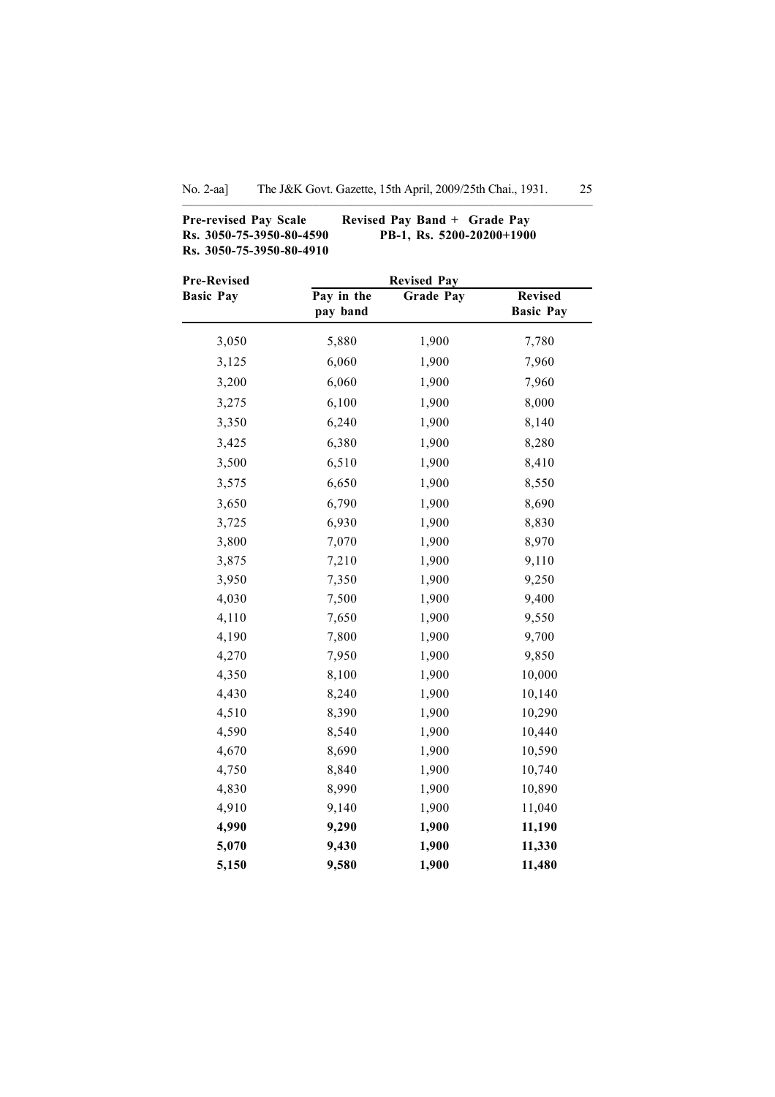–––––––—––––––––––––––––––––––––––––––––––––––––––––––––———

Pre-revised Pay Scale Revised Pay Band + Grade Pay Rs. 3050-75-3950-80-4590 PB-1, Rs. 5200-20200+1900 Rs. 3050-75-3950-80-4910

| <b>Pre-Revised</b> | <b>Revised Pay</b>     |                  |                                    |
|--------------------|------------------------|------------------|------------------------------------|
| <b>Basic Pay</b>   | Pay in the<br>pay band | <b>Grade Pay</b> | <b>Revised</b><br><b>Basic Pay</b> |
| 3,050              | 5,880                  | 1,900            | 7,780                              |
| 3,125              | 6,060                  | 1,900            | 7,960                              |
| 3,200              | 6,060                  | 1,900            | 7,960                              |
| 3,275              | 6,100                  | 1,900            | 8,000                              |
| 3,350              | 6,240                  | 1,900            | 8,140                              |
| 3,425              | 6,380                  | 1,900            | 8,280                              |
| 3,500              | 6,510                  | 1,900            | 8,410                              |
| 3,575              | 6,650                  | 1,900            | 8,550                              |
| 3,650              | 6,790                  | 1,900            | 8,690                              |
| 3,725              | 6,930                  | 1,900            | 8,830                              |
| 3,800              | 7,070                  | 1,900            | 8,970                              |
| 3,875              | 7,210                  | 1,900            | 9,110                              |
| 3,950              | 7,350                  | 1,900            | 9,250                              |
| 4,030              | 7,500                  | 1,900            | 9,400                              |
| 4,110              | 7,650                  | 1,900            | 9,550                              |
| 4,190              | 7,800                  | 1,900            | 9,700                              |
| 4,270              | 7,950                  | 1,900            | 9,850                              |
| 4,350              | 8,100                  | 1,900            | 10,000                             |
| 4,430              | 8,240                  | 1,900            | 10,140                             |
| 4,510              | 8,390                  | 1,900            | 10,290                             |
| 4,590              | 8,540                  | 1,900            | 10,440                             |
| 4,670              | 8,690                  | 1,900            | 10,590                             |
| 4,750              | 8,840                  | 1,900            | 10,740                             |
| 4,830              | 8,990                  | 1,900            | 10,890                             |
| 4,910              | 9,140                  | 1,900            | 11,040                             |
| 4,990              | 9,290                  | 1,900            | 11,190                             |
| 5,070              | 9,430                  | 1,900            | 11,330                             |
| 5,150              | 9,580                  | 1,900            | 11,480                             |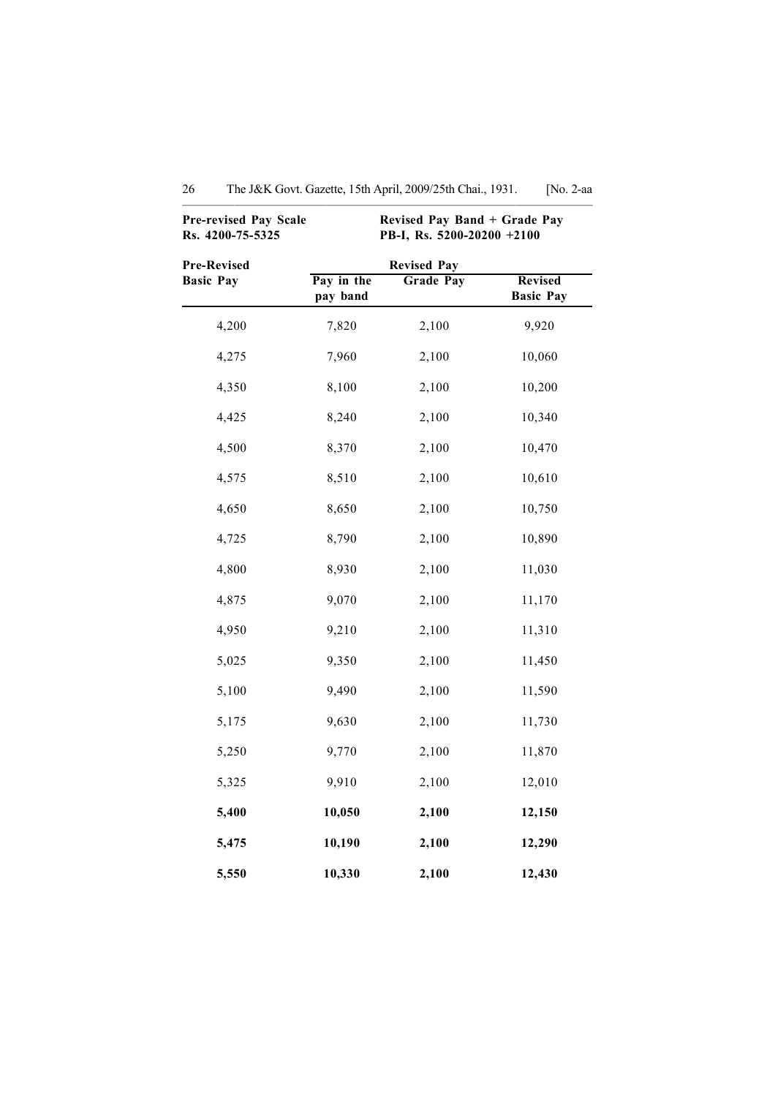| <b>Pre-revised Pay Scale</b><br>Rs. 4200-75-5325 |                        | Revised Pay Band + Grade Pay<br>PB-I, Rs. 5200-20200 +2100 |                                    |
|--------------------------------------------------|------------------------|------------------------------------------------------------|------------------------------------|
| <b>Pre-Revised</b><br><b>Basic Pay</b>           | Pay in the<br>pay band | <b>Revised Pay</b><br><b>Grade Pay</b>                     | <b>Revised</b><br><b>Basic Pay</b> |
| 4,200                                            | 7,820                  | 2,100                                                      | 9,920                              |
| 4,275                                            | 7,960                  | 2,100                                                      | 10,060                             |
| 4,350                                            | 8,100                  | 2,100                                                      | 10,200                             |
| 4,425                                            | 8,240                  | 2,100                                                      | 10,340                             |
| 4,500                                            | 8,370                  | 2,100                                                      | 10,470                             |
| 4,575                                            | 8,510                  | 2,100                                                      | 10,610                             |
| 4,650                                            | 8,650                  | 2,100                                                      | 10,750                             |
| 4,725                                            | 8,790                  | 2,100                                                      | 10,890                             |
| 4,800                                            | 8,930                  | 2,100                                                      | 11,030                             |
| 4,875                                            | 9,070                  | 2,100                                                      | 11,170                             |
| 4,950                                            | 9,210                  | 2,100                                                      | 11,310                             |
| 5,025                                            | 9,350                  | 2,100                                                      | 11,450                             |
| 5,100                                            | 9,490                  | 2,100                                                      | 11,590                             |
| 5,175                                            | 9,630                  | 2,100                                                      | 11,730                             |
| 5,250                                            | 9,770                  | 2,100                                                      | 11,870                             |
| 5,325                                            | 9,910                  | 2,100                                                      | 12,010                             |
| 5,400                                            | 10,050                 | 2,100                                                      | 12,150                             |
| 5,475                                            | 10,190                 | 2,100                                                      | 12,290                             |
| 5,550                                            | 10,330                 | 2,100                                                      | 12,430                             |

| 26 | The J&K Govt. Gazette, 15th April, 2009/25th Chai., 1931. |  |  |  | [No. $2$ -aa |
|----|-----------------------------------------------------------|--|--|--|--------------|
|----|-----------------------------------------------------------|--|--|--|--------------|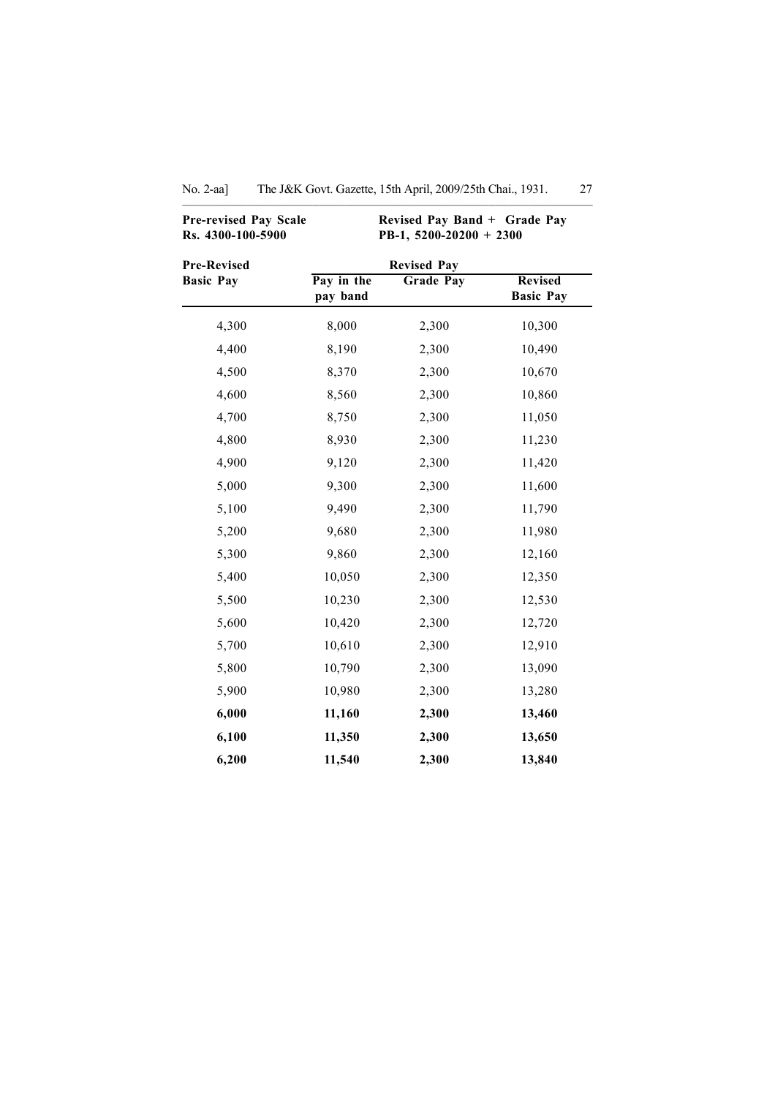| <b>Pre-revised Pay Scale</b><br>Rs. 4300-100-5900 | Revised Pay Band + Grade Pay<br>PB-1, 5200-20200 + 2300 |                    |                                    |  |  |
|---------------------------------------------------|---------------------------------------------------------|--------------------|------------------------------------|--|--|
| <b>Pre-Revised</b>                                |                                                         | <b>Revised Pay</b> |                                    |  |  |
| <b>Basic Pay</b>                                  | Pay in the<br>pay band                                  | <b>Grade Pay</b>   | <b>Revised</b><br><b>Basic Pay</b> |  |  |
| 4,300                                             | 8,000                                                   | 2,300              | 10,300                             |  |  |
| 4,400                                             | 8,190                                                   | 2,300              | 10,490                             |  |  |
| 4,500                                             | 8,370                                                   | 2,300              | 10,670                             |  |  |
| 4,600                                             | 8,560                                                   | 2,300              | 10,860                             |  |  |
| 4,700                                             | 8,750                                                   | 2,300              | 11,050                             |  |  |
| 4,800                                             | 8,930                                                   | 2,300              | 11,230                             |  |  |
| 4,900                                             | 9,120                                                   | 2,300              | 11,420                             |  |  |
| 5,000                                             | 9,300                                                   | 2,300              | 11,600                             |  |  |
| 5,100                                             | 9,490                                                   | 2,300              | 11,790                             |  |  |
| 5,200                                             | 9,680                                                   | 2,300              | 11,980                             |  |  |
| 5,300                                             | 9,860                                                   | 2,300              | 12,160                             |  |  |
| 5,400                                             | 10,050                                                  | 2,300              | 12,350                             |  |  |
| 5,500                                             | 10,230                                                  | 2,300              | 12,530                             |  |  |
| 5,600                                             | 10,420                                                  | 2,300              | 12,720                             |  |  |
| 5,700                                             | 10,610                                                  | 2,300              | 12,910                             |  |  |
| 5,800                                             | 10,790                                                  | 2,300              | 13,090                             |  |  |
| 5,900                                             | 10,980                                                  | 2,300              | 13,280                             |  |  |
| 6,000                                             | 11,160                                                  | 2,300              | 13,460                             |  |  |
| 6,100                                             | 11,350                                                  | 2,300              | 13,650                             |  |  |
| 6,200                                             | 11,540                                                  | 2,300              | 13,840                             |  |  |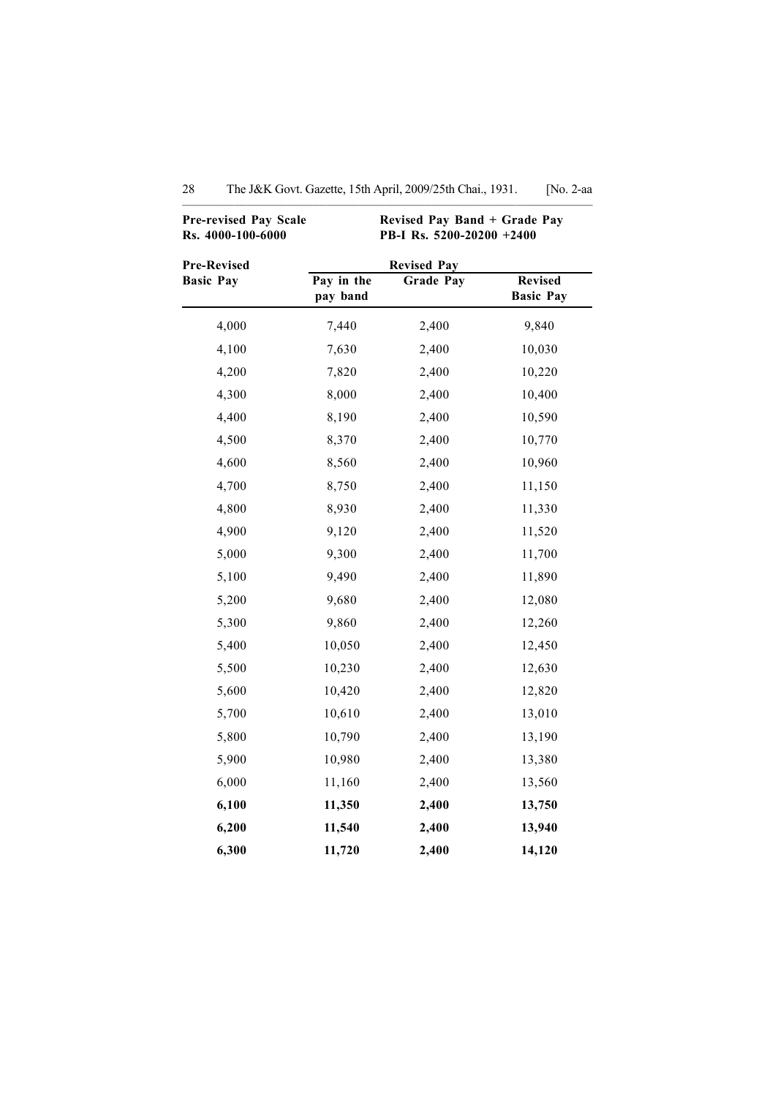| <b>Pre-revised Pay Scale</b><br>Rs. 4000-100-6000 | Revised Pay Band + Grade Pay<br>PB-I Rs. 5200-20200 +2400<br><b>Revised Pay</b> |                  |                                    |  |  |
|---------------------------------------------------|---------------------------------------------------------------------------------|------------------|------------------------------------|--|--|
| Pre-Revised                                       |                                                                                 |                  |                                    |  |  |
| <b>Basic Pay</b>                                  | Pay in the<br>pay band                                                          | <b>Grade Pay</b> | <b>Revised</b><br><b>Basic Pay</b> |  |  |
| 4,000                                             | 7,440                                                                           | 2,400            | 9,840                              |  |  |
| 4,100                                             | 7,630                                                                           | 2,400            | 10,030                             |  |  |
| 4,200                                             | 7,820                                                                           | 2,400            | 10,220                             |  |  |
| 4,300                                             | 8,000                                                                           | 2,400            | 10,400                             |  |  |
| 4,400                                             | 8,190                                                                           | 2,400            | 10,590                             |  |  |
| 4,500                                             | 8,370                                                                           | 2,400            | 10,770                             |  |  |
| 4,600                                             | 8,560                                                                           | 2,400            | 10,960                             |  |  |
| 4,700                                             | 8,750                                                                           | 2,400            | 11,150                             |  |  |
| 4,800                                             | 8,930                                                                           | 2,400            | 11,330                             |  |  |
| 4,900                                             | 9,120                                                                           | 2,400            | 11,520                             |  |  |
| 5,000                                             | 9,300                                                                           | 2,400            | 11,700                             |  |  |
| 5,100                                             | 9,490                                                                           | 2,400            | 11,890                             |  |  |
| 5,200                                             | 9,680                                                                           | 2,400            | 12,080                             |  |  |
| 5,300                                             | 9,860                                                                           | 2,400            | 12,260                             |  |  |
| 5,400                                             | 10,050                                                                          | 2,400            | 12,450                             |  |  |
| 5,500                                             | 10,230                                                                          | 2,400            | 12,630                             |  |  |
| 5,600                                             | 10,420                                                                          | 2,400            | 12,820                             |  |  |
| 5,700                                             | 10,610                                                                          | 2,400            | 13,010                             |  |  |
| 5,800                                             | 10,790                                                                          | 2,400            | 13,190                             |  |  |
| 5,900                                             | 10,980                                                                          | 2,400            | 13,380                             |  |  |
| 6,000                                             | 11,160                                                                          | 2,400            | 13,560                             |  |  |
| 6,100                                             | 11,350                                                                          | 2,400            | 13,750                             |  |  |
| 6,200                                             | 11,540                                                                          | 2,400            | 13,940                             |  |  |
| 6,300                                             | 11,720                                                                          | 2,400            | 14,120                             |  |  |

| The J&K Govt. Gazette, 15th April, 2009/25th Chai., 1931. | [No. 2-aa |  |
|-----------------------------------------------------------|-----------|--|
|                                                           |           |  |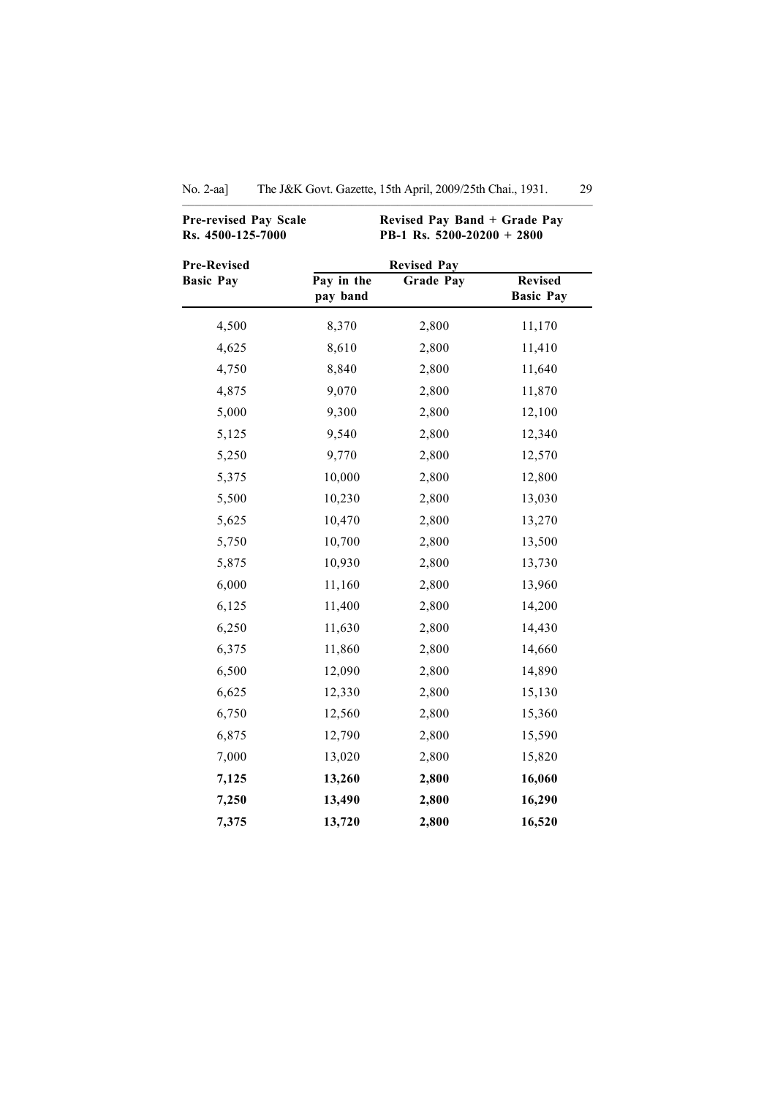| <b>Pre-revised Pay Scale</b><br>Rs. 4500-125-7000 |                        | Revised Pay Band + Grade Pay<br>PB-1 Rs. $5200-20200 + 2800$ |                                    |
|---------------------------------------------------|------------------------|--------------------------------------------------------------|------------------------------------|
| <b>Pre-Revised</b>                                |                        | <b>Revised Pay</b>                                           |                                    |
| <b>Basic Pay</b>                                  | Pay in the<br>pay band | <b>Grade Pay</b>                                             | <b>Revised</b><br><b>Basic Pay</b> |
| 4,500                                             | 8,370                  | 2,800                                                        | 11,170                             |
| 4,625                                             | 8,610                  | 2,800                                                        | 11,410                             |
| 4,750                                             | 8,840                  | 2,800                                                        | 11,640                             |
| 4,875                                             | 9,070                  | 2,800                                                        | 11,870                             |
| 5,000                                             | 9,300                  | 2,800                                                        | 12,100                             |
| 5,125                                             | 9,540                  | 2,800                                                        | 12,340                             |
| 5,250                                             | 9,770                  | 2,800                                                        | 12,570                             |
| 5,375                                             | 10,000                 | 2,800                                                        | 12,800                             |
| 5,500                                             | 10,230                 | 2,800                                                        | 13,030                             |
| 5,625                                             | 10,470                 | 2,800                                                        | 13,270                             |
| 5,750                                             | 10,700                 | 2,800                                                        | 13,500                             |
| 5,875                                             | 10,930                 | 2,800                                                        | 13,730                             |
| 6,000                                             | 11,160                 | 2,800                                                        | 13,960                             |
| 6,125                                             | 11,400                 | 2,800                                                        | 14,200                             |
| 6,250                                             | 11,630                 | 2,800                                                        | 14,430                             |
| 6,375                                             | 11,860                 | 2,800                                                        | 14,660                             |
| 6,500                                             | 12,090                 | 2,800                                                        | 14,890                             |
| 6,625                                             | 12,330                 | 2,800                                                        | 15,130                             |
| 6,750                                             | 12,560                 | 2,800                                                        | 15,360                             |
| 6,875                                             | 12,790                 | 2,800                                                        | 15,590                             |
| 7,000                                             | 13,020                 | 2,800                                                        | 15,820                             |
| 7,125                                             | 13,260                 | 2,800                                                        | 16,060                             |
| 7,250                                             | 13,490                 | 2,800                                                        | 16,290                             |
| 7,375                                             | 13,720                 | 2,800                                                        | 16,520                             |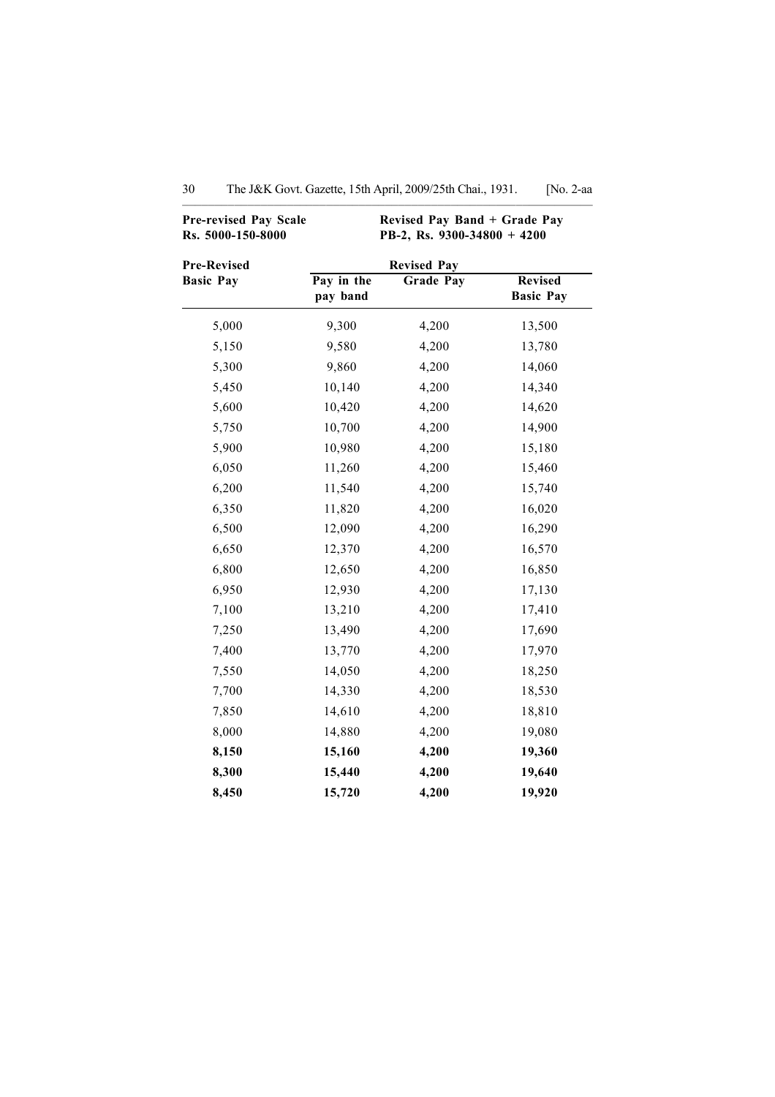| Pre-revised Pay Scale<br>Rs. 5000-150-8000 | Revised Pay Band + Grade Pay<br>PB-2, Rs. 9300-34800 + 4200 |                                        |                  |  |
|--------------------------------------------|-------------------------------------------------------------|----------------------------------------|------------------|--|
| <b>Pre-Revised</b><br><b>Basic Pay</b>     | Pay in the                                                  | <b>Revised Pay</b><br><b>Grade Pay</b> | <b>Revised</b>   |  |
|                                            | pay band                                                    |                                        | <b>Basic Pay</b> |  |
| 5,000                                      | 9,300                                                       | 4,200                                  | 13,500           |  |
| 5,150                                      | 9,580                                                       | 4,200                                  | 13,780           |  |
| 5,300                                      | 9,860                                                       | 4,200                                  | 14,060           |  |
| 5,450                                      | 10,140                                                      | 4,200                                  | 14,340           |  |
| 5,600                                      | 10,420                                                      | 4,200                                  | 14,620           |  |
| 5,750                                      | 10,700                                                      | 4,200                                  | 14,900           |  |
| 5,900                                      | 10,980                                                      | 4,200                                  | 15,180           |  |
| 6,050                                      | 11,260                                                      | 4,200                                  | 15,460           |  |
| 6,200                                      | 11,540                                                      | 4,200                                  | 15,740           |  |
| 6,350                                      | 11,820                                                      | 4,200                                  | 16,020           |  |
| 6,500                                      | 12,090                                                      | 4,200                                  | 16,290           |  |
| 6,650                                      | 12,370                                                      | 4,200                                  | 16,570           |  |
| 6,800                                      | 12,650                                                      | 4,200                                  | 16,850           |  |
| 6,950                                      | 12,930                                                      | 4,200                                  | 17,130           |  |
| 7,100                                      | 13,210                                                      | 4,200                                  | 17,410           |  |
| 7,250                                      | 13,490                                                      | 4,200                                  | 17,690           |  |
| 7,400                                      | 13,770                                                      | 4,200                                  | 17,970           |  |
| 7,550                                      | 14,050                                                      | 4,200                                  | 18,250           |  |
| 7,700                                      | 14,330                                                      | 4,200                                  | 18,530           |  |
| 7,850                                      | 14,610                                                      | 4,200                                  | 18,810           |  |
| 8,000                                      | 14,880                                                      | 4,200                                  | 19,080           |  |
| 8,150                                      | 15,160                                                      | 4,200                                  | 19,360           |  |
| 8,300                                      | 15,440                                                      | 4,200                                  | 19,640           |  |
| 8,450                                      | 15,720                                                      | 4,200                                  | 19,920           |  |

| 30 |  | The J&K Govt. Gazette, 15th April, 2009/25th Chai., 1931. | No. 2-aa |
|----|--|-----------------------------------------------------------|----------|
|----|--|-----------------------------------------------------------|----------|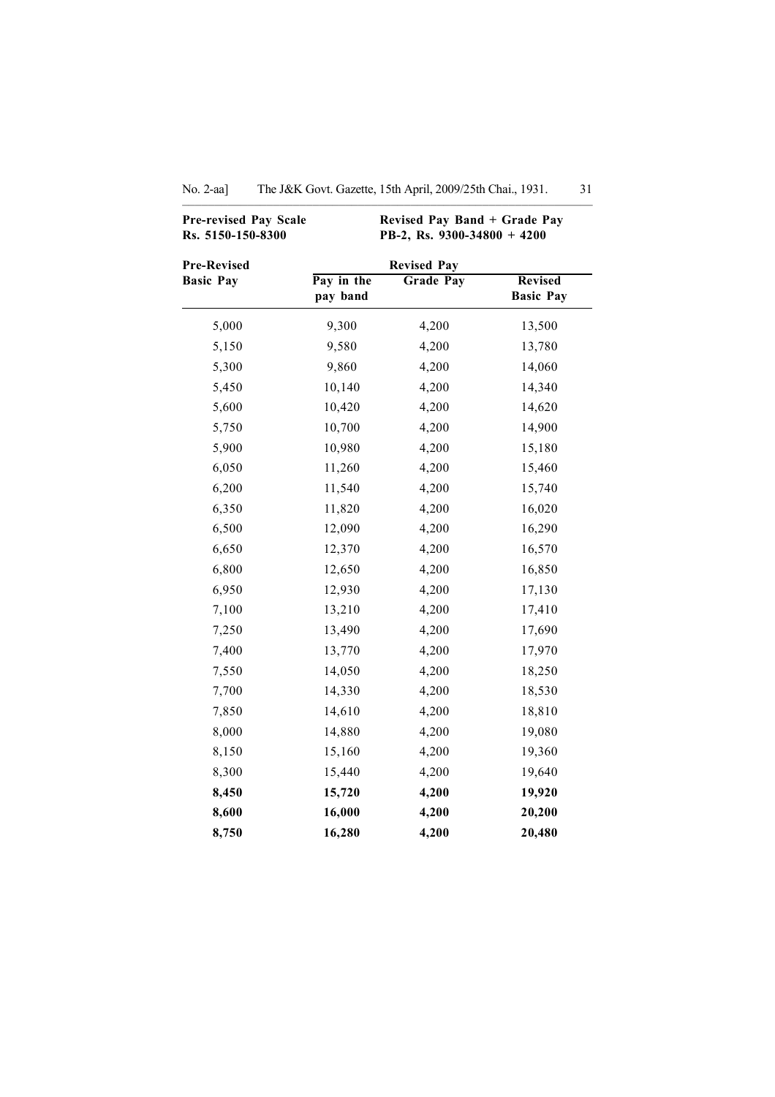| Pre-revised Pay Scale<br>Rs. 5150-150-8300 |                        | Revised Pay Band + Grade Pay<br>PB-2, Rs. 9300-34800 + 4200 |                                    |
|--------------------------------------------|------------------------|-------------------------------------------------------------|------------------------------------|
| <b>Pre-Revised</b>                         |                        | <b>Revised Pay</b>                                          |                                    |
| <b>Basic Pay</b>                           | Pay in the<br>pay band | <b>Grade Pay</b>                                            | <b>Revised</b><br><b>Basic Pay</b> |
| 5,000                                      | 9,300                  | 4,200                                                       | 13,500                             |
| 5,150                                      | 9,580                  | 4,200                                                       | 13,780                             |
| 5,300                                      | 9,860                  | 4,200                                                       | 14,060                             |
| 5,450                                      | 10,140                 | 4,200                                                       | 14,340                             |
| 5,600                                      | 10,420                 | 4,200                                                       | 14,620                             |
| 5,750                                      | 10,700                 | 4,200                                                       | 14,900                             |
| 5,900                                      | 10,980                 | 4,200                                                       | 15,180                             |
| 6,050                                      | 11,260                 | 4,200                                                       | 15,460                             |
| 6,200                                      | 11,540                 | 4,200                                                       | 15,740                             |
| 6,350                                      | 11,820                 | 4,200                                                       | 16,020                             |
| 6,500                                      | 12,090                 | 4,200                                                       | 16,290                             |
| 6,650                                      | 12,370                 | 4,200                                                       | 16,570                             |
| 6,800                                      | 12,650                 | 4,200                                                       | 16,850                             |
| 6,950                                      | 12,930                 | 4,200                                                       | 17,130                             |
| 7,100                                      | 13,210                 | 4,200                                                       | 17,410                             |
| 7,250                                      | 13,490                 | 4,200                                                       | 17,690                             |
| 7,400                                      | 13,770                 | 4,200                                                       | 17,970                             |
| 7,550                                      | 14,050                 | 4,200                                                       | 18,250                             |
| 7,700                                      | 14,330                 | 4,200                                                       | 18,530                             |
| 7,850                                      | 14,610                 | 4,200                                                       | 18,810                             |
| 8,000                                      | 14,880                 | 4,200                                                       | 19,080                             |
| 8,150                                      | 15,160                 | 4,200                                                       | 19,360                             |
| 8,300                                      | 15,440                 | 4,200                                                       | 19,640                             |
| 8,450                                      | 15,720                 | 4,200                                                       | 19,920                             |
| 8,600                                      | 16,000                 | 4,200                                                       | 20,200                             |
| 8,750                                      | 16,280                 | 4,200                                                       | 20,480                             |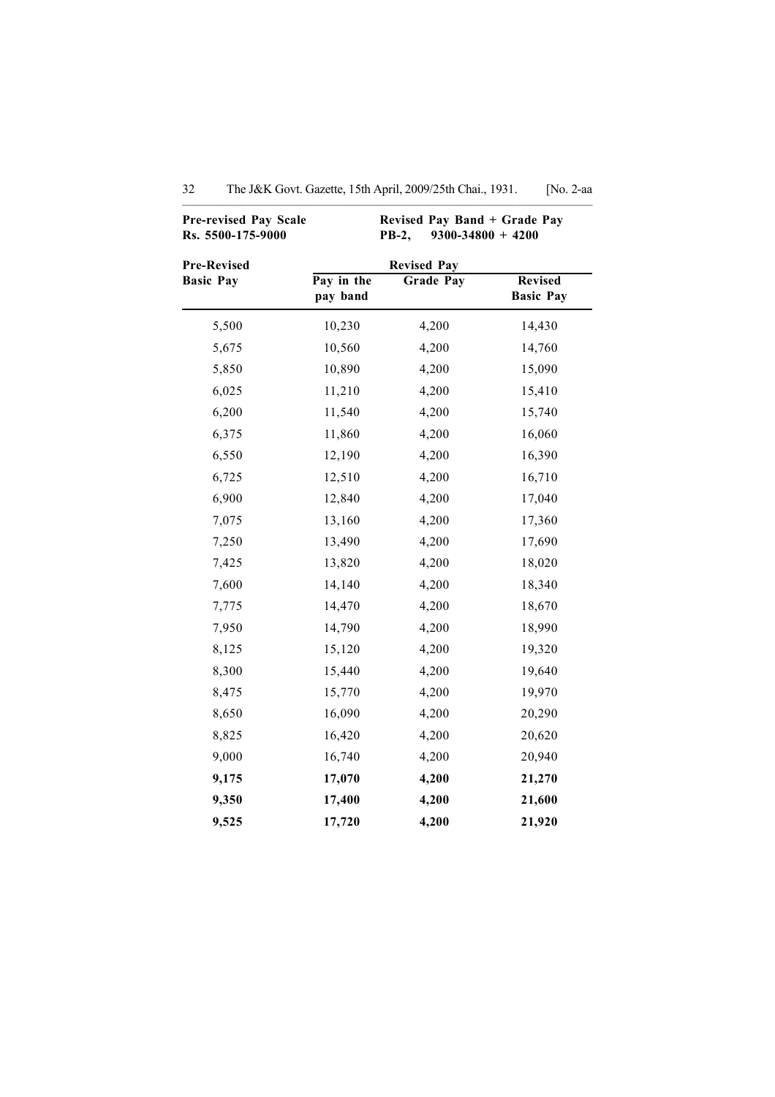| <b>Pre-revised Pay Scale</b><br>Rs. 5500-175-9000 | Revised Pay Band + Grade Pay<br>$9300 - 34800 + 4200$<br><b>PB-2,</b><br><b>Revised Pay</b> |                  |                                    |  |  |
|---------------------------------------------------|---------------------------------------------------------------------------------------------|------------------|------------------------------------|--|--|
| <b>Pre-Revised</b>                                |                                                                                             |                  |                                    |  |  |
| <b>Basic Pay</b>                                  | Pay in the<br>pay band                                                                      | <b>Grade Pay</b> | <b>Revised</b><br><b>Basic Pay</b> |  |  |
| 5,500                                             | 10,230                                                                                      | 4,200            | 14,430                             |  |  |
| 5,675                                             | 10,560                                                                                      | 4,200            | 14,760                             |  |  |
| 5,850                                             | 10,890                                                                                      | 4,200            | 15,090                             |  |  |
| 6,025                                             | 11,210                                                                                      | 4,200            | 15,410                             |  |  |
| 6,200                                             | 11,540                                                                                      | 4,200            | 15,740                             |  |  |
| 6,375                                             | 11,860                                                                                      | 4,200            | 16,060                             |  |  |
| 6,550                                             | 12,190                                                                                      | 4,200            | 16,390                             |  |  |
| 6,725                                             | 12,510                                                                                      | 4,200            | 16,710                             |  |  |
| 6,900                                             | 12,840                                                                                      | 4,200            | 17,040                             |  |  |
| 7,075                                             | 13,160                                                                                      | 4,200            | 17,360                             |  |  |
| 7,250                                             | 13,490                                                                                      | 4,200            | 17,690                             |  |  |
| 7,425                                             | 13,820                                                                                      | 4,200            | 18,020                             |  |  |
| 7,600                                             | 14,140                                                                                      | 4,200            | 18,340                             |  |  |
| 7,775                                             | 14,470                                                                                      | 4,200            | 18,670                             |  |  |
| 7,950                                             | 14,790                                                                                      | 4,200            | 18,990                             |  |  |
| 8,125                                             | 15,120                                                                                      | 4,200            | 19,320                             |  |  |
| 8,300                                             | 15,440                                                                                      | 4,200            | 19,640                             |  |  |
| 8,475                                             | 15,770                                                                                      | 4,200            | 19,970                             |  |  |
| 8,650                                             | 16,090                                                                                      | 4,200            | 20,290                             |  |  |
| 8,825                                             | 16,420                                                                                      | 4,200            | 20,620                             |  |  |
| 9,000                                             | 16,740                                                                                      | 4,200            | 20,940                             |  |  |
| 9,175                                             | 17,070                                                                                      | 4,200            | 21,270                             |  |  |
| 9,350                                             | 17,400                                                                                      | 4,200            | 21,600                             |  |  |
| 9,525                                             | 17,720                                                                                      | 4,200            | 21,920                             |  |  |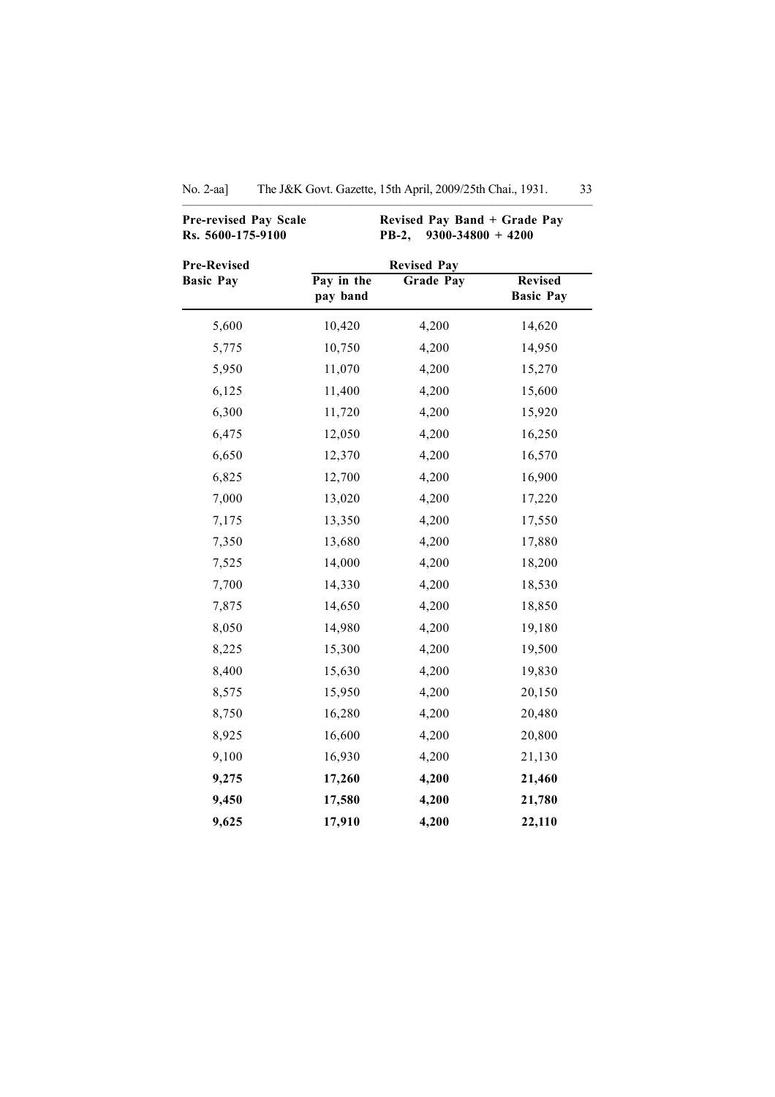| <b>Pre-revised Pay Scale</b><br>Rs. 5600-175-9100 | Revised Pay Band + Grade Pay<br>$9300 - 34800 + 4200$<br>PB-2,<br><b>Revised Pay</b> |                  |                                    |  |
|---------------------------------------------------|--------------------------------------------------------------------------------------|------------------|------------------------------------|--|
| <b>Pre-Revised</b>                                |                                                                                      |                  |                                    |  |
| <b>Basic Pay</b>                                  | Pay in the<br>pay band                                                               | <b>Grade Pay</b> | <b>Revised</b><br><b>Basic Pay</b> |  |
| 5,600                                             | 10,420                                                                               | 4,200            | 14,620                             |  |
| 5,775                                             | 10,750                                                                               | 4,200            | 14,950                             |  |
| 5,950                                             | 11,070                                                                               | 4,200            | 15,270                             |  |
| 6,125                                             | 11,400                                                                               | 4,200            | 15,600                             |  |
| 6,300                                             | 11,720                                                                               | 4,200            | 15,920                             |  |
| 6,475                                             | 12,050                                                                               | 4,200            | 16,250                             |  |
| 6,650                                             | 12,370                                                                               | 4,200            | 16,570                             |  |
| 6,825                                             | 12,700                                                                               | 4,200            | 16,900                             |  |
| 7,000                                             | 13,020                                                                               | 4,200            | 17,220                             |  |
| 7,175                                             | 13,350                                                                               | 4,200            | 17,550                             |  |
| 7,350                                             | 13,680                                                                               | 4,200            | 17,880                             |  |
| 7,525                                             | 14,000                                                                               | 4,200            | 18,200                             |  |
| 7,700                                             | 14,330                                                                               | 4,200            | 18,530                             |  |
| 7,875                                             | 14,650                                                                               | 4,200            | 18,850                             |  |
| 8,050                                             | 14,980                                                                               | 4,200            | 19,180                             |  |
| 8,225                                             | 15,300                                                                               | 4,200            | 19,500                             |  |
| 8,400                                             | 15,630                                                                               | 4,200            | 19,830                             |  |
| 8,575                                             | 15,950                                                                               | 4,200            | 20,150                             |  |
| 8,750                                             | 16,280                                                                               | 4,200            | 20,480                             |  |
| 8,925                                             | 16,600                                                                               | 4,200            | 20,800                             |  |
| 9,100                                             | 16,930                                                                               | 4,200            | 21,130                             |  |
| 9,275                                             | 17,260                                                                               | 4,200            | 21,460                             |  |
| 9,450                                             | 17,580                                                                               | 4,200            | 21,780                             |  |
| 9,625                                             | 17,910                                                                               | 4,200            | 22,110                             |  |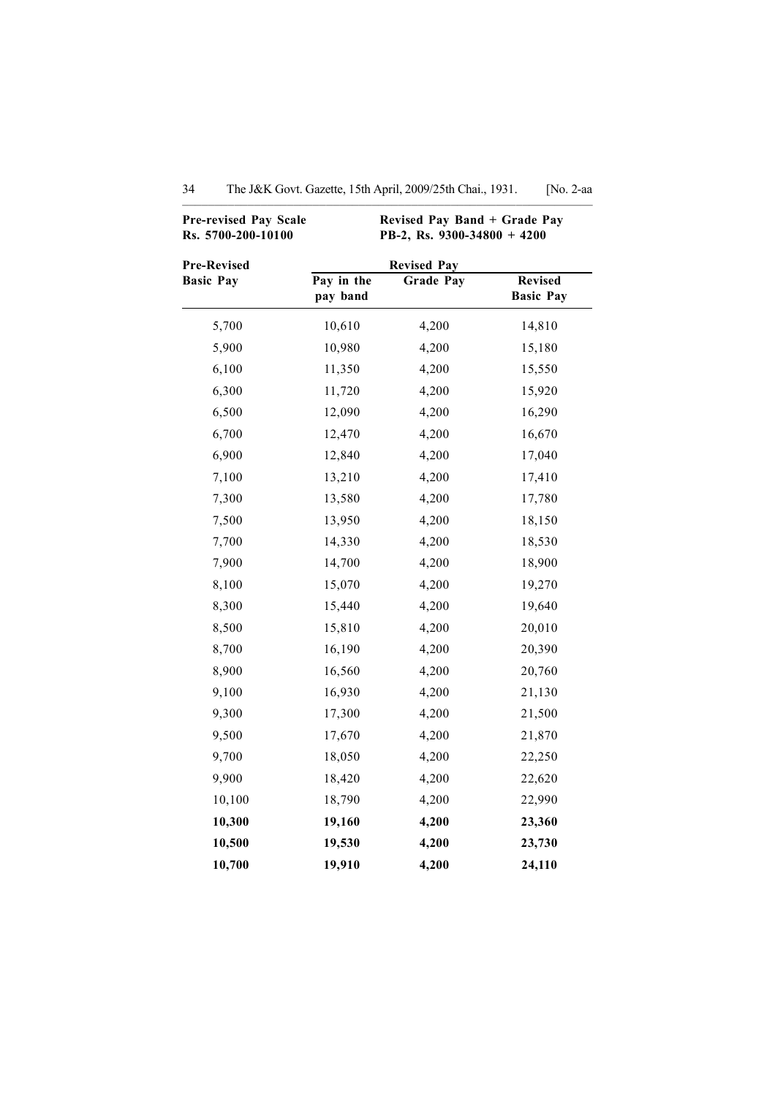| <b>Pre-revised Pay Scale</b><br>Rs. 5700-200-10100 | Revised Pay Band + Grade Pay<br>PB-2, Rs. 9300-34800 + 4200 |                                        |                                    |  |
|----------------------------------------------------|-------------------------------------------------------------|----------------------------------------|------------------------------------|--|
| <b>Pre-Revised</b><br><b>Basic Pay</b>             | Pay in the<br>pay band                                      | <b>Revised Pay</b><br><b>Grade Pay</b> | <b>Revised</b><br><b>Basic Pay</b> |  |
| 5,700                                              | 10,610                                                      | 4,200                                  | 14,810                             |  |
| 5,900                                              | 10,980                                                      | 4,200                                  | 15,180                             |  |
| 6,100                                              | 11,350                                                      | 4,200                                  | 15,550                             |  |
| 6,300                                              | 11,720                                                      | 4,200                                  | 15,920                             |  |
| 6,500                                              | 12,090                                                      | 4,200                                  | 16,290                             |  |
| 6,700                                              | 12,470                                                      | 4,200                                  | 16,670                             |  |
| 6,900                                              | 12,840                                                      | 4,200                                  | 17,040                             |  |
| 7,100                                              | 13,210                                                      | 4,200                                  | 17,410                             |  |
| 7,300                                              | 13,580                                                      | 4,200                                  | 17,780                             |  |
| 7,500                                              | 13,950                                                      | 4,200                                  | 18,150                             |  |
| 7,700                                              | 14,330                                                      | 4,200                                  | 18,530                             |  |
| 7,900                                              | 14,700                                                      | 4,200                                  | 18,900                             |  |
| 8,100                                              | 15,070                                                      | 4,200                                  | 19,270                             |  |
| 8,300                                              | 15,440                                                      | 4,200                                  | 19,640                             |  |
| 8,500                                              | 15,810                                                      | 4,200                                  | 20,010                             |  |
| 8,700                                              | 16,190                                                      | 4,200                                  | 20,390                             |  |
| 8,900                                              | 16,560                                                      | 4,200                                  | 20,760                             |  |
| 9,100                                              | 16,930                                                      | 4,200                                  | 21,130                             |  |
| 9,300                                              | 17,300                                                      | 4,200                                  | 21,500                             |  |
| 9,500                                              | 17,670                                                      | 4,200                                  | 21,870                             |  |
| 9,700                                              | 18,050                                                      | 4,200                                  | 22,250                             |  |
| 9,900                                              | 18,420                                                      | 4,200                                  | 22,620                             |  |
| 10,100                                             | 18,790                                                      | 4,200                                  | 22,990                             |  |
| 10,300                                             | 19,160                                                      | 4,200                                  | 23,360                             |  |
| 10,500                                             | 19,530                                                      | 4,200                                  | 23,730                             |  |
| 10,700                                             | 19,910                                                      | 4,200                                  | 24,110                             |  |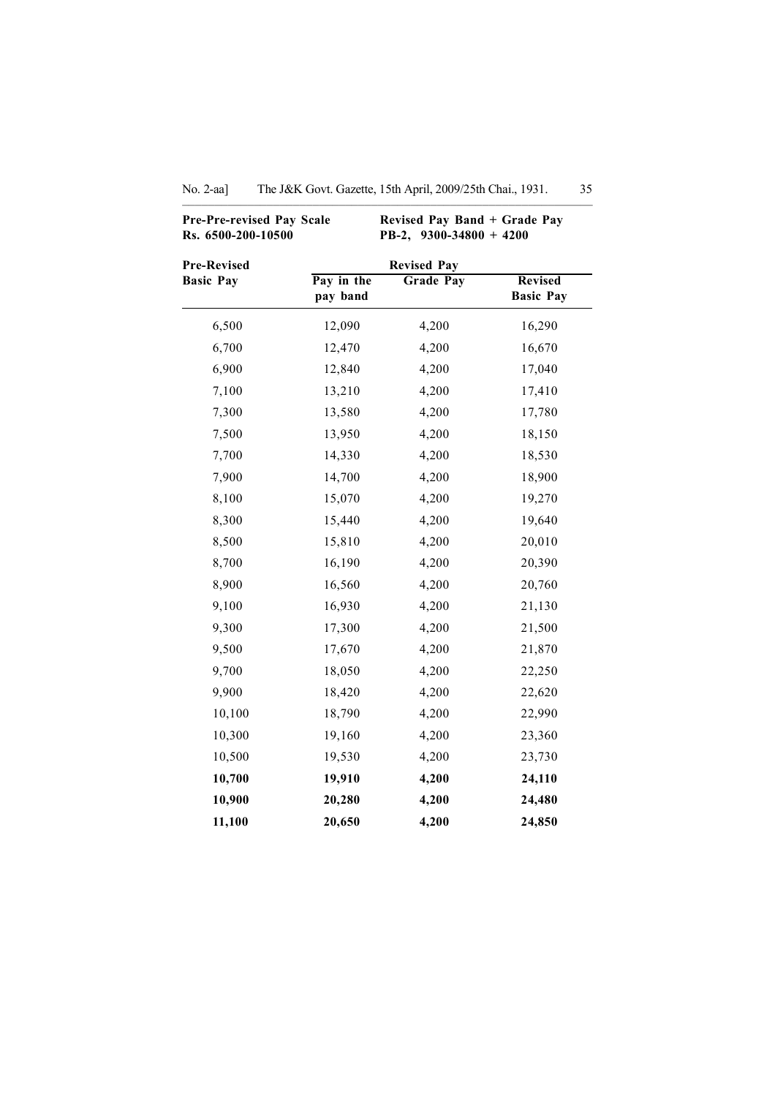| <b>Pre-Pre-revised Pay Scale</b><br>Rs. 6500-200-10500 |                        | Revised Pay Band + Grade Pay<br>PB-2, $9300 - 34800 + 4200$ |                                    |  |
|--------------------------------------------------------|------------------------|-------------------------------------------------------------|------------------------------------|--|
| <b>Pre-Revised</b>                                     |                        | <b>Revised Pay</b>                                          |                                    |  |
| <b>Basic Pay</b>                                       | Pay in the<br>pay band | <b>Grade Pay</b>                                            | <b>Revised</b><br><b>Basic Pay</b> |  |
| 6,500                                                  | 12,090                 | 4,200                                                       | 16,290                             |  |
| 6,700                                                  | 12,470                 | 4,200                                                       | 16,670                             |  |
| 6,900                                                  | 12,840                 | 4,200                                                       | 17,040                             |  |
| 7,100                                                  | 13,210                 | 4,200                                                       | 17,410                             |  |
| 7,300                                                  | 13,580                 | 4,200                                                       | 17,780                             |  |
| 7,500                                                  | 13,950                 | 4,200                                                       | 18,150                             |  |
| 7,700                                                  | 14,330                 | 4,200                                                       | 18,530                             |  |
| 7,900                                                  | 14,700                 | 4,200                                                       | 18,900                             |  |
| 8,100                                                  | 15,070                 | 4,200                                                       | 19,270                             |  |
| 8,300                                                  | 15,440                 | 4,200                                                       | 19,640                             |  |
| 8,500                                                  | 15,810                 | 4,200                                                       | 20,010                             |  |
| 8,700                                                  | 16,190                 | 4,200                                                       | 20,390                             |  |
| 8,900                                                  | 16,560                 | 4,200                                                       | 20,760                             |  |
| 9,100                                                  | 16,930                 | 4,200                                                       | 21,130                             |  |
| 9,300                                                  | 17,300                 | 4,200                                                       | 21,500                             |  |
| 9,500                                                  | 17,670                 | 4,200                                                       | 21,870                             |  |
| 9,700                                                  | 18,050                 | 4,200                                                       | 22,250                             |  |
| 9,900                                                  | 18,420                 | 4,200                                                       | 22,620                             |  |
| 10,100                                                 | 18,790                 | 4,200                                                       | 22,990                             |  |
| 10,300                                                 | 19,160                 | 4,200                                                       | 23,360                             |  |
| 10,500                                                 | 19,530                 | 4,200                                                       | 23,730                             |  |
| 10,700                                                 | 19,910                 | 4,200                                                       | 24,110                             |  |
| 10,900                                                 | 20,280                 | 4,200                                                       | 24,480                             |  |
| 11,100                                                 | 20,650                 | 4,200                                                       | 24,850                             |  |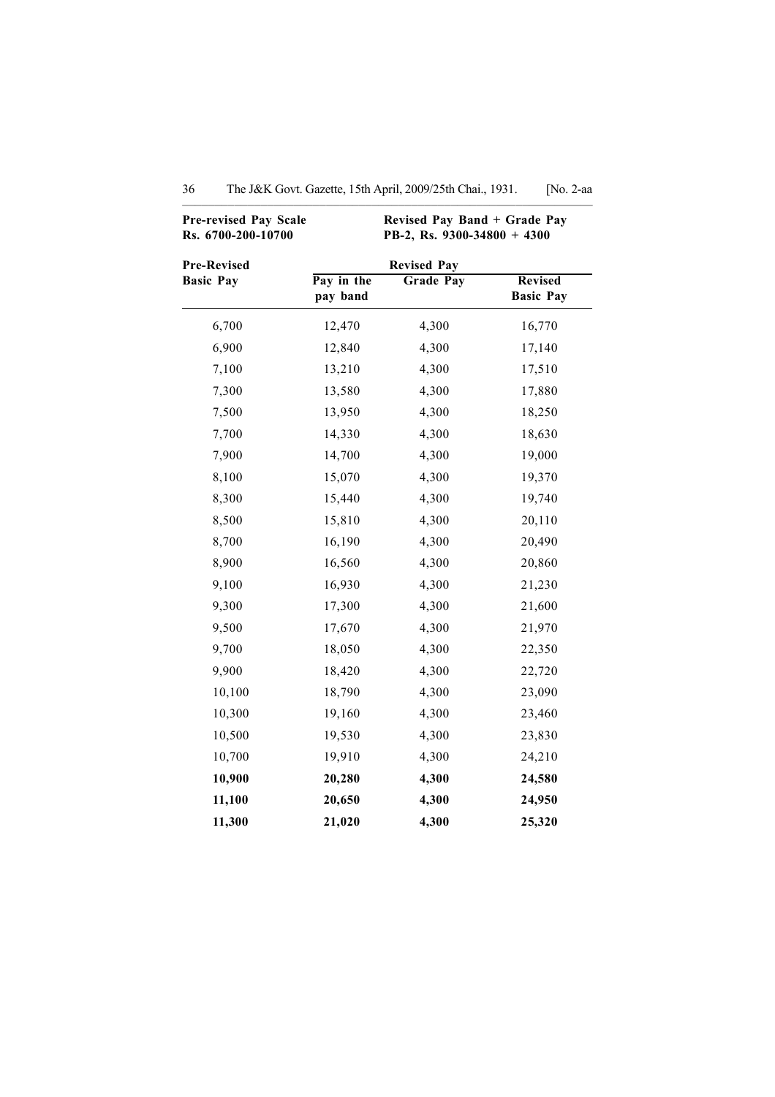| Pre-revised Pay Scale<br>Rs. 6700-200-10700 | Revised Pay Band + Grade Pay<br>PB-2, Rs. 9300-34800 + 4300 |                                    |        |  |  |
|---------------------------------------------|-------------------------------------------------------------|------------------------------------|--------|--|--|
| <b>Pre-Revised</b><br><b>Basic Pay</b>      | Pay in the<br>pay band                                      | <b>Revised</b><br><b>Basic Pay</b> |        |  |  |
| 6,700                                       | 12,470                                                      | 4,300                              | 16,770 |  |  |
| 6,900                                       | 12,840                                                      | 4,300                              | 17,140 |  |  |
| 7,100                                       | 13,210                                                      | 4,300                              | 17,510 |  |  |
| 7,300                                       | 13,580                                                      | 4,300                              | 17,880 |  |  |
| 7,500                                       | 13,950                                                      | 4,300                              | 18,250 |  |  |
| 7,700                                       | 14,330                                                      | 4,300                              | 18,630 |  |  |
| 7,900                                       | 14,700                                                      | 4,300                              | 19,000 |  |  |
| 8,100                                       | 15,070                                                      | 4,300                              | 19,370 |  |  |
| 8,300                                       | 15,440                                                      | 4,300                              | 19,740 |  |  |
| 8,500                                       | 15,810                                                      | 4,300                              | 20,110 |  |  |
| 8,700                                       | 16,190                                                      | 4,300                              | 20,490 |  |  |
| 8,900                                       | 16,560                                                      | 4,300                              | 20,860 |  |  |
| 9,100                                       | 16,930                                                      | 4,300                              | 21,230 |  |  |
| 9,300                                       | 17,300                                                      | 4,300                              | 21,600 |  |  |
| 9,500                                       | 17,670                                                      | 4,300                              | 21,970 |  |  |
| 9,700                                       | 18,050                                                      | 4,300                              | 22,350 |  |  |
| 9,900                                       | 18,420                                                      | 4,300                              | 22,720 |  |  |
| 10,100                                      | 18,790                                                      | 4,300                              | 23,090 |  |  |
| 10,300                                      | 19,160                                                      | 4,300                              | 23,460 |  |  |
| 10,500                                      | 19,530                                                      | 4,300                              | 23,830 |  |  |
| 10,700                                      | 19,910                                                      | 4,300                              | 24,210 |  |  |
| 10,900                                      | 20,280                                                      | 4,300                              | 24,580 |  |  |
| 11,100                                      | 20,650                                                      | 4,300                              | 24,950 |  |  |
| 11,300                                      | 21,020                                                      | 4,300                              | 25,320 |  |  |

| 36 |  |  |  | The J&K Govt. Gazette, 15th April, 2009/25th Chai., 1931. |  | [No. 2-aa |
|----|--|--|--|-----------------------------------------------------------|--|-----------|
|----|--|--|--|-----------------------------------------------------------|--|-----------|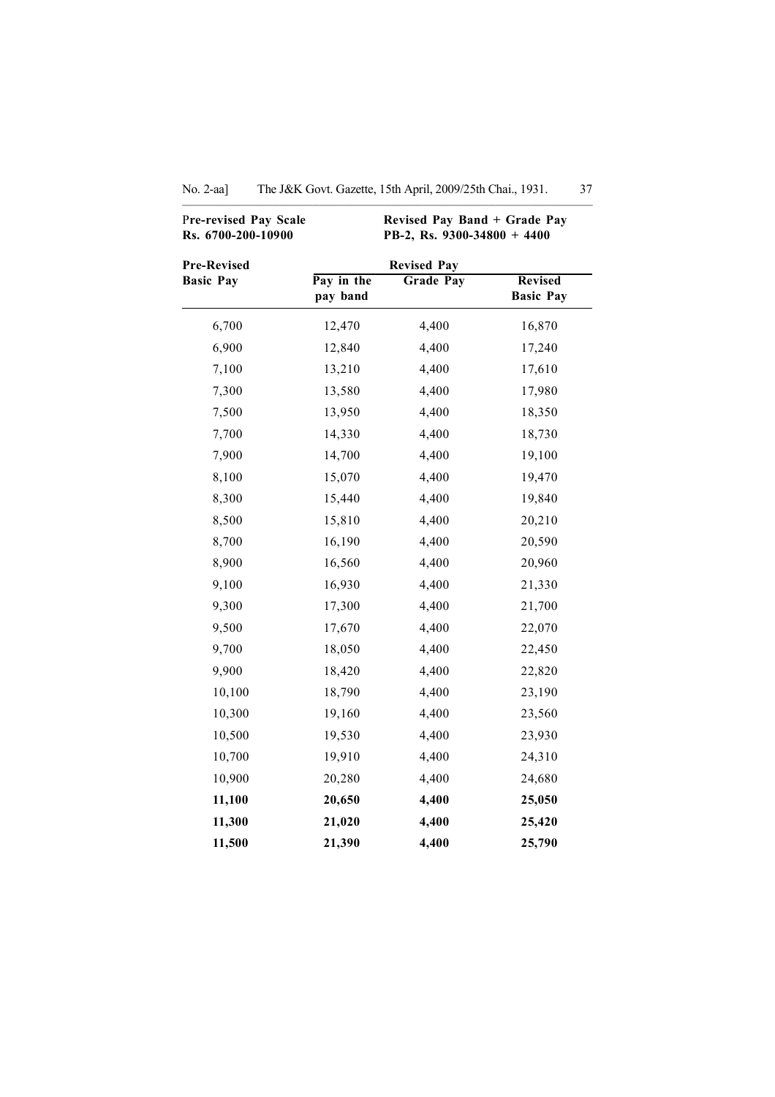| Pre-revised Pay Scale<br>Rs. 6700-200-10900 | Revised Pay Band + Grade Pay<br>PB-2, Rs. 9300-34800 + 4400 |                                        |                                    |
|---------------------------------------------|-------------------------------------------------------------|----------------------------------------|------------------------------------|
| <b>Pre-Revised</b><br><b>Basic Pay</b>      | Pay in the<br>pay band                                      | <b>Revised Pay</b><br><b>Grade Pay</b> | <b>Revised</b><br><b>Basic Pay</b> |
| 6,700                                       | 12,470                                                      | 4,400                                  | 16,870                             |
| 6,900                                       | 12,840                                                      | 4,400                                  | 17,240                             |
| 7,100                                       | 13,210                                                      | 4,400                                  | 17,610                             |
| 7,300                                       | 13,580                                                      | 4,400                                  | 17,980                             |
| 7,500                                       | 13,950                                                      | 4,400                                  | 18,350                             |
| 7,700                                       | 14,330                                                      | 4,400                                  | 18,730                             |
| 7,900                                       | 14,700                                                      | 4,400                                  | 19,100                             |
| 8,100                                       | 15,070                                                      | 4,400                                  | 19,470                             |
| 8,300                                       | 15,440                                                      | 4,400                                  | 19,840                             |
| 8,500                                       | 15,810                                                      | 4,400                                  | 20,210                             |
| 8,700                                       | 16,190                                                      | 4,400                                  | 20,590                             |
| 8,900                                       | 16,560                                                      | 4,400                                  | 20,960                             |
| 9,100                                       | 16,930                                                      | 4,400                                  | 21,330                             |
| 9,300                                       | 17,300                                                      | 4,400                                  | 21,700                             |
| 9,500                                       | 17,670                                                      | 4,400                                  | 22,070                             |
| 9,700                                       | 18,050                                                      | 4,400                                  | 22,450                             |
| 9,900                                       | 18,420                                                      | 4,400                                  | 22,820                             |
| 10,100                                      | 18,790                                                      | 4,400                                  | 23,190                             |
| 10,300                                      | 19,160                                                      | 4,400                                  | 23,560                             |
| 10,500                                      | 19,530                                                      | 4,400                                  | 23,930                             |
| 10,700                                      | 19,910                                                      | 4,400                                  | 24,310                             |
| 10,900                                      | 20,280                                                      | 4,400                                  | 24,680                             |
| 11,100                                      | 20,650                                                      | 4,400                                  | 25,050                             |
| 11,300                                      | 21,020                                                      | 4,400                                  | 25,420                             |
| 11,500                                      | 21,390                                                      | 4,400                                  | 25,790                             |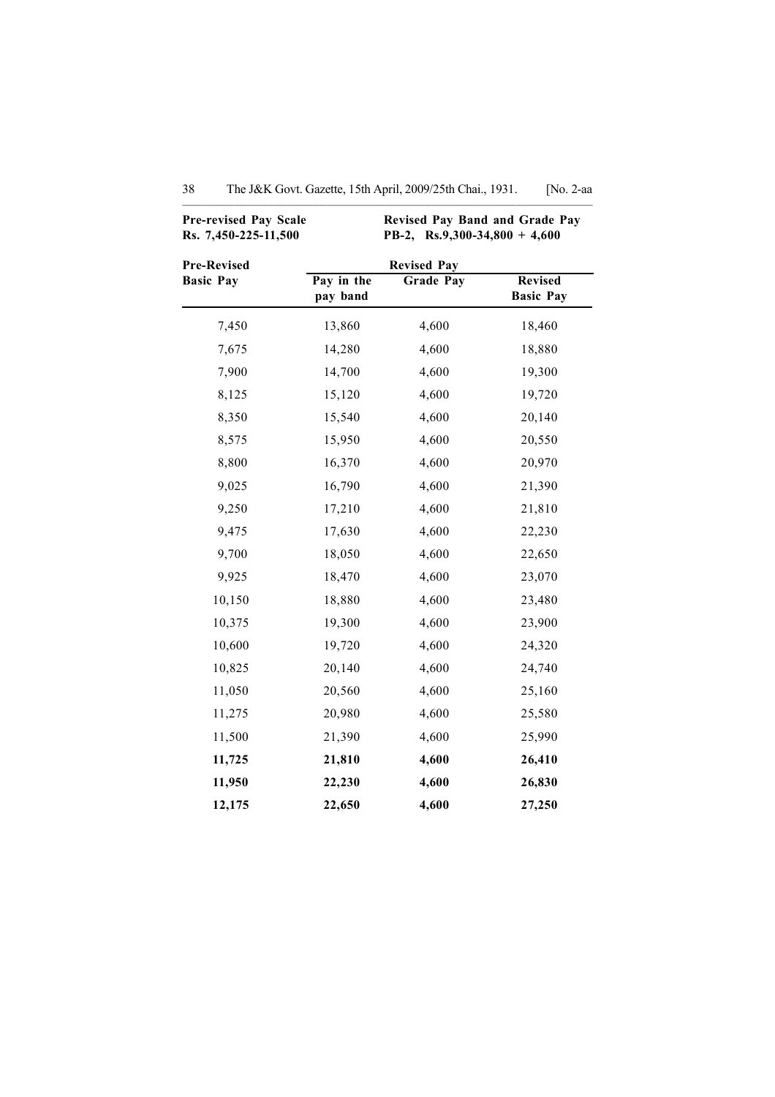| <b>Pre-revised Pay Scale</b><br>Rs. 7,450-225-11,500 | Revised Pay Band and Grade Pay<br>PB-2, Rs.9,300-34,800 + 4,600 |                  |                                    |  |  |
|------------------------------------------------------|-----------------------------------------------------------------|------------------|------------------------------------|--|--|
| <b>Pre-Revised</b>                                   | <b>Revised Pay</b>                                              |                  |                                    |  |  |
| <b>Basic Pay</b>                                     | Pay in the<br>pay band                                          | <b>Grade Pay</b> | <b>Revised</b><br><b>Basic Pay</b> |  |  |
| 7,450                                                | 13,860                                                          | 4,600            | 18,460                             |  |  |
| 7,675                                                | 14,280                                                          | 4,600            | 18,880                             |  |  |
| 7,900                                                | 14,700                                                          | 4,600            | 19,300                             |  |  |
| 8,125                                                | 15,120                                                          | 4,600            | 19,720                             |  |  |
| 8,350                                                | 15,540                                                          | 4,600            | 20,140                             |  |  |
| 8,575                                                | 15,950                                                          | 4,600            | 20,550                             |  |  |
| 8,800                                                | 16,370                                                          | 4,600            | 20,970                             |  |  |
| 9,025                                                | 16,790                                                          | 4,600            | 21,390                             |  |  |
| 9,250                                                | 17,210                                                          | 4,600            | 21,810                             |  |  |
| 9,475                                                | 17,630                                                          | 4,600            | 22,230                             |  |  |
| 9,700                                                | 18,050                                                          | 4,600            | 22,650                             |  |  |
| 9,925                                                | 18,470                                                          | 4,600            | 23,070                             |  |  |
| 10,150                                               | 18,880                                                          | 4,600            | 23,480                             |  |  |
| 10,375                                               | 19,300                                                          | 4,600            | 23,900                             |  |  |
| 10,600                                               | 19,720                                                          | 4,600            | 24,320                             |  |  |
| 10,825                                               | 20,140                                                          | 4,600            | 24,740                             |  |  |
| 11,050                                               | 20,560                                                          | 4,600            | 25,160                             |  |  |
| 11,275                                               | 20,980                                                          | 4,600            | 25,580                             |  |  |
| 11,500                                               | 21,390                                                          | 4,600            | 25,990                             |  |  |
| 11,725                                               | 21,810                                                          | 4,600            | 26,410                             |  |  |
| 11,950                                               | 22,230                                                          | 4,600            | 26,830                             |  |  |
| 12,175                                               | 22,650                                                          | 4,600            | 27,250                             |  |  |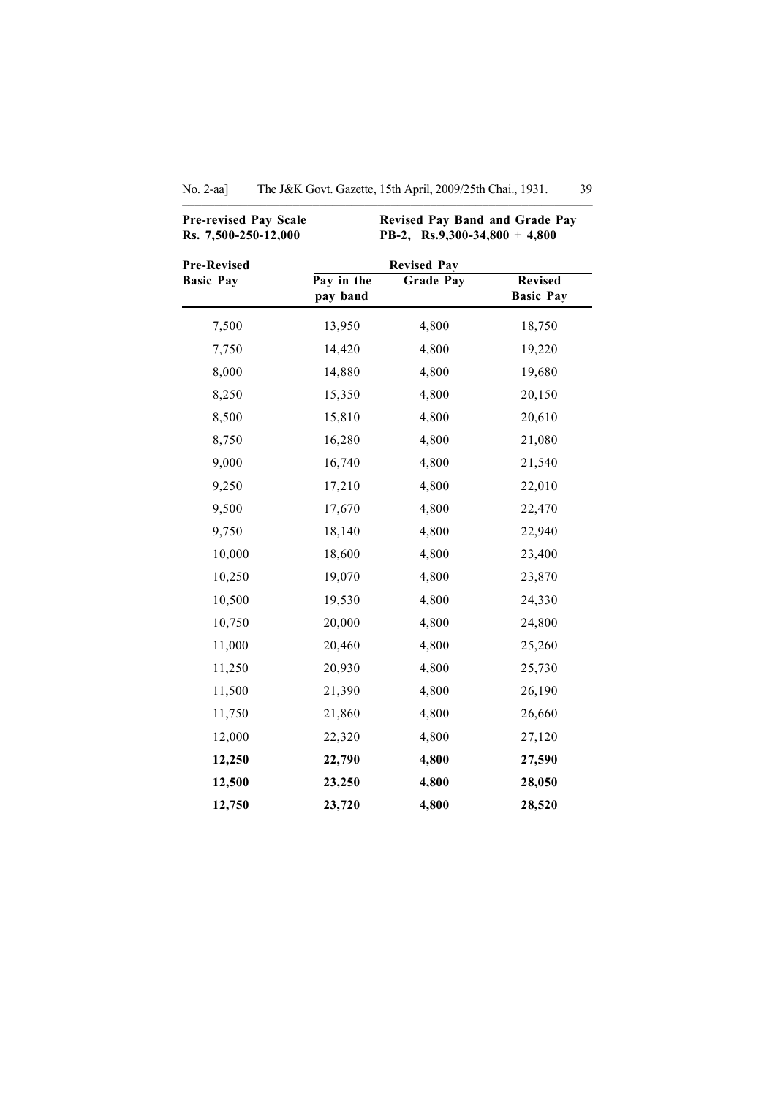| <b>Pre-revised Pay Scale</b><br>Rs. 7,500-250-12,000 | Revised Pay Band and Grade Pay<br>PB-2, Rs.9,300-34,800 + 4,800 |                  |                                    |
|------------------------------------------------------|-----------------------------------------------------------------|------------------|------------------------------------|
| <b>Pre-Revised</b>                                   | <b>Revised Pay</b>                                              |                  |                                    |
| <b>Basic Pay</b>                                     | Pay in the<br>pay band                                          | <b>Grade Pay</b> | <b>Revised</b><br><b>Basic Pay</b> |
| 7,500                                                | 13,950                                                          | 4,800            | 18,750                             |
| 7,750                                                | 14,420                                                          | 4,800            | 19,220                             |
| 8,000                                                | 14,880                                                          | 4,800            | 19,680                             |
| 8,250                                                | 15,350                                                          | 4,800            | 20,150                             |
| 8,500                                                | 15,810                                                          | 4,800            | 20,610                             |
| 8,750                                                | 16,280                                                          | 4,800            | 21,080                             |
| 9,000                                                | 16,740                                                          | 4,800            | 21,540                             |
| 9,250                                                | 17,210                                                          | 4,800            | 22,010                             |
| 9,500                                                | 17,670                                                          | 4,800            | 22,470                             |
| 9,750                                                | 18,140                                                          | 4,800            | 22,940                             |
| 10,000                                               | 18,600                                                          | 4,800            | 23,400                             |
| 10,250                                               | 19,070                                                          | 4,800            | 23,870                             |
| 10,500                                               | 19,530                                                          | 4,800            | 24,330                             |
| 10,750                                               | 20,000                                                          | 4,800            | 24,800                             |
| 11,000                                               | 20,460                                                          | 4,800            | 25,260                             |
| 11,250                                               | 20,930                                                          | 4,800            | 25,730                             |
| 11,500                                               | 21,390                                                          | 4,800            | 26,190                             |
| 11,750                                               | 21,860                                                          | 4,800            | 26,660                             |
| 12,000                                               | 22,320                                                          | 4,800            | 27,120                             |
| 12,250                                               | 22,790                                                          | 4,800            | 27,590                             |
| 12,500                                               | 23,250                                                          | 4,800            | 28,050                             |
| 12,750                                               | 23,720                                                          | 4,800            | 28,520                             |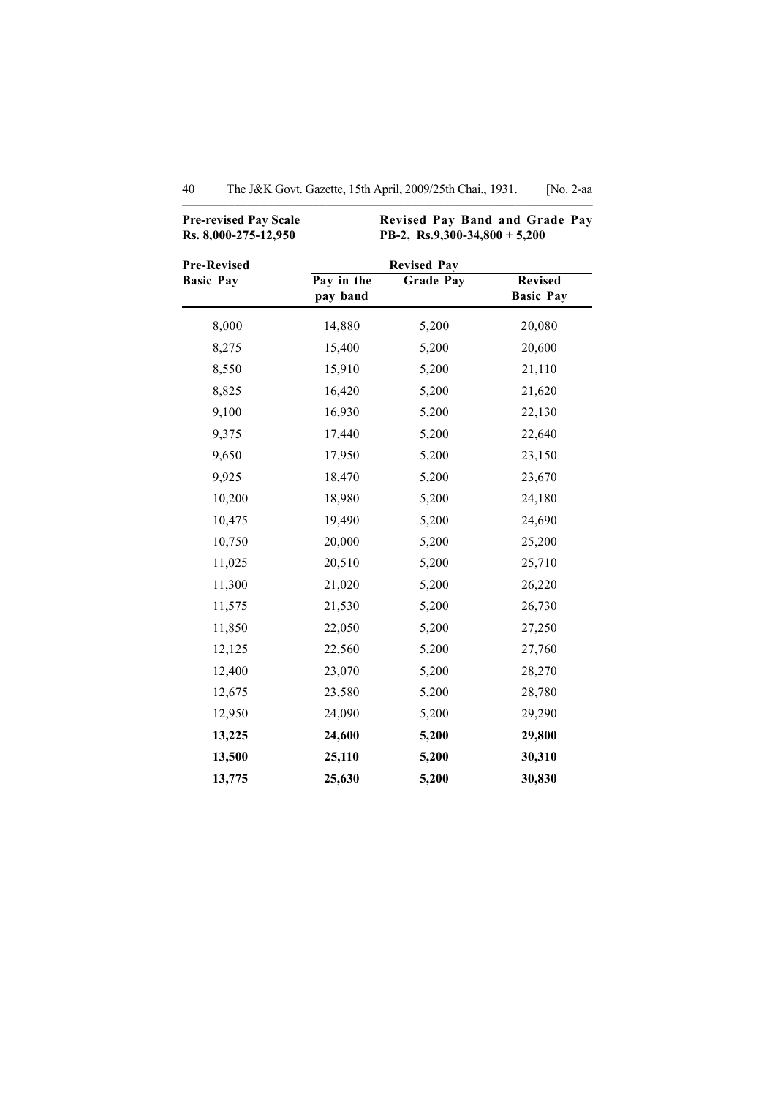| <b>Pre-revised Pay Scale</b><br>Rs. 8,000-275-12,950 | Revised Pay Band and Grade Pay<br>PB-2, Rs.9,300-34,800 + 5,200 |                    |                                    |
|------------------------------------------------------|-----------------------------------------------------------------|--------------------|------------------------------------|
| <b>Pre-Revised</b>                                   |                                                                 | <b>Revised Pay</b> |                                    |
| <b>Basic Pay</b>                                     | Pay in the<br>pay band                                          | <b>Grade Pay</b>   | <b>Revised</b><br><b>Basic Pay</b> |
| 8,000                                                | 14,880                                                          | 5,200              | 20,080                             |
| 8,275                                                | 15,400                                                          | 5,200              | 20,600                             |
| 8,550                                                | 15,910                                                          | 5,200              | 21,110                             |
| 8,825                                                | 16,420                                                          | 5,200              | 21,620                             |
| 9,100                                                | 16,930                                                          | 5,200              | 22,130                             |
| 9,375                                                | 17,440                                                          | 5,200              | 22,640                             |
| 9,650                                                | 17,950                                                          | 5,200              | 23,150                             |
| 9,925                                                | 18,470                                                          | 5,200              | 23,670                             |
| 10,200                                               | 18,980                                                          | 5,200              | 24,180                             |
| 10,475                                               | 19,490                                                          | 5,200              | 24,690                             |
| 10,750                                               | 20,000                                                          | 5,200              | 25,200                             |
| 11,025                                               | 20,510                                                          | 5,200              | 25,710                             |
| 11,300                                               | 21,020                                                          | 5,200              | 26,220                             |
| 11,575                                               | 21,530                                                          | 5,200              | 26,730                             |
| 11,850                                               | 22,050                                                          | 5,200              | 27,250                             |
| 12,125                                               | 22,560                                                          | 5,200              | 27,760                             |
| 12,400                                               | 23,070                                                          | 5,200              | 28,270                             |
| 12,675                                               | 23,580                                                          | 5,200              | 28,780                             |
| 12,950                                               | 24,090                                                          | 5,200              | 29,290                             |
| 13,225                                               | 24,600                                                          | 5,200              | 29,800                             |
| 13,500                                               | 25,110                                                          | 5,200              | 30,310                             |
| 13,775                                               | 25,630                                                          | 5,200              | 30,830                             |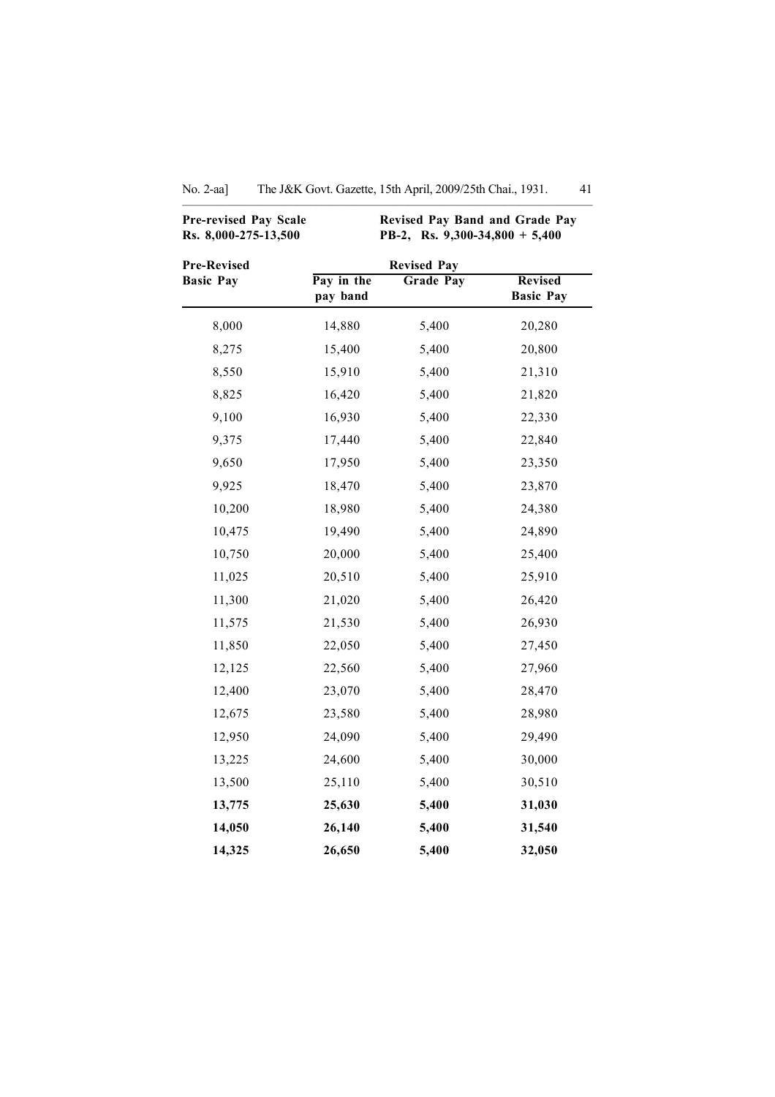| Pre-revised Pay Scale<br>Rs. 8,000-275-13,500 |                        | Revised Pay Band and Grade Pay<br>PB-2, Rs. 9,300-34,800 + 5,400 |                                    |
|-----------------------------------------------|------------------------|------------------------------------------------------------------|------------------------------------|
| <b>Pre-Revised</b>                            |                        | <b>Revised Pay</b>                                               |                                    |
| <b>Basic Pay</b>                              | Pay in the<br>pay band | <b>Grade Pay</b>                                                 | <b>Revised</b><br><b>Basic Pay</b> |
| 8,000                                         | 14,880                 | 5,400                                                            | 20,280                             |
| 8,275                                         | 15,400                 | 5,400                                                            | 20,800                             |
| 8,550                                         | 15,910                 | 5,400                                                            | 21,310                             |
| 8,825                                         | 16,420                 | 5,400                                                            | 21,820                             |
| 9,100                                         | 16,930                 | 5,400                                                            | 22,330                             |
| 9,375                                         | 17,440                 | 5,400                                                            | 22,840                             |
| 9,650                                         | 17,950                 | 5,400                                                            | 23,350                             |
| 9,925                                         | 18,470                 | 5,400                                                            | 23,870                             |
| 10,200                                        | 18,980                 | 5,400                                                            | 24,380                             |
| 10,475                                        | 19,490                 | 5,400                                                            | 24,890                             |
| 10,750                                        | 20,000                 | 5,400                                                            | 25,400                             |
| 11,025                                        | 20,510                 | 5,400                                                            | 25,910                             |
| 11,300                                        | 21,020                 | 5,400                                                            | 26,420                             |
| 11,575                                        | 21,530                 | 5,400                                                            | 26,930                             |
| 11,850                                        | 22,050                 | 5,400                                                            | 27,450                             |
| 12,125                                        | 22,560                 | 5,400                                                            | 27,960                             |
| 12,400                                        | 23,070                 | 5,400                                                            | 28,470                             |
| 12,675                                        | 23,580                 | 5,400                                                            | 28,980                             |
| 12,950                                        | 24,090                 | 5,400                                                            | 29,490                             |
| 13,225                                        | 24,600                 | 5,400                                                            | 30,000                             |
| 13,500                                        | 25,110                 | 5,400                                                            | 30,510                             |
| 13,775                                        | 25,630                 | 5,400                                                            | 31,030                             |
| 14,050                                        | 26,140                 | 5,400                                                            | 31,540                             |
| 14,325                                        | 26,650                 | 5,400                                                            | 32,050                             |

No. 2-aa] The J&K Govt. Gazette, 15th April, 2009/25th Chai., 1931. 41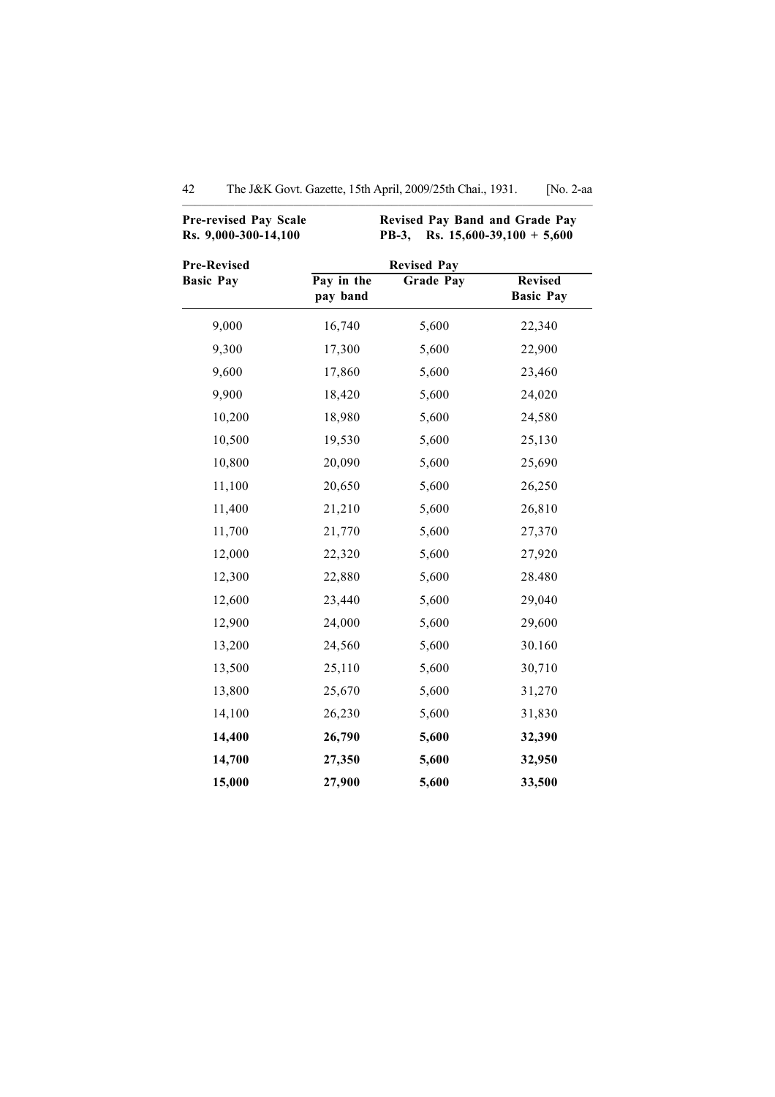| <b>Pre-revised Pay Scale</b><br>Rs. 9,000-300-14,100 | Revised Pay Band and Grade Pay<br>Rs. $15,600-39,100 + 5,600$<br><b>PB-3,</b> |       |                                    |  |
|------------------------------------------------------|-------------------------------------------------------------------------------|-------|------------------------------------|--|
| <b>Pre-Revised</b><br><b>Basic Pay</b>               | <b>Revised Pay</b><br>Pay in the<br><b>Grade Pay</b><br>pay band              |       | <b>Revised</b><br><b>Basic Pay</b> |  |
| 9,000                                                | 16,740                                                                        | 5,600 | 22,340                             |  |
| 9,300                                                | 17,300                                                                        | 5,600 | 22,900                             |  |
| 9,600                                                | 17,860                                                                        | 5,600 | 23,460                             |  |
| 9,900                                                | 18,420                                                                        | 5,600 | 24,020                             |  |
| 10,200                                               | 18,980                                                                        | 5,600 | 24,580                             |  |
| 10,500                                               | 19,530                                                                        | 5,600 | 25,130                             |  |
| 10,800                                               | 20,090                                                                        | 5,600 | 25,690                             |  |
| 11,100                                               | 20,650                                                                        | 5,600 | 26,250                             |  |
| 11,400                                               | 21,210                                                                        | 5,600 | 26,810                             |  |
| 11,700                                               | 21,770                                                                        | 5,600 | 27,370                             |  |
| 12,000                                               | 22,320                                                                        | 5,600 | 27,920                             |  |
| 12,300                                               | 22,880                                                                        | 5,600 | 28.480                             |  |
| 12,600                                               | 23,440                                                                        | 5,600 | 29,040                             |  |
| 12,900                                               | 24,000                                                                        | 5,600 | 29,600                             |  |
| 13,200                                               | 24,560                                                                        | 5,600 | 30.160                             |  |
| 13,500                                               | 25,110                                                                        | 5,600 | 30,710                             |  |
| 13,800                                               | 25,670                                                                        | 5,600 | 31,270                             |  |
| 14,100                                               | 26,230                                                                        | 5,600 | 31,830                             |  |
| 14,400                                               | 26,790                                                                        | 5,600 | 32,390                             |  |
| 14,700                                               | 27,350                                                                        | 5,600 | 32,950                             |  |
| 15,000                                               | 27,900                                                                        | 5,600 | 33,500                             |  |

42 The J&K Govt. Gazette, 15th April, 2009/25th Chai., 1931. [No. 2-aa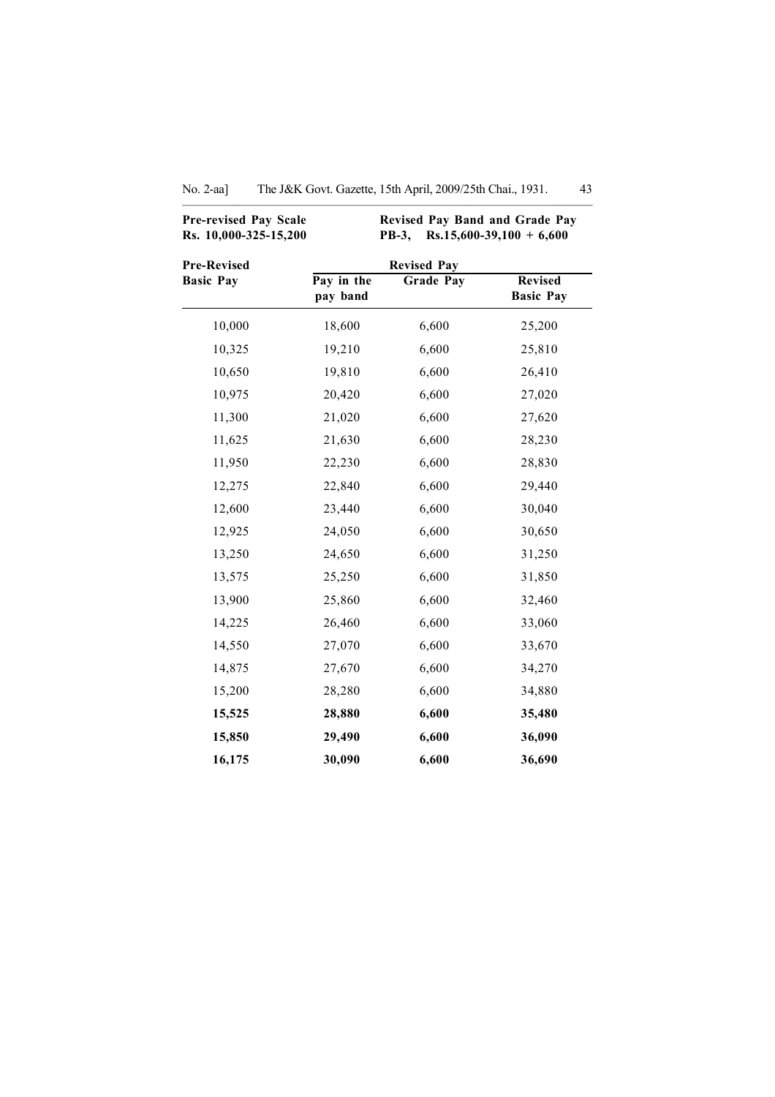| Pre-revised Pay Scale<br>Rs. 10,000-325-15,200 |                        | Revised Pay Band and Grade Pay<br><b>PB-3,</b> | $Rs.15,600-39,100 + 6,600$         |
|------------------------------------------------|------------------------|------------------------------------------------|------------------------------------|
| <b>Pre-Revised</b>                             |                        |                                                |                                    |
| <b>Basic Pay</b>                               | Pay in the<br>pay band | <b>Grade Pay</b>                               | <b>Revised</b><br><b>Basic Pay</b> |
| 10,000                                         | 18,600                 | 6,600                                          | 25,200                             |
| 10,325                                         | 19,210                 | 6,600                                          | 25,810                             |
| 10,650                                         | 19,810                 | 6,600                                          | 26,410                             |
| 10,975                                         | 20,420                 | 6,600                                          | 27,020                             |
| 11,300                                         | 21,020                 | 6,600                                          | 27,620                             |
| 11,625                                         | 21,630                 | 6,600                                          | 28,230                             |
| 11,950                                         | 22,230                 | 6,600                                          | 28,830                             |
| 12,275                                         | 22,840                 | 6,600                                          | 29,440                             |
| 12,600                                         | 23,440                 | 6,600                                          | 30,040                             |
| 12,925                                         | 24,050                 | 6,600                                          | 30,650                             |
| 13,250                                         | 24,650                 | 6,600                                          | 31,250                             |
| 13,575                                         | 25,250                 | 6,600                                          | 31,850                             |
| 13,900                                         | 25,860                 | 6,600                                          | 32,460                             |
| 14,225                                         | 26,460                 | 6,600                                          | 33,060                             |
| 14,550                                         | 27,070                 | 6,600                                          | 33,670                             |
| 14,875                                         | 27,670                 | 6,600                                          | 34,270                             |
| 15,200                                         | 28,280                 | 6,600                                          | 34,880                             |
| 15,525                                         | 28,880                 | 6,600                                          | 35,480                             |
| 15,850                                         | 29,490                 | 6,600                                          | 36,090                             |
| 16,175                                         | 30,090                 | 6,600                                          | 36,690                             |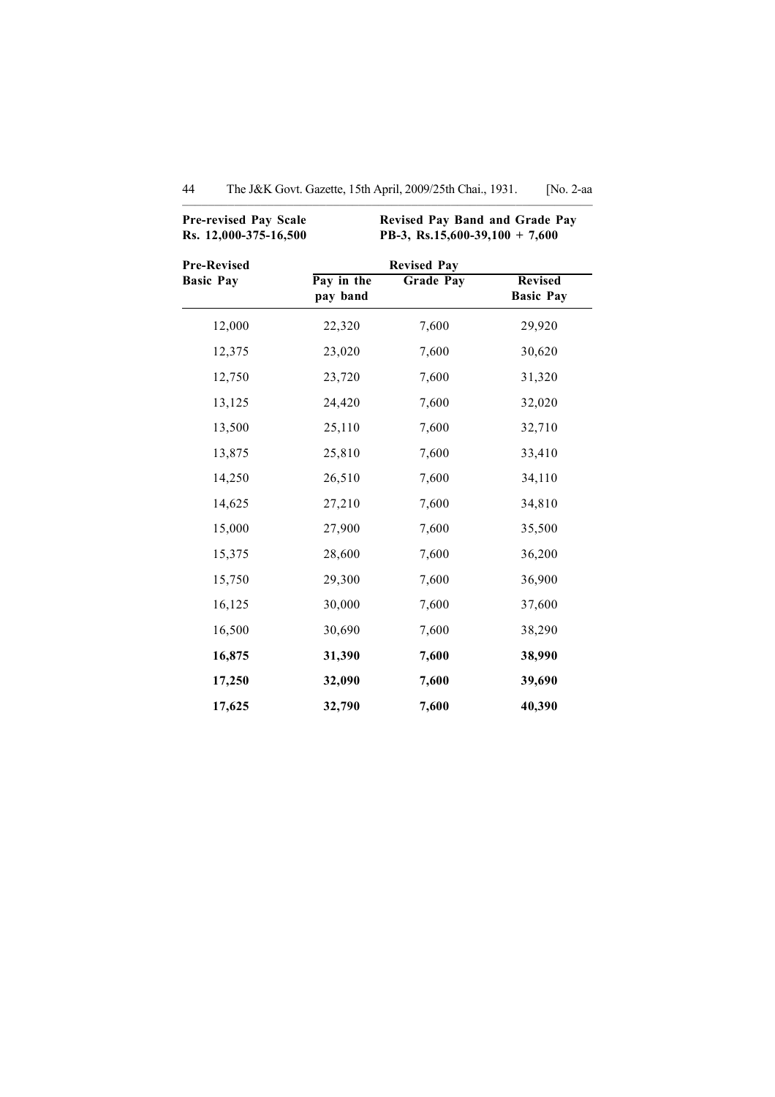| <b>Pre-revised Pay Scale</b><br>Rs. 12,000-375-16,500 | Revised Pay Band and Grade Pay<br>PB-3, Rs.15,600-39,100 + 7,600 |                                 |                                    |  |
|-------------------------------------------------------|------------------------------------------------------------------|---------------------------------|------------------------------------|--|
| <b>Pre-Revised</b><br><b>Basic Pay</b>                | Pay in the<br>pay band                                           | <b>Revised Pay</b><br>Grade Pay | <b>Revised</b><br><b>Basic Pay</b> |  |
| 12,000                                                | 22,320                                                           | 7,600                           | 29,920                             |  |
| 12,375                                                | 23,020                                                           | 7,600                           | 30,620                             |  |
| 12,750                                                | 23,720                                                           | 7,600                           | 31,320                             |  |
| 13,125                                                | 24,420                                                           | 7,600                           | 32,020                             |  |
| 13,500                                                | 25,110                                                           | 7,600                           | 32,710                             |  |
| 13,875                                                | 25,810                                                           | 7,600                           | 33,410                             |  |
| 14,250                                                | 26,510                                                           | 7,600                           | 34,110                             |  |
| 14,625                                                | 27,210                                                           | 7,600                           | 34,810                             |  |
| 15,000                                                | 27,900                                                           | 7,600                           | 35,500                             |  |
| 15,375                                                | 28,600                                                           | 7,600                           | 36,200                             |  |
| 15,750                                                | 29,300                                                           | 7,600                           | 36,900                             |  |
| 16,125                                                | 30,000                                                           | 7,600                           | 37,600                             |  |
| 16,500                                                | 30,690                                                           | 7,600                           | 38,290                             |  |
| 16,875                                                | 31,390                                                           | 7,600                           | 38,990                             |  |
| 17,250                                                | 32,090                                                           | 7,600                           | 39,690                             |  |
| 17,625                                                | 32,790                                                           | 7,600                           | 40,390                             |  |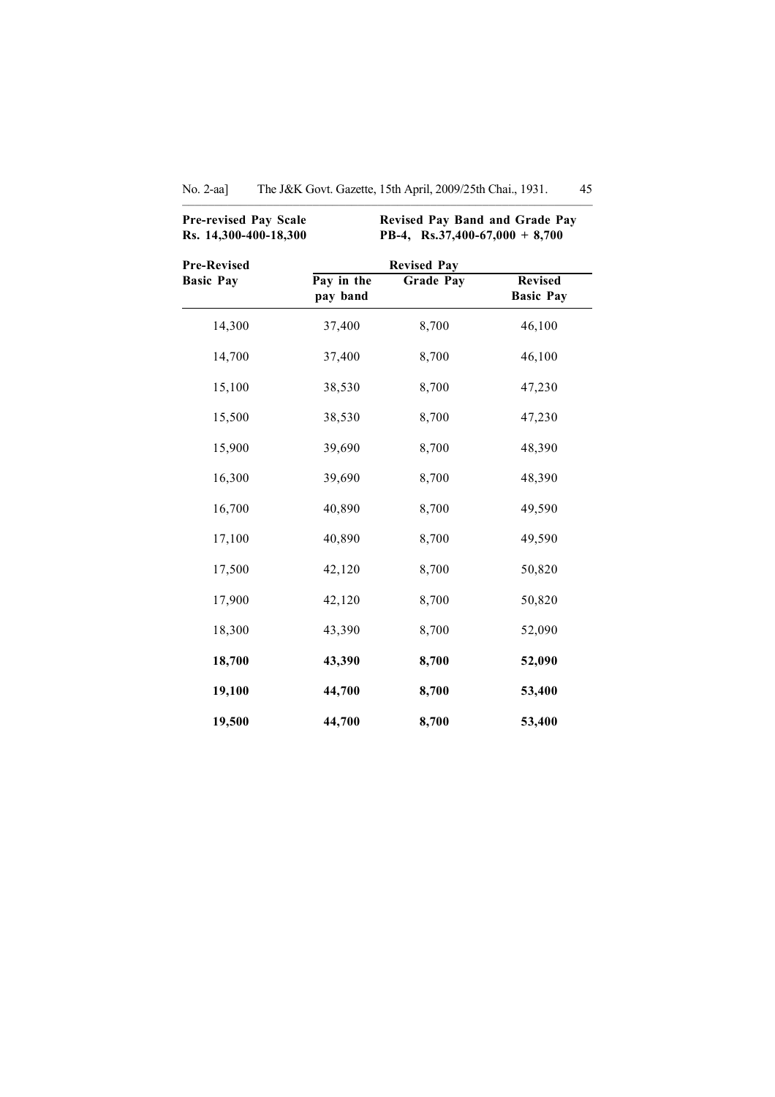| <b>Pre-revised Pay Scale</b><br>Rs. 14,300-400-18,300 | Revised Pay Band and Grade Pay<br>PB-4, Rs.37,400-67,000 + 8,700 |                  |                                    |  |
|-------------------------------------------------------|------------------------------------------------------------------|------------------|------------------------------------|--|
| <b>Pre-Revised</b>                                    | <b>Revised Pay</b>                                               |                  |                                    |  |
| <b>Basic Pay</b>                                      | Pay in the<br>pay band                                           | <b>Grade Pay</b> | <b>Revised</b><br><b>Basic Pay</b> |  |
| 14,300                                                | 37,400                                                           | 8,700            | 46,100                             |  |
| 14,700                                                | 37,400                                                           | 8,700            | 46,100                             |  |
| 15,100                                                | 38,530                                                           | 8,700            | 47,230                             |  |
| 15,500                                                | 38,530                                                           | 8,700            | 47,230                             |  |
| 15,900                                                | 39,690                                                           | 8,700            | 48,390                             |  |
| 16,300                                                | 39,690                                                           | 8,700            | 48,390                             |  |
| 16,700                                                | 40,890                                                           | 8,700            | 49,590                             |  |
| 17,100                                                | 40,890                                                           | 8,700            | 49,590                             |  |
| 17,500                                                | 42,120                                                           | 8,700            | 50,820                             |  |
| 17,900                                                | 42,120                                                           | 8,700            | 50,820                             |  |
| 18,300                                                | 43,390                                                           | 8,700            | 52,090                             |  |
| 18,700                                                | 43,390                                                           | 8,700            | 52,090                             |  |
| 19,100                                                | 44,700                                                           | 8,700            | 53,400                             |  |
| 19,500                                                | 44,700                                                           | 8,700            | 53,400                             |  |

No. 2-aa] The J&K Govt. Gazette, 15th April, 2009/25th Chai., 1931. 45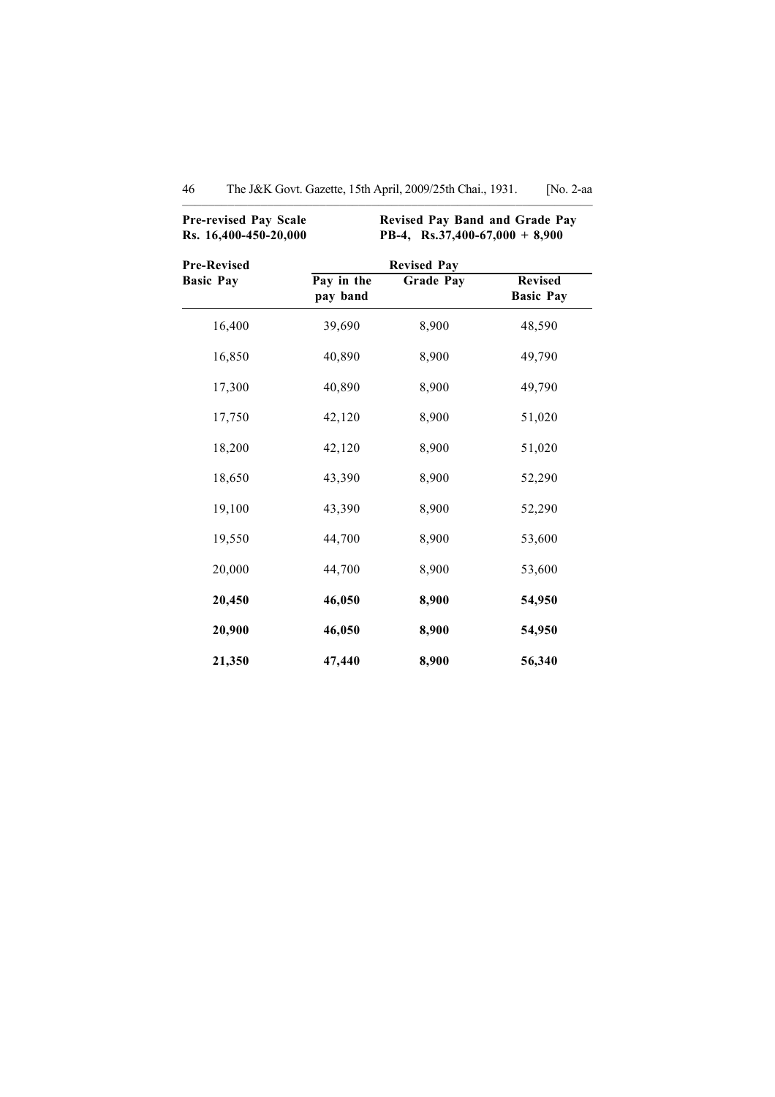| <b>Pre-revised Pay Scale</b><br>Rs. 16,400-450-20,000 | <b>Revised Pay Band and Grade Pay</b><br>PB-4, Rs.37,400-67,000 + 8,900 |                    |                                    |  |
|-------------------------------------------------------|-------------------------------------------------------------------------|--------------------|------------------------------------|--|
| <b>Pre-Revised</b>                                    |                                                                         | <b>Revised Pay</b> |                                    |  |
| <b>Basic Pay</b>                                      | Pay in the<br>pay band                                                  | <b>Grade Pay</b>   | <b>Revised</b><br><b>Basic Pay</b> |  |
| 16,400                                                | 39,690                                                                  | 8,900              | 48,590                             |  |
| 16,850                                                | 40,890                                                                  | 8,900              | 49,790                             |  |
| 17,300                                                | 40,890                                                                  | 8,900              | 49,790                             |  |
| 17,750                                                | 42,120                                                                  | 8,900              | 51,020                             |  |
| 18,200                                                | 42,120                                                                  | 8,900              | 51,020                             |  |
| 18,650                                                | 43,390                                                                  | 8,900              | 52,290                             |  |
| 19,100                                                | 43,390                                                                  | 8,900              | 52,290                             |  |
| 19,550                                                | 44,700                                                                  | 8,900              | 53,600                             |  |
| 20,000                                                | 44,700                                                                  | 8,900              | 53,600                             |  |
| 20,450                                                | 46,050                                                                  | 8,900              | 54,950                             |  |
| 20,900                                                | 46,050                                                                  | 8,900              | 54,950                             |  |
| 21,350                                                | 47,440                                                                  | 8,900              | 56,340                             |  |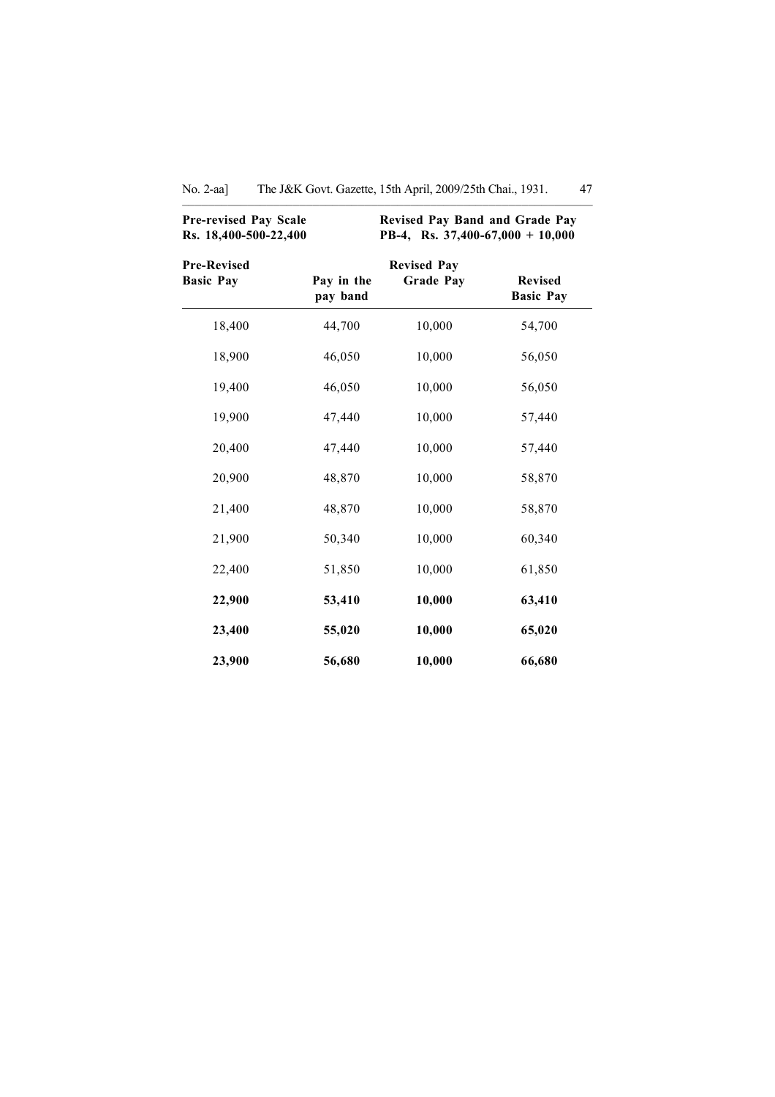| <b>Pre-revised Pay Scale</b><br>Rs. 18,400-500-22,400 | Revised Pay Band and Grade Pay<br>PB-4, Rs. 37,400-67,000 + 10,000 |                                        |                                    |  |
|-------------------------------------------------------|--------------------------------------------------------------------|----------------------------------------|------------------------------------|--|
| <b>Pre-Revised</b><br><b>Basic Pay</b>                | Pay in the<br>pay band                                             | <b>Revised Pay</b><br><b>Grade Pay</b> | <b>Revised</b><br><b>Basic Pay</b> |  |
| 18,400                                                | 44,700                                                             | 10,000                                 | 54,700                             |  |
| 18,900                                                | 46,050                                                             | 10,000                                 | 56,050                             |  |
| 19,400                                                | 46,050                                                             | 10,000                                 | 56,050                             |  |
| 19,900                                                | 47,440                                                             | 10,000                                 | 57,440                             |  |
| 20,400                                                | 47,440                                                             | 10,000                                 | 57,440                             |  |
| 20,900                                                | 48,870                                                             | 10,000                                 | 58,870                             |  |
| 21,400                                                | 48,870                                                             | 10,000                                 | 58,870                             |  |
| 21,900                                                | 50,340                                                             | 10,000                                 | 60,340                             |  |
| 22,400                                                | 51,850                                                             | 10,000                                 | 61,850                             |  |
| 22,900                                                | 53,410                                                             | 10,000                                 | 63,410                             |  |
| 23,400                                                | 55,020                                                             | 10,000                                 | 65,020                             |  |
| 23,900                                                | 56,680                                                             | 10,000                                 | 66,680                             |  |

No. 2-aa] The J&K Govt. Gazette, 15th April, 2009/25th Chai., 1931. 47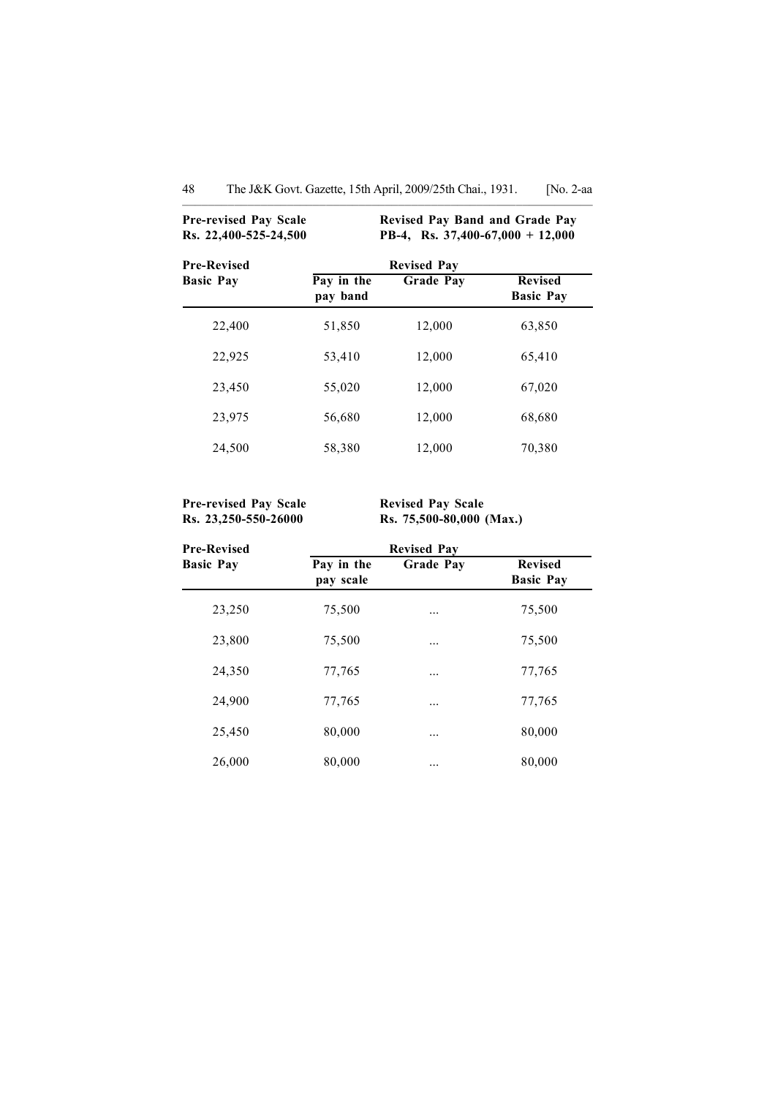| <b>Pre-revised Pay Scale</b><br>Rs. 22,400-525-24,500 |                        | <b>Revised Pay Band and Grade Pay</b><br>PB-4, Rs. $37,400-67,000 + 12,000$ |                                    |  |
|-------------------------------------------------------|------------------------|-----------------------------------------------------------------------------|------------------------------------|--|
| <b>Pre-Revised</b>                                    |                        | <b>Revised Pay</b>                                                          |                                    |  |
| <b>Basic Pay</b>                                      | Pay in the<br>pay band | <b>Grade Pay</b>                                                            | <b>Revised</b><br><b>Basic Pay</b> |  |
| 22,400                                                | 51,850                 | 12,000                                                                      | 63,850                             |  |
| 22,925                                                | 53,410                 | 12,000                                                                      | 65,410                             |  |
| 23,450                                                | 55,020                 | 12,000                                                                      | 67,020                             |  |
| 23,975                                                | 56,680                 | 12,000                                                                      | 68,680                             |  |
| 24,500                                                | 58,380                 | 12,000                                                                      | 70,380                             |  |

Pre-revised Pay Scale Revised Pay Scale

Rs. 23,250-550-26000 Rs. 75,500-80,000 (Max.)

| <b>Pre-Revised</b> | <b>Revised Pay</b>      |                  |                                    |
|--------------------|-------------------------|------------------|------------------------------------|
| <b>Basic Pay</b>   | Pay in the<br>pay scale | <b>Grade Pay</b> | <b>Revised</b><br><b>Basic Pay</b> |
| 23,250             | 75,500                  | .                | 75,500                             |
| 23,800             | 75,500                  | .                | 75,500                             |
| 24,350             | 77,765                  |                  | 77,765                             |
| 24,900             | 77,765                  | .                | 77,765                             |
| 25,450             | 80,000                  | .                | 80,000                             |
| 26,000             | 80,000                  | .                | 80,000                             |